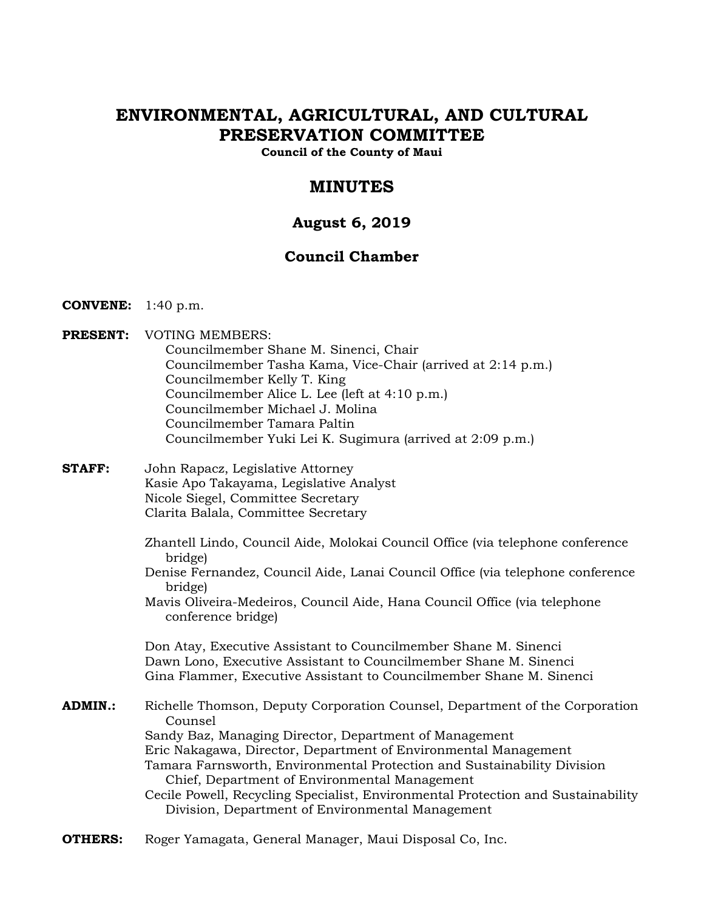# **ENVIRONMENTAL, AGRICULTURAL, AND CULTURAL PRESERVATION COMMITTEE**

**Council of the County of Maui** 

# **MINUTES**

# **August 6, 2019**

# **Council Chamber**

- **CONVENE:** 1:40 p.m.
- **PRESENT:** VOTING MEMBERS: Councilmember Shane M. Sinenci, Chair Councilmember Tasha Kama, Vice-Chair (arrived at 2:14 p.m.) Councilmember Kelly T. King Councilmember Alice L. Lee (left at 4:10 p.m.) Councilmember Michael J. Molina Councilmember Tamara Paltin Councilmember Yuki Lei K. Sugimura (arrived at 2:09 p.m.)
- **STAFF:** John Rapacz, Legislative Attorney Kasie Apo Takayama, Legislative Analyst Nicole Siegel, Committee Secretary Clarita Balala, Committee Secretary
	- Zhantell Lindo, Council Aide, Molokai Council Office (via telephone conference bridge)
	- Denise Fernandez, Council Aide, Lanai Council Office (via telephone conference bridge)
	- Mavis Oliveira-Medeiros, Council Aide, Hana Council Office (via telephone conference bridge)

Don Atay, Executive Assistant to Councilmember Shane M. Sinenci Dawn Lono, Executive Assistant to Councilmember Shane M. Sinenci Gina Flammer, Executive Assistant to Councilmember Shane M. Sinenci

**ADMIN.:** Richelle Thomson, Deputy Corporation Counsel, Department of the Corporation Counsel Sandy Baz, Managing Director, Department of Management Eric Nakagawa, Director, Department of Environmental Management Tamara Farnsworth, Environmental Protection and Sustainability Division Chief, Department of Environmental Management Cecile Powell, Recycling Specialist, Environmental Protection and Sustainability Division, Department of Environmental Management

#### **OTHERS:** Roger Yamagata, General Manager, Maui Disposal Co, Inc.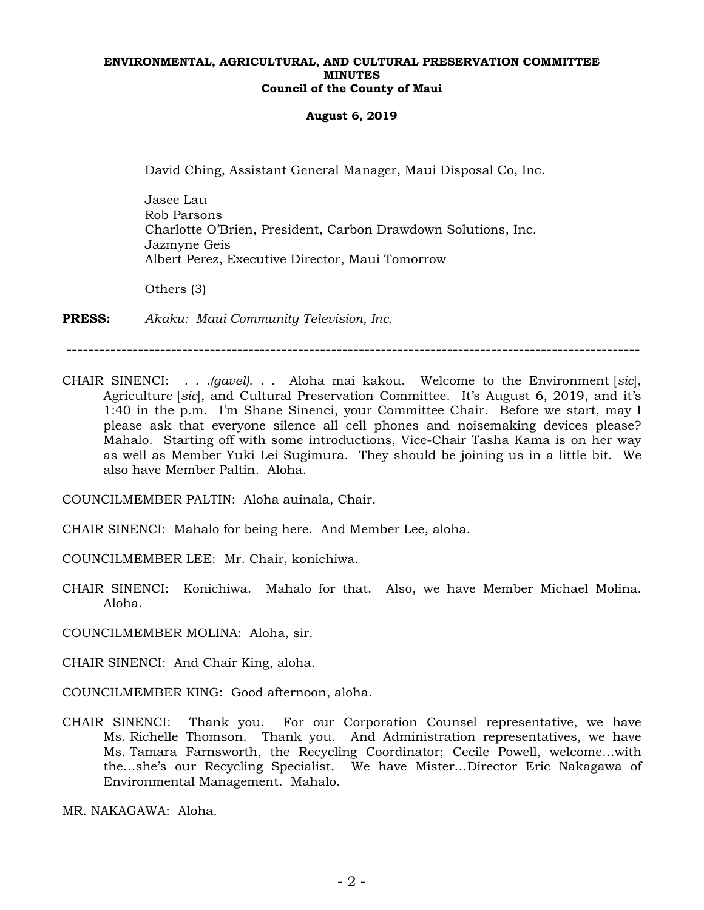#### **August 6, 2019**

David Ching, Assistant General Manager, Maui Disposal Co, Inc.

Jasee Lau Rob Parsons Charlotte O'Brien, President, Carbon Drawdown Solutions, Inc. Jazmyne Geis Albert Perez, Executive Director, Maui Tomorrow

Others (3)

**PRESS:** *Akaku: Maui Community Television, Inc.*

--------------------------------------------------------------------------------------------------------

CHAIR SINENCI: *. . .(gavel). . .* Aloha mai kakou. Welcome to the Environment [*sic*], Agriculture [*sic*], and Cultural Preservation Committee. It's August 6, 2019, and it's 1:40 in the p.m. I'm Shane Sinenci, your Committee Chair. Before we start, may I please ask that everyone silence all cell phones and noisemaking devices please? Mahalo. Starting off with some introductions, Vice-Chair Tasha Kama is on her way as well as Member Yuki Lei Sugimura. They should be joining us in a little bit. We also have Member Paltin. Aloha.

COUNCILMEMBER PALTIN: Aloha auinala, Chair.

CHAIR SINENCI: Mahalo for being here. And Member Lee, aloha.

COUNCILMEMBER LEE: Mr. Chair, konichiwa.

CHAIR SINENCI: Konichiwa. Mahalo for that. Also, we have Member Michael Molina. Aloha.

COUNCILMEMBER MOLINA: Aloha, sir.

CHAIR SINENCI: And Chair King, aloha.

- COUNCILMEMBER KING: Good afternoon, aloha.
- CHAIR SINENCI: Thank you. For our Corporation Counsel representative, we have Ms. Richelle Thomson. Thank you. And Administration representatives, we have Ms. Tamara Farnsworth, the Recycling Coordinator; Cecile Powell, welcome…with the…she's our Recycling Specialist. We have Mister…Director Eric Nakagawa of Environmental Management. Mahalo.

MR. NAKAGAWA: Aloha.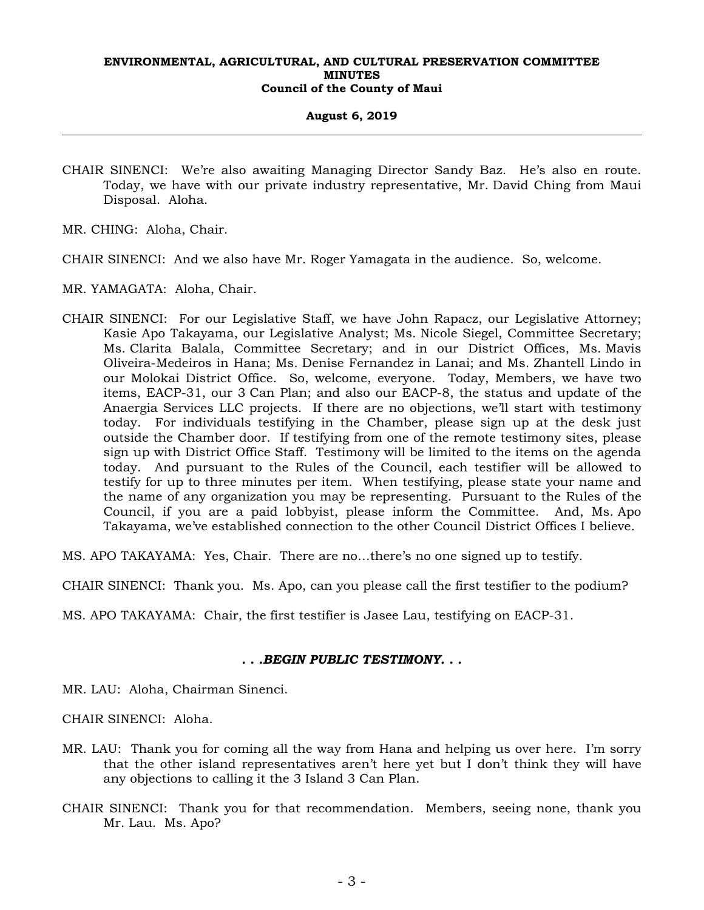#### **August 6, 2019**

- CHAIR SINENCI: We're also awaiting Managing Director Sandy Baz. He's also en route. Today, we have with our private industry representative, Mr. David Ching from Maui Disposal. Aloha.
- MR. CHING: Aloha, Chair.
- CHAIR SINENCI: And we also have Mr. Roger Yamagata in the audience. So, welcome.
- MR. YAMAGATA: Aloha, Chair.
- CHAIR SINENCI: For our Legislative Staff, we have John Rapacz, our Legislative Attorney; Kasie Apo Takayama, our Legislative Analyst; Ms. Nicole Siegel, Committee Secretary; Ms. Clarita Balala, Committee Secretary; and in our District Offices, Ms. Mavis Oliveira-Medeiros in Hana; Ms. Denise Fernandez in Lanai; and Ms. Zhantell Lindo in our Molokai District Office. So, welcome, everyone. Today, Members, we have two items, EACP-31, our 3 Can Plan; and also our EACP-8, the status and update of the Anaergia Services LLC projects. If there are no objections, we'll start with testimony today. For individuals testifying in the Chamber, please sign up at the desk just outside the Chamber door. If testifying from one of the remote testimony sites, please sign up with District Office Staff. Testimony will be limited to the items on the agenda today. And pursuant to the Rules of the Council, each testifier will be allowed to testify for up to three minutes per item. When testifying, please state your name and the name of any organization you may be representing. Pursuant to the Rules of the Council, if you are a paid lobbyist, please inform the Committee. And, Ms. Apo Takayama, we've established connection to the other Council District Offices I believe.
- MS. APO TAKAYAMA: Yes, Chair. There are no…there's no one signed up to testify.

CHAIR SINENCI: Thank you. Ms. Apo, can you please call the first testifier to the podium?

MS. APO TAKAYAMA: Chair, the first testifier is Jasee Lau, testifying on EACP-31.

# *. . .BEGIN PUBLIC TESTIMONY. . .*

MR. LAU: Aloha, Chairman Sinenci.

CHAIR SINENCI: Aloha.

- MR. LAU: Thank you for coming all the way from Hana and helping us over here. I'm sorry that the other island representatives aren't here yet but I don't think they will have any objections to calling it the 3 Island 3 Can Plan.
- CHAIR SINENCI: Thank you for that recommendation. Members, seeing none, thank you Mr. Lau. Ms. Apo?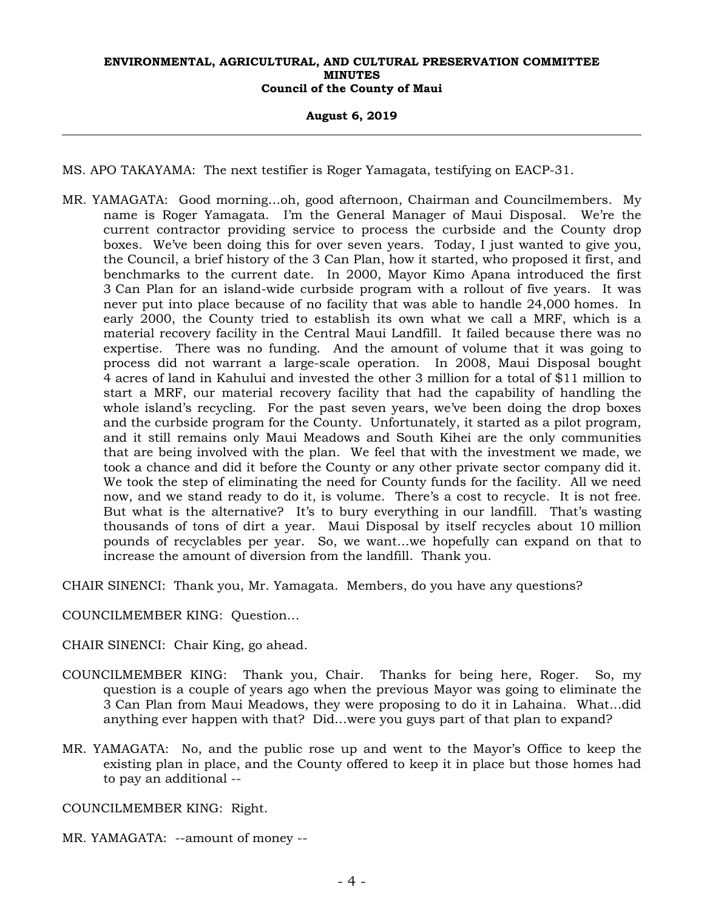#### **August 6, 2019**

MS. APO TAKAYAMA: The next testifier is Roger Yamagata, testifying on EACP-31.

MR. YAMAGATA: Good morning…oh, good afternoon, Chairman and Councilmembers. My name is Roger Yamagata. I'm the General Manager of Maui Disposal. We're the current contractor providing service to process the curbside and the County drop boxes. We've been doing this for over seven years. Today, I just wanted to give you, the Council, a brief history of the 3 Can Plan, how it started, who proposed it first, and benchmarks to the current date. In 2000, Mayor Kimo Apana introduced the first 3 Can Plan for an island-wide curbside program with a rollout of five years. It was never put into place because of no facility that was able to handle 24,000 homes. In early 2000, the County tried to establish its own what we call a MRF, which is a material recovery facility in the Central Maui Landfill. It failed because there was no expertise. There was no funding. And the amount of volume that it was going to process did not warrant a large-scale operation. In 2008, Maui Disposal bought 4 acres of land in Kahului and invested the other 3 million for a total of \$11 million to start a MRF, our material recovery facility that had the capability of handling the whole island's recycling. For the past seven years, we've been doing the drop boxes and the curbside program for the County. Unfortunately, it started as a pilot program, and it still remains only Maui Meadows and South Kihei are the only communities that are being involved with the plan. We feel that with the investment we made, we took a chance and did it before the County or any other private sector company did it. We took the step of eliminating the need for County funds for the facility. All we need now, and we stand ready to do it, is volume. There's a cost to recycle. It is not free. But what is the alternative? It's to bury everything in our landfill. That's wasting thousands of tons of dirt a year. Maui Disposal by itself recycles about 10 million pounds of recyclables per year. So, we want…we hopefully can expand on that to increase the amount of diversion from the landfill. Thank you.

CHAIR SINENCI: Thank you, Mr. Yamagata. Members, do you have any questions?

COUNCILMEMBER KING: Question…

CHAIR SINENCI: Chair King, go ahead.

- COUNCILMEMBER KING: Thank you, Chair. Thanks for being here, Roger. So, my question is a couple of years ago when the previous Mayor was going to eliminate the 3 Can Plan from Maui Meadows, they were proposing to do it in Lahaina. What…did anything ever happen with that? Did…were you guys part of that plan to expand?
- MR. YAMAGATA: No, and the public rose up and went to the Mayor's Office to keep the existing plan in place, and the County offered to keep it in place but those homes had to pay an additional --

COUNCILMEMBER KING: Right.

MR. YAMAGATA: --amount of money --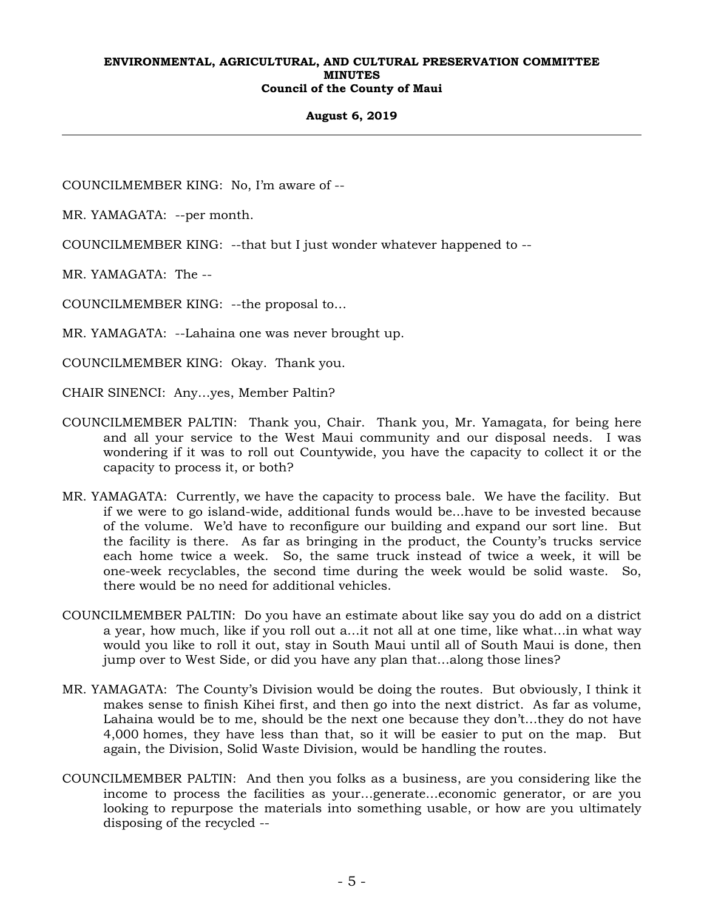#### **August 6, 2019**

COUNCILMEMBER KING: No, I'm aware of --

MR. YAMAGATA: --per month.

COUNCILMEMBER KING: --that but I just wonder whatever happened to --

MR. YAMAGATA: The --

COUNCILMEMBER KING: --the proposal to…

MR. YAMAGATA: --Lahaina one was never brought up.

COUNCILMEMBER KING: Okay. Thank you.

CHAIR SINENCI: Any…yes, Member Paltin?

- COUNCILMEMBER PALTIN: Thank you, Chair. Thank you, Mr. Yamagata, for being here and all your service to the West Maui community and our disposal needs. I was wondering if it was to roll out Countywide, you have the capacity to collect it or the capacity to process it, or both?
- MR. YAMAGATA: Currently, we have the capacity to process bale. We have the facility. But if we were to go island-wide, additional funds would be...have to be invested because of the volume. We'd have to reconfigure our building and expand our sort line. But the facility is there. As far as bringing in the product, the County's trucks service each home twice a week. So, the same truck instead of twice a week, it will be one-week recyclables, the second time during the week would be solid waste. So, there would be no need for additional vehicles.
- COUNCILMEMBER PALTIN: Do you have an estimate about like say you do add on a district a year, how much, like if you roll out a…it not all at one time, like what…in what way would you like to roll it out, stay in South Maui until all of South Maui is done, then jump over to West Side, or did you have any plan that…along those lines?
- MR. YAMAGATA: The County's Division would be doing the routes. But obviously, I think it makes sense to finish Kihei first, and then go into the next district. As far as volume, Lahaina would be to me, should be the next one because they don't…they do not have 4,000 homes, they have less than that, so it will be easier to put on the map. But again, the Division, Solid Waste Division, would be handling the routes.
- COUNCILMEMBER PALTIN: And then you folks as a business, are you considering like the income to process the facilities as your…generate…economic generator, or are you looking to repurpose the materials into something usable, or how are you ultimately disposing of the recycled --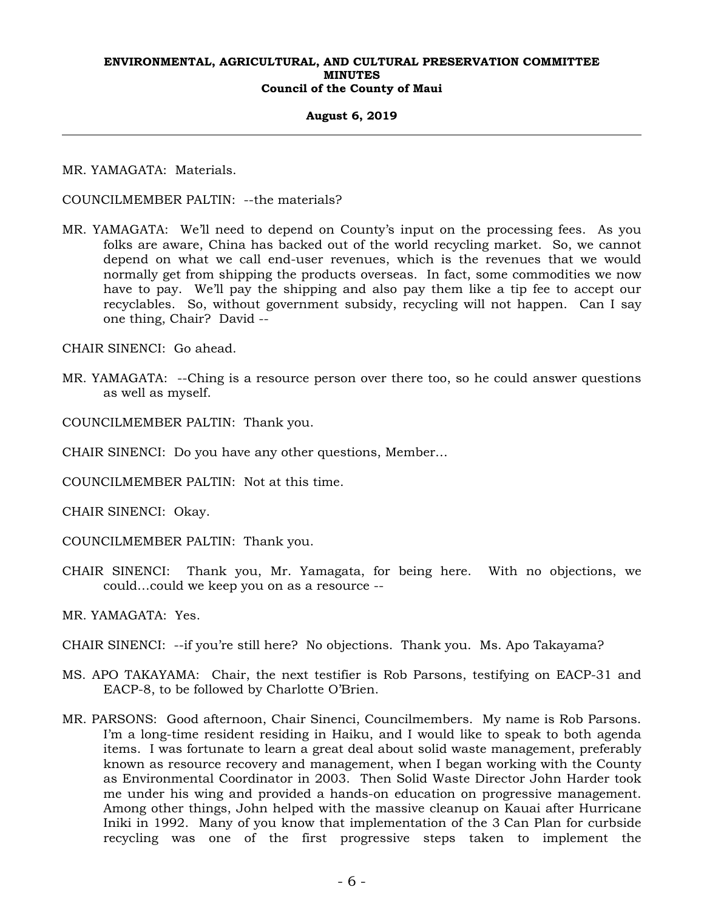### **August 6, 2019**

MR. YAMAGATA: Materials.

COUNCILMEMBER PALTIN: --the materials?

MR. YAMAGATA: We'll need to depend on County's input on the processing fees. As you folks are aware, China has backed out of the world recycling market. So, we cannot depend on what we call end-user revenues, which is the revenues that we would normally get from shipping the products overseas. In fact, some commodities we now have to pay. We'll pay the shipping and also pay them like a tip fee to accept our recyclables. So, without government subsidy, recycling will not happen. Can I say one thing, Chair? David --

CHAIR SINENCI: Go ahead.

MR. YAMAGATA: --Ching is a resource person over there too, so he could answer questions as well as myself.

COUNCILMEMBER PALTIN: Thank you.

CHAIR SINENCI: Do you have any other questions, Member…

COUNCILMEMBER PALTIN: Not at this time.

CHAIR SINENCI: Okay.

COUNCILMEMBER PALTIN: Thank you.

CHAIR SINENCI: Thank you, Mr. Yamagata, for being here. With no objections, we could…could we keep you on as a resource --

MR. YAMAGATA: Yes.

CHAIR SINENCI: --if you're still here? No objections. Thank you. Ms. Apo Takayama?

- MS. APO TAKAYAMA: Chair, the next testifier is Rob Parsons, testifying on EACP-31 and EACP-8, to be followed by Charlotte O'Brien.
- MR. PARSONS: Good afternoon, Chair Sinenci, Councilmembers. My name is Rob Parsons. I'm a long-time resident residing in Haiku, and I would like to speak to both agenda items. I was fortunate to learn a great deal about solid waste management, preferably known as resource recovery and management, when I began working with the County as Environmental Coordinator in 2003. Then Solid Waste Director John Harder took me under his wing and provided a hands-on education on progressive management. Among other things, John helped with the massive cleanup on Kauai after Hurricane Iniki in 1992. Many of you know that implementation of the 3 Can Plan for curbside recycling was one of the first progressive steps taken to implement the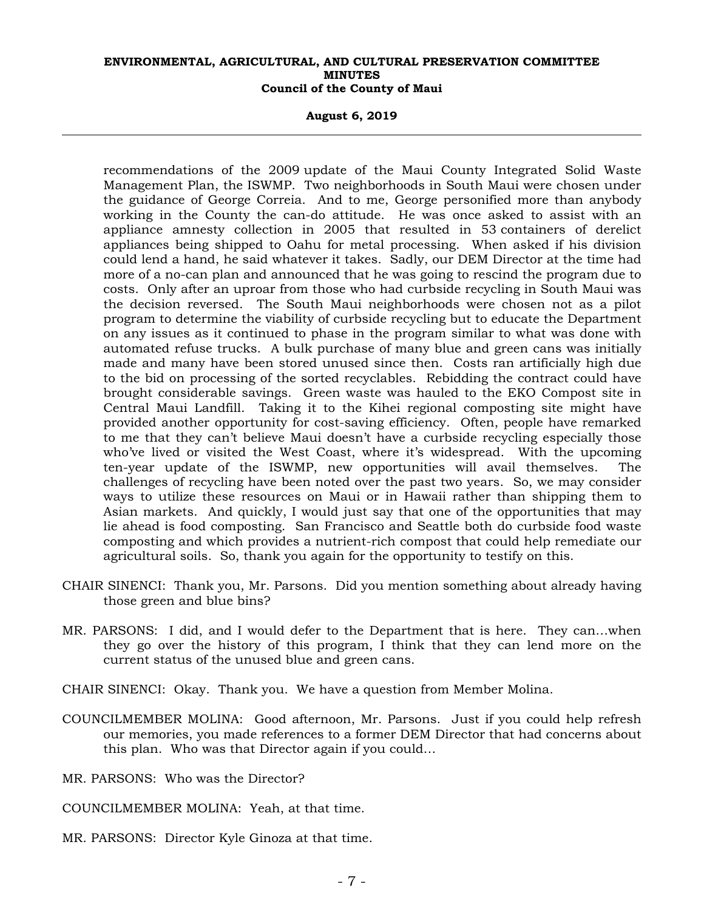**August 6, 2019** 

recommendations of the 2009 update of the Maui County Integrated Solid Waste Management Plan, the ISWMP. Two neighborhoods in South Maui were chosen under the guidance of George Correia. And to me, George personified more than anybody working in the County the can-do attitude. He was once asked to assist with an appliance amnesty collection in 2005 that resulted in 53 containers of derelict appliances being shipped to Oahu for metal processing. When asked if his division could lend a hand, he said whatever it takes. Sadly, our DEM Director at the time had more of a no-can plan and announced that he was going to rescind the program due to costs. Only after an uproar from those who had curbside recycling in South Maui was the decision reversed. The South Maui neighborhoods were chosen not as a pilot program to determine the viability of curbside recycling but to educate the Department on any issues as it continued to phase in the program similar to what was done with automated refuse trucks. A bulk purchase of many blue and green cans was initially made and many have been stored unused since then. Costs ran artificially high due to the bid on processing of the sorted recyclables. Rebidding the contract could have brought considerable savings. Green waste was hauled to the EKO Compost site in Central Maui Landfill. Taking it to the Kihei regional composting site might have provided another opportunity for cost-saving efficiency. Often, people have remarked to me that they can't believe Maui doesn't have a curbside recycling especially those who've lived or visited the West Coast, where it's widespread. With the upcoming ten-year update of the ISWMP, new opportunities will avail themselves. The challenges of recycling have been noted over the past two years. So, we may consider ways to utilize these resources on Maui or in Hawaii rather than shipping them to Asian markets. And quickly, I would just say that one of the opportunities that may lie ahead is food composting. San Francisco and Seattle both do curbside food waste composting and which provides a nutrient-rich compost that could help remediate our agricultural soils. So, thank you again for the opportunity to testify on this.

- CHAIR SINENCI: Thank you, Mr. Parsons. Did you mention something about already having those green and blue bins?
- MR. PARSONS: I did, and I would defer to the Department that is here. They can…when they go over the history of this program, I think that they can lend more on the current status of the unused blue and green cans.
- CHAIR SINENCI: Okay. Thank you. We have a question from Member Molina.
- COUNCILMEMBER MOLINA: Good afternoon, Mr. Parsons. Just if you could help refresh our memories, you made references to a former DEM Director that had concerns about this plan. Who was that Director again if you could…
- MR. PARSONS: Who was the Director?

COUNCILMEMBER MOLINA: Yeah, at that time.

MR. PARSONS: Director Kyle Ginoza at that time.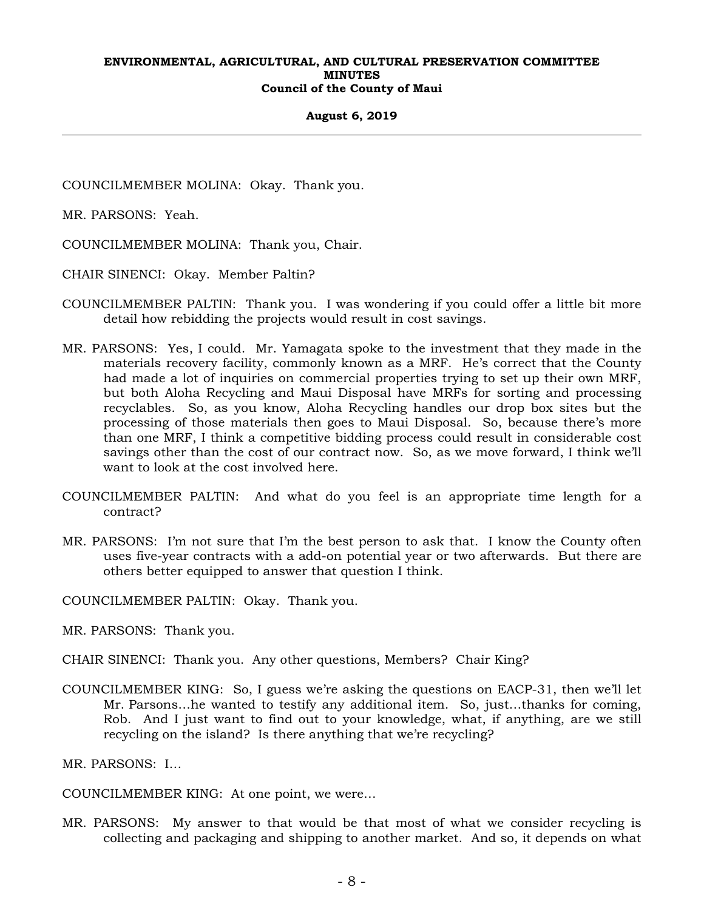#### **August 6, 2019**

COUNCILMEMBER MOLINA: Okay. Thank you.

MR. PARSONS: Yeah.

COUNCILMEMBER MOLINA: Thank you, Chair.

CHAIR SINENCI: Okay. Member Paltin?

- COUNCILMEMBER PALTIN: Thank you. I was wondering if you could offer a little bit more detail how rebidding the projects would result in cost savings.
- MR. PARSONS: Yes, I could. Mr. Yamagata spoke to the investment that they made in the materials recovery facility, commonly known as a MRF. He's correct that the County had made a lot of inquiries on commercial properties trying to set up their own MRF, but both Aloha Recycling and Maui Disposal have MRFs for sorting and processing recyclables. So, as you know, Aloha Recycling handles our drop box sites but the processing of those materials then goes to Maui Disposal. So, because there's more than one MRF, I think a competitive bidding process could result in considerable cost savings other than the cost of our contract now. So, as we move forward, I think we'll want to look at the cost involved here.
- COUNCILMEMBER PALTIN: And what do you feel is an appropriate time length for a contract?
- MR. PARSONS: I'm not sure that I'm the best person to ask that. I know the County often uses five-year contracts with a add-on potential year or two afterwards. But there are others better equipped to answer that question I think.

COUNCILMEMBER PALTIN: Okay. Thank you.

MR. PARSONS: Thank you.

CHAIR SINENCI: Thank you. Any other questions, Members? Chair King?

COUNCILMEMBER KING: So, I guess we're asking the questions on EACP-31, then we'll let Mr. Parsons…he wanted to testify any additional item. So, just…thanks for coming, Rob. And I just want to find out to your knowledge, what, if anything, are we still recycling on the island? Is there anything that we're recycling?

MR. PARSONS: I…

COUNCILMEMBER KING: At one point, we were…

MR. PARSONS: My answer to that would be that most of what we consider recycling is collecting and packaging and shipping to another market. And so, it depends on what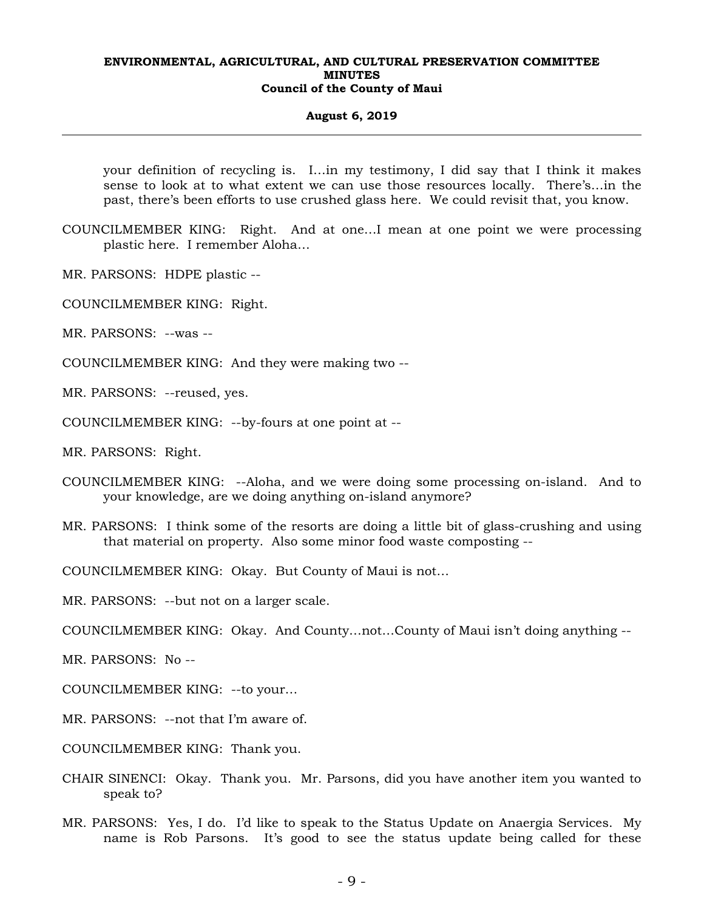#### **August 6, 2019**

your definition of recycling is. I…in my testimony, I did say that I think it makes sense to look at to what extent we can use those resources locally. There's…in the past, there's been efforts to use crushed glass here. We could revisit that, you know.

- COUNCILMEMBER KING: Right. And at one…I mean at one point we were processing plastic here. I remember Aloha…
- MR. PARSONS: HDPE plastic --
- COUNCILMEMBER KING: Right.
- MR. PARSONS: --was --
- COUNCILMEMBER KING: And they were making two --
- MR. PARSONS: --reused, yes.
- COUNCILMEMBER KING: --by-fours at one point at --
- MR. PARSONS: Right.
- COUNCILMEMBER KING: --Aloha, and we were doing some processing on-island. And to your knowledge, are we doing anything on-island anymore?
- MR. PARSONS: I think some of the resorts are doing a little bit of glass-crushing and using that material on property. Also some minor food waste composting --
- COUNCILMEMBER KING: Okay. But County of Maui is not…
- MR. PARSONS: --but not on a larger scale.
- COUNCILMEMBER KING: Okay. And County…not…County of Maui isn't doing anything --
- MR. PARSONS: No --
- COUNCILMEMBER KING: --to your…
- MR. PARSONS: --not that I'm aware of.
- COUNCILMEMBER KING: Thank you.
- CHAIR SINENCI: Okay. Thank you. Mr. Parsons, did you have another item you wanted to speak to?
- MR. PARSONS: Yes, I do. I'd like to speak to the Status Update on Anaergia Services. My name is Rob Parsons. It's good to see the status update being called for these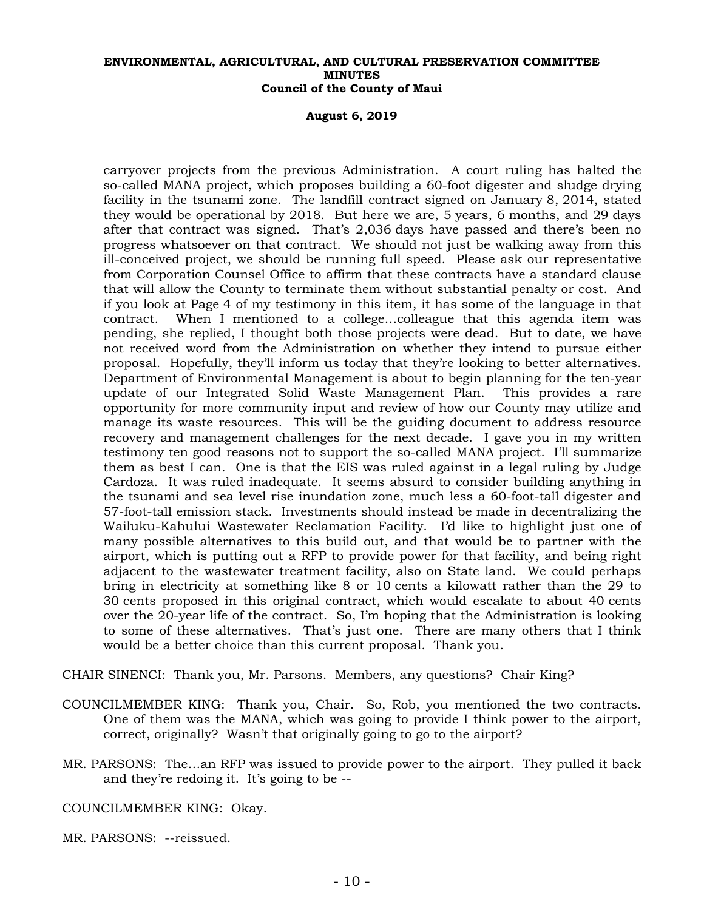**August 6, 2019** 

carryover projects from the previous Administration. A court ruling has halted the so-called MANA project, which proposes building a 60-foot digester and sludge drying facility in the tsunami zone. The landfill contract signed on January 8, 2014, stated they would be operational by 2018. But here we are, 5 years, 6 months, and 29 days after that contract was signed. That's 2,036 days have passed and there's been no progress whatsoever on that contract. We should not just be walking away from this ill-conceived project, we should be running full speed. Please ask our representative from Corporation Counsel Office to affirm that these contracts have a standard clause that will allow the County to terminate them without substantial penalty or cost. And if you look at Page 4 of my testimony in this item, it has some of the language in that contract. When I mentioned to a college…colleague that this agenda item was pending, she replied, I thought both those projects were dead. But to date, we have not received word from the Administration on whether they intend to pursue either proposal. Hopefully, they'll inform us today that they're looking to better alternatives. Department of Environmental Management is about to begin planning for the ten-year update of our Integrated Solid Waste Management Plan. This provides a rare opportunity for more community input and review of how our County may utilize and manage its waste resources. This will be the guiding document to address resource recovery and management challenges for the next decade. I gave you in my written testimony ten good reasons not to support the so-called MANA project. I'll summarize them as best I can. One is that the EIS was ruled against in a legal ruling by Judge Cardoza. It was ruled inadequate. It seems absurd to consider building anything in the tsunami and sea level rise inundation zone, much less a 60-foot-tall digester and 57-foot-tall emission stack. Investments should instead be made in decentralizing the Wailuku-Kahului Wastewater Reclamation Facility. I'd like to highlight just one of many possible alternatives to this build out, and that would be to partner with the airport, which is putting out a RFP to provide power for that facility, and being right adjacent to the wastewater treatment facility, also on State land. We could perhaps bring in electricity at something like 8 or 10 cents a kilowatt rather than the 29 to 30 cents proposed in this original contract, which would escalate to about 40 cents over the 20-year life of the contract. So, I'm hoping that the Administration is looking to some of these alternatives. That's just one. There are many others that I think would be a better choice than this current proposal. Thank you.

CHAIR SINENCI: Thank you, Mr. Parsons. Members, any questions? Chair King?

- COUNCILMEMBER KING: Thank you, Chair. So, Rob, you mentioned the two contracts. One of them was the MANA, which was going to provide I think power to the airport, correct, originally? Wasn't that originally going to go to the airport?
- MR. PARSONS: The…an RFP was issued to provide power to the airport. They pulled it back and they're redoing it. It's going to be --

COUNCILMEMBER KING: Okay.

MR. PARSONS: --reissued.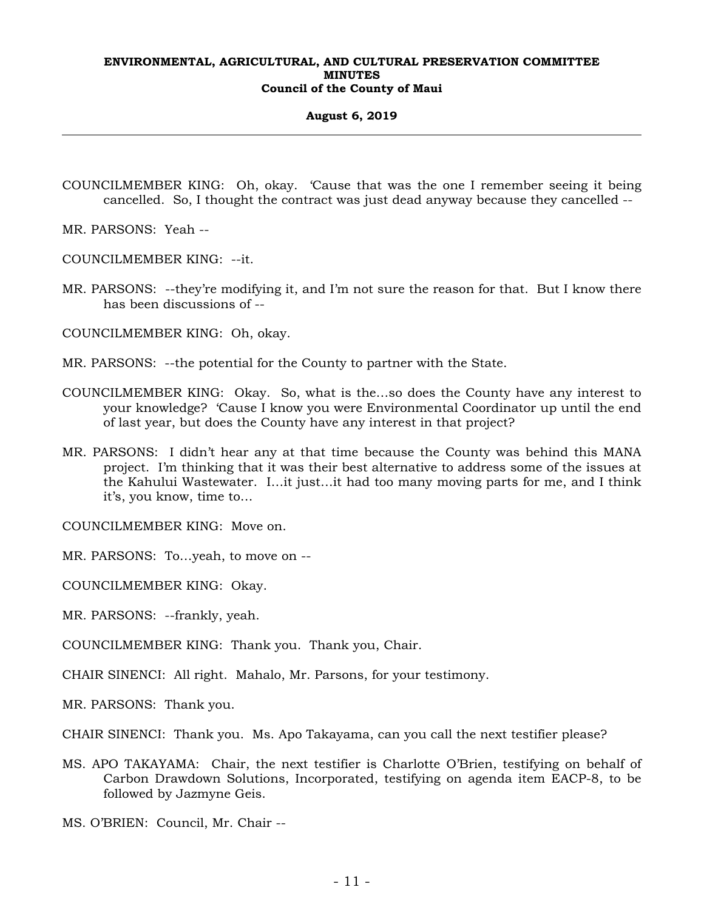#### **August 6, 2019**

COUNCILMEMBER KING: Oh, okay. 'Cause that was the one I remember seeing it being cancelled. So, I thought the contract was just dead anyway because they cancelled --

MR. PARSONS: Yeah --

COUNCILMEMBER KING: --it.

MR. PARSONS: --they're modifying it, and I'm not sure the reason for that. But I know there has been discussions of --

COUNCILMEMBER KING: Oh, okay.

- MR. PARSONS: --the potential for the County to partner with the State.
- COUNCILMEMBER KING: Okay. So, what is the…so does the County have any interest to your knowledge? 'Cause I know you were Environmental Coordinator up until the end of last year, but does the County have any interest in that project?
- MR. PARSONS: I didn't hear any at that time because the County was behind this MANA project. I'm thinking that it was their best alternative to address some of the issues at the Kahului Wastewater. I…it just…it had too many moving parts for me, and I think it's, you know, time to…

COUNCILMEMBER KING: Move on.

MR. PARSONS: To…yeah, to move on --

COUNCILMEMBER KING: Okay.

MR. PARSONS: --frankly, yeah.

COUNCILMEMBER KING: Thank you. Thank you, Chair.

CHAIR SINENCI: All right. Mahalo, Mr. Parsons, for your testimony.

MR. PARSONS: Thank you.

CHAIR SINENCI: Thank you. Ms. Apo Takayama, can you call the next testifier please?

MS. APO TAKAYAMA: Chair, the next testifier is Charlotte O'Brien, testifying on behalf of Carbon Drawdown Solutions, Incorporated, testifying on agenda item EACP-8, to be followed by Jazmyne Geis.

MS. O'BRIEN: Council, Mr. Chair --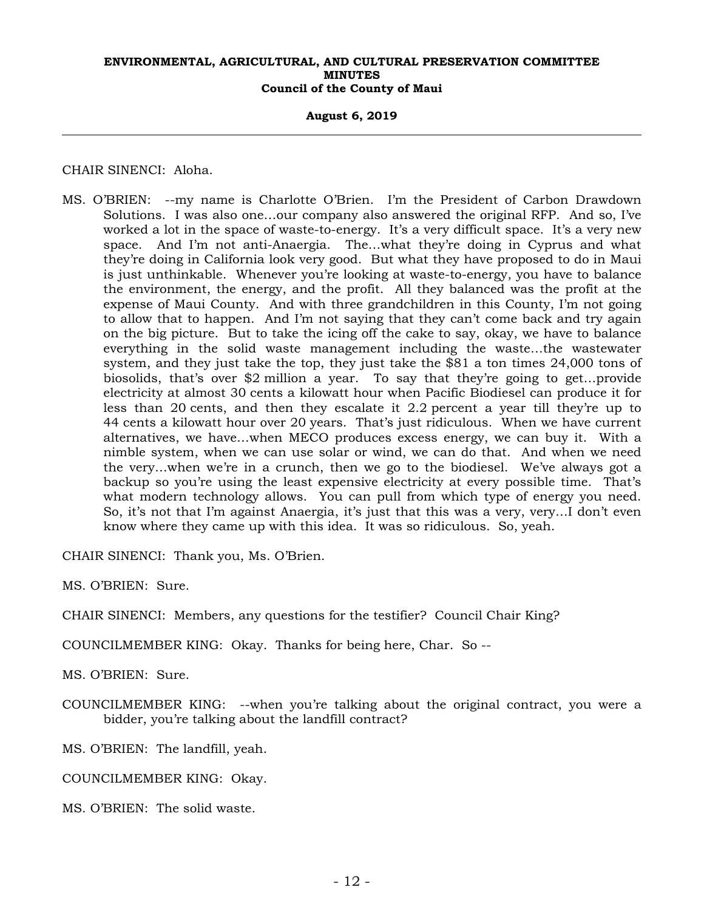#### **August 6, 2019**

CHAIR SINENCI: Aloha.

MS. O'BRIEN: --my name is Charlotte O'Brien. I'm the President of Carbon Drawdown Solutions. I was also one…our company also answered the original RFP. And so, I've worked a lot in the space of waste-to-energy. It's a very difficult space. It's a very new space. And I'm not anti-Anaergia. The…what they're doing in Cyprus and what they're doing in California look very good. But what they have proposed to do in Maui is just unthinkable. Whenever you're looking at waste-to-energy, you have to balance the environment, the energy, and the profit. All they balanced was the profit at the expense of Maui County. And with three grandchildren in this County, I'm not going to allow that to happen. And I'm not saying that they can't come back and try again on the big picture. But to take the icing off the cake to say, okay, we have to balance everything in the solid waste management including the waste…the wastewater system, and they just take the top, they just take the \$81 a ton times 24,000 tons of biosolids, that's over \$2 million a year. To say that they're going to get…provide electricity at almost 30 cents a kilowatt hour when Pacific Biodiesel can produce it for less than 20 cents, and then they escalate it 2.2 percent a year till they're up to 44 cents a kilowatt hour over 20 years. That's just ridiculous. When we have current alternatives, we have…when MECO produces excess energy, we can buy it. With a nimble system, when we can use solar or wind, we can do that. And when we need the very…when we're in a crunch, then we go to the biodiesel. We've always got a backup so you're using the least expensive electricity at every possible time. That's what modern technology allows. You can pull from which type of energy you need. So, it's not that I'm against Anaergia, it's just that this was a very, very…I don't even know where they came up with this idea. It was so ridiculous. So, yeah.

CHAIR SINENCI: Thank you, Ms. O'Brien.

MS. O'BRIEN: Sure.

CHAIR SINENCI: Members, any questions for the testifier? Council Chair King?

COUNCILMEMBER KING: Okay. Thanks for being here, Char. So --

MS. O'BRIEN: Sure.

COUNCILMEMBER KING: --when you're talking about the original contract, you were a bidder, you're talking about the landfill contract?

MS. O'BRIEN: The landfill, yeah.

COUNCILMEMBER KING: Okay.

MS. O'BRIEN: The solid waste.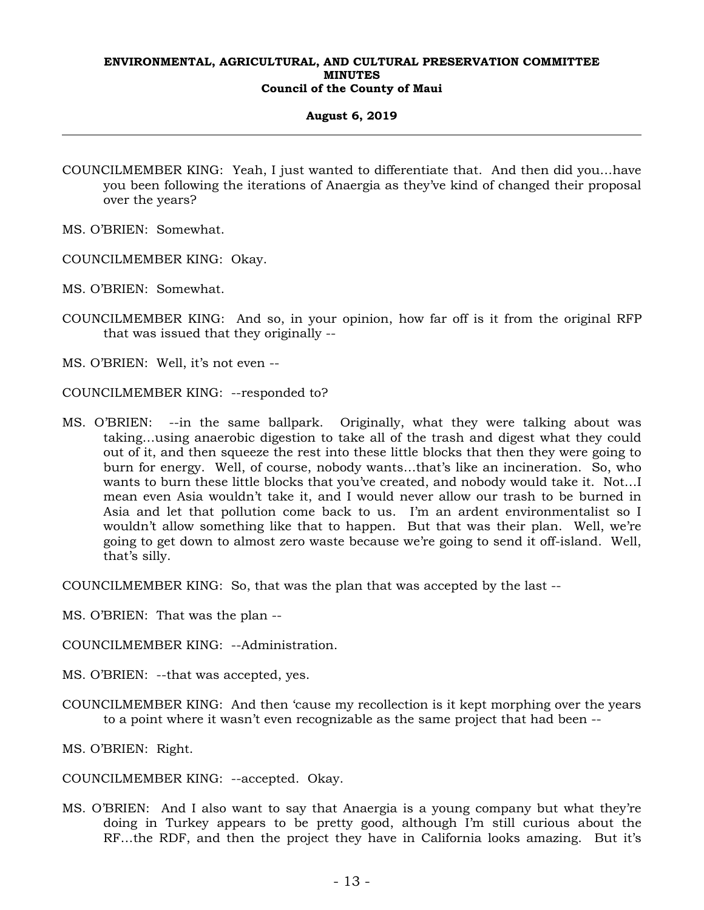#### **August 6, 2019**

- COUNCILMEMBER KING: Yeah, I just wanted to differentiate that. And then did you…have you been following the iterations of Anaergia as they've kind of changed their proposal over the years?
- MS. O'BRIEN: Somewhat.
- COUNCILMEMBER KING: Okay.
- MS. O'BRIEN: Somewhat.
- COUNCILMEMBER KING: And so, in your opinion, how far off is it from the original RFP that was issued that they originally --
- MS. O'BRIEN: Well, it's not even --
- COUNCILMEMBER KING: --responded to?
- MS. O'BRIEN: --in the same ballpark. Originally, what they were talking about was taking…using anaerobic digestion to take all of the trash and digest what they could out of it, and then squeeze the rest into these little blocks that then they were going to burn for energy. Well, of course, nobody wants…that's like an incineration. So, who wants to burn these little blocks that you've created, and nobody would take it. Not... I mean even Asia wouldn't take it, and I would never allow our trash to be burned in Asia and let that pollution come back to us. I'm an ardent environmentalist so I wouldn't allow something like that to happen. But that was their plan. Well, we're going to get down to almost zero waste because we're going to send it off-island. Well, that's silly.

COUNCILMEMBER KING: So, that was the plan that was accepted by the last --

MS. O'BRIEN: That was the plan --

- COUNCILMEMBER KING: --Administration.
- MS. O'BRIEN: --that was accepted, yes.
- COUNCILMEMBER KING: And then 'cause my recollection is it kept morphing over the years to a point where it wasn't even recognizable as the same project that had been --

MS. O'BRIEN: Right.

COUNCILMEMBER KING: --accepted. Okay.

MS. O'BRIEN: And I also want to say that Anaergia is a young company but what they're doing in Turkey appears to be pretty good, although I'm still curious about the RF…the RDF, and then the project they have in California looks amazing. But it's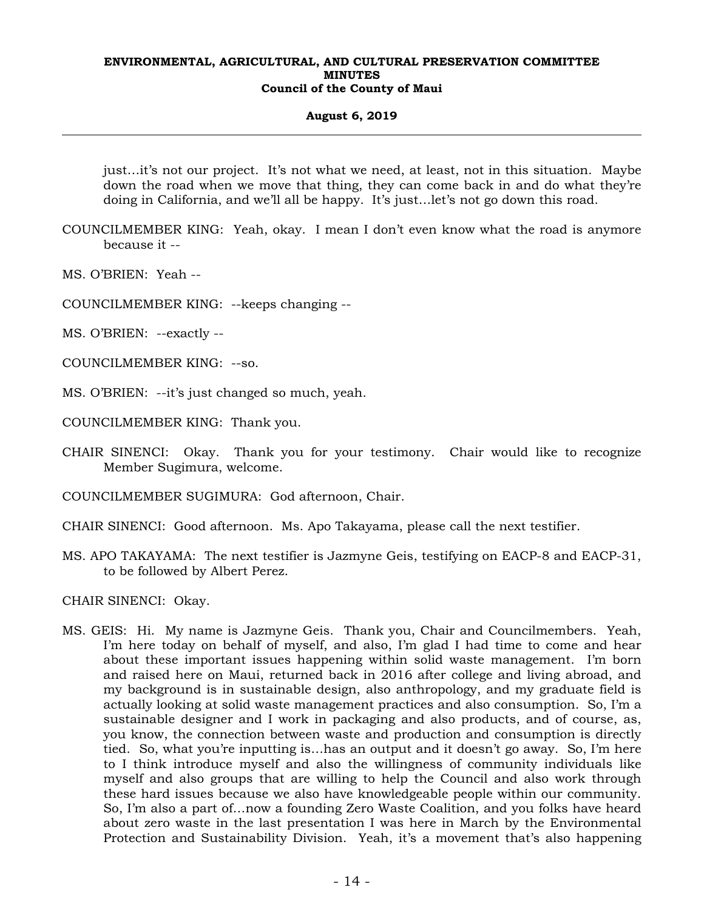#### **August 6, 2019**

just…it's not our project. It's not what we need, at least, not in this situation. Maybe down the road when we move that thing, they can come back in and do what they're doing in California, and we'll all be happy. It's just…let's not go down this road.

- COUNCILMEMBER KING: Yeah, okay. I mean I don't even know what the road is anymore because it --
- MS. O'BRIEN: Yeah --
- COUNCILMEMBER KING: --keeps changing --
- MS. O'BRIEN: --exactly --
- COUNCILMEMBER KING: --so.
- MS. O'BRIEN: --it's just changed so much, yeah.
- COUNCILMEMBER KING: Thank you.
- CHAIR SINENCI: Okay. Thank you for your testimony. Chair would like to recognize Member Sugimura, welcome.
- COUNCILMEMBER SUGIMURA: God afternoon, Chair.
- CHAIR SINENCI: Good afternoon. Ms. Apo Takayama, please call the next testifier.
- MS. APO TAKAYAMA: The next testifier is Jazmyne Geis, testifying on EACP-8 and EACP-31, to be followed by Albert Perez.

CHAIR SINENCI: Okay.

MS. GEIS: Hi. My name is Jazmyne Geis. Thank you, Chair and Councilmembers. Yeah, I'm here today on behalf of myself, and also, I'm glad I had time to come and hear about these important issues happening within solid waste management. I'm born and raised here on Maui, returned back in 2016 after college and living abroad, and my background is in sustainable design, also anthropology, and my graduate field is actually looking at solid waste management practices and also consumption. So, I'm a sustainable designer and I work in packaging and also products, and of course, as, you know, the connection between waste and production and consumption is directly tied. So, what you're inputting is…has an output and it doesn't go away. So, I'm here to I think introduce myself and also the willingness of community individuals like myself and also groups that are willing to help the Council and also work through these hard issues because we also have knowledgeable people within our community. So, I'm also a part of…now a founding Zero Waste Coalition, and you folks have heard about zero waste in the last presentation I was here in March by the Environmental Protection and Sustainability Division. Yeah, it's a movement that's also happening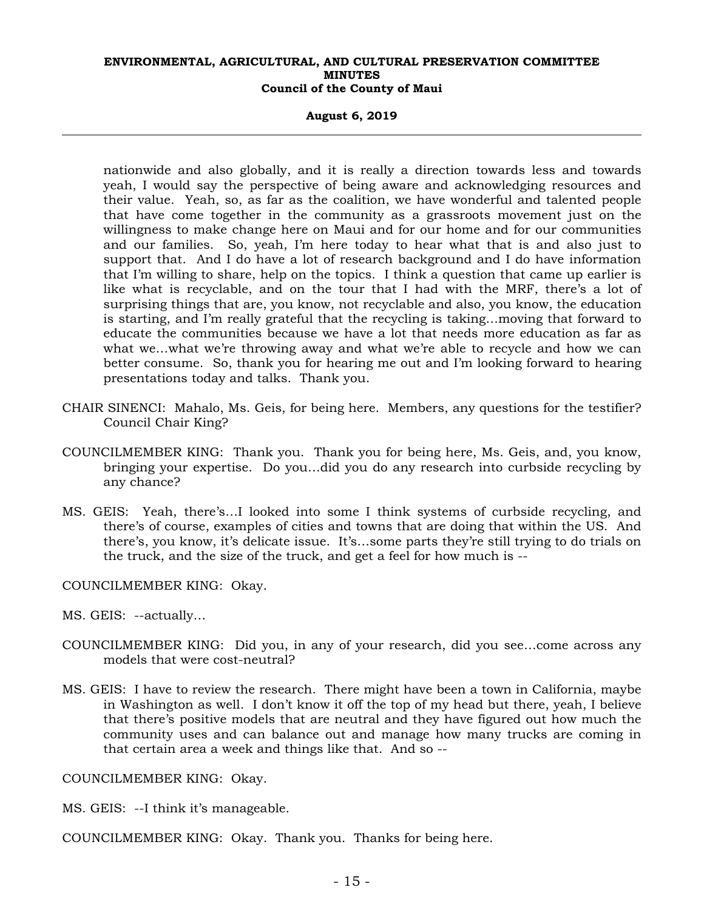**August 6, 2019** 

nationwide and also globally, and it is really a direction towards less and towards yeah, I would say the perspective of being aware and acknowledging resources and their value. Yeah, so, as far as the coalition, we have wonderful and talented people that have come together in the community as a grassroots movement just on the willingness to make change here on Maui and for our home and for our communities and our families. So, yeah, I'm here today to hear what that is and also just to support that. And I do have a lot of research background and I do have information that I'm willing to share, help on the topics. I think a question that came up earlier is like what is recyclable, and on the tour that I had with the MRF, there's a lot of surprising things that are, you know, not recyclable and also, you know, the education is starting, and I'm really grateful that the recycling is taking…moving that forward to educate the communities because we have a lot that needs more education as far as what we…what we're throwing away and what we're able to recycle and how we can better consume. So, thank you for hearing me out and I'm looking forward to hearing presentations today and talks. Thank you.

- CHAIR SINENCI: Mahalo, Ms. Geis, for being here. Members, any questions for the testifier? Council Chair King?
- COUNCILMEMBER KING: Thank you. Thank you for being here, Ms. Geis, and, you know, bringing your expertise. Do you…did you do any research into curbside recycling by any chance?
- MS. GEIS: Yeah, there's…I looked into some I think systems of curbside recycling, and there's of course, examples of cities and towns that are doing that within the US. And there's, you know, it's delicate issue. It's…some parts they're still trying to do trials on the truck, and the size of the truck, and get a feel for how much is --

COUNCILMEMBER KING: Okay.

- MS. GEIS: --actually…
- COUNCILMEMBER KING: Did you, in any of your research, did you see…come across any models that were cost-neutral?
- MS. GEIS: I have to review the research. There might have been a town in California, maybe in Washington as well. I don't know it off the top of my head but there, yeah, I believe that there's positive models that are neutral and they have figured out how much the community uses and can balance out and manage how many trucks are coming in that certain area a week and things like that. And so --

COUNCILMEMBER KING: Okay.

- MS. GEIS: --I think it's manageable.
- COUNCILMEMBER KING: Okay. Thank you. Thanks for being here.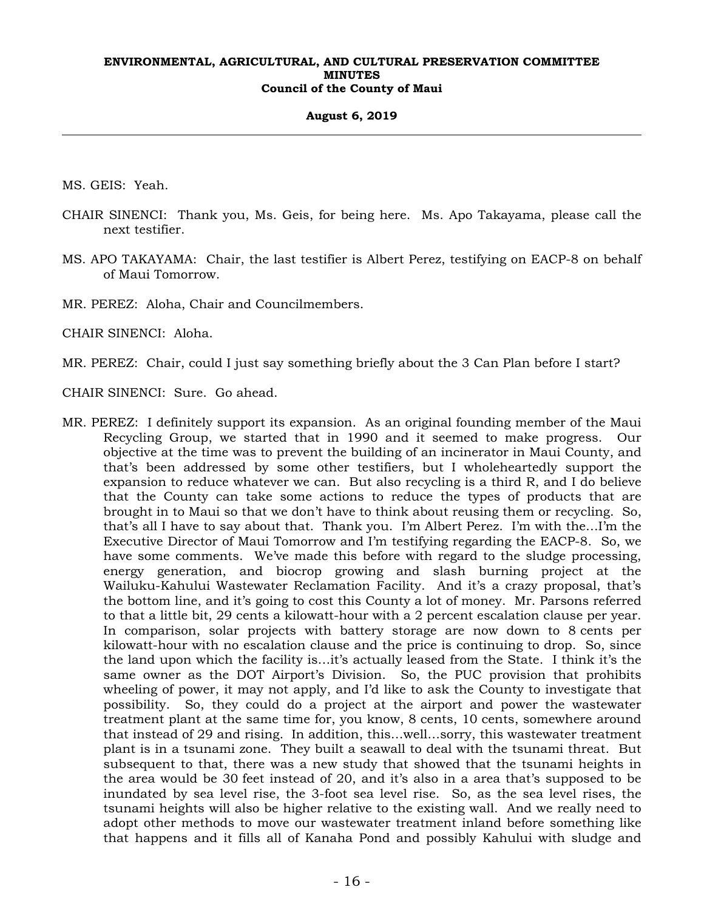#### **August 6, 2019**

MS. GEIS: Yeah.

- CHAIR SINENCI: Thank you, Ms. Geis, for being here. Ms. Apo Takayama, please call the next testifier.
- MS. APO TAKAYAMA: Chair, the last testifier is Albert Perez, testifying on EACP-8 on behalf of Maui Tomorrow.
- MR. PEREZ: Aloha, Chair and Councilmembers.

CHAIR SINENCI: Aloha.

MR. PEREZ: Chair, could I just say something briefly about the 3 Can Plan before I start?

CHAIR SINENCI: Sure. Go ahead.

MR. PEREZ: I definitely support its expansion. As an original founding member of the Maui Recycling Group, we started that in 1990 and it seemed to make progress. Our objective at the time was to prevent the building of an incinerator in Maui County, and that's been addressed by some other testifiers, but I wholeheartedly support the expansion to reduce whatever we can. But also recycling is a third R, and I do believe that the County can take some actions to reduce the types of products that are brought in to Maui so that we don't have to think about reusing them or recycling. So, that's all I have to say about that. Thank you. I'm Albert Perez. I'm with the…I'm the Executive Director of Maui Tomorrow and I'm testifying regarding the EACP-8. So, we have some comments. We've made this before with regard to the sludge processing, energy generation, and biocrop growing and slash burning project at the Wailuku-Kahului Wastewater Reclamation Facility. And it's a crazy proposal, that's the bottom line, and it's going to cost this County a lot of money. Mr. Parsons referred to that a little bit, 29 cents a kilowatt-hour with a 2 percent escalation clause per year. In comparison, solar projects with battery storage are now down to 8 cents per kilowatt-hour with no escalation clause and the price is continuing to drop. So, since the land upon which the facility is…it's actually leased from the State. I think it's the same owner as the DOT Airport's Division. So, the PUC provision that prohibits wheeling of power, it may not apply, and I'd like to ask the County to investigate that possibility. So, they could do a project at the airport and power the wastewater treatment plant at the same time for, you know, 8 cents, 10 cents, somewhere around that instead of 29 and rising. In addition, this…well…sorry, this wastewater treatment plant is in a tsunami zone. They built a seawall to deal with the tsunami threat. But subsequent to that, there was a new study that showed that the tsunami heights in the area would be 30 feet instead of 20, and it's also in a area that's supposed to be inundated by sea level rise, the 3-foot sea level rise. So, as the sea level rises, the tsunami heights will also be higher relative to the existing wall. And we really need to adopt other methods to move our wastewater treatment inland before something like that happens and it fills all of Kanaha Pond and possibly Kahului with sludge and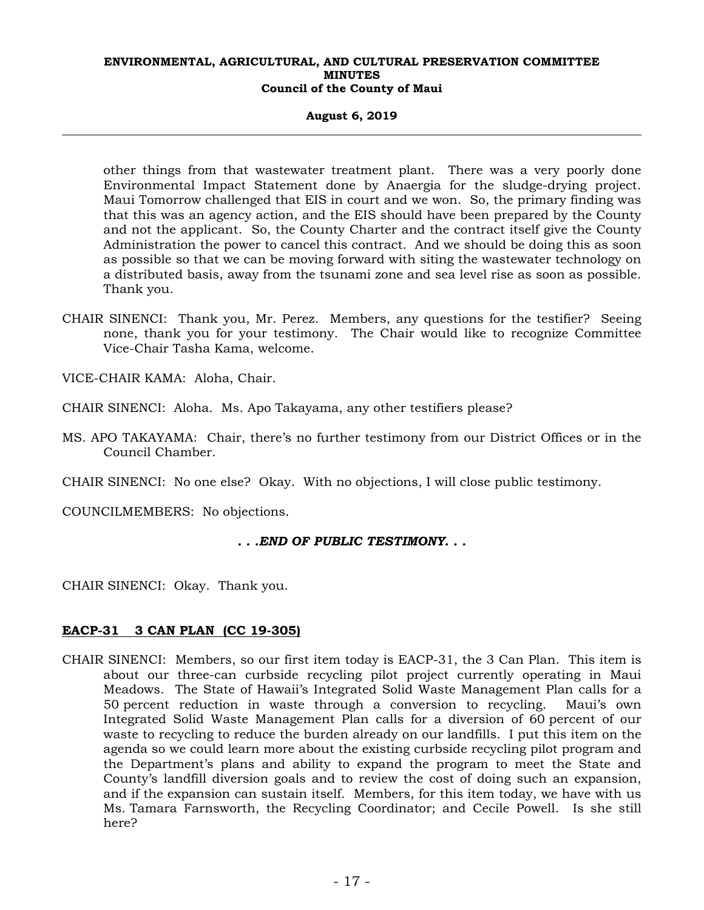#### **August 6, 2019**

other things from that wastewater treatment plant. There was a very poorly done Environmental Impact Statement done by Anaergia for the sludge-drying project. Maui Tomorrow challenged that EIS in court and we won. So, the primary finding was that this was an agency action, and the EIS should have been prepared by the County and not the applicant. So, the County Charter and the contract itself give the County Administration the power to cancel this contract. And we should be doing this as soon as possible so that we can be moving forward with siting the wastewater technology on a distributed basis, away from the tsunami zone and sea level rise as soon as possible. Thank you.

CHAIR SINENCI: Thank you, Mr. Perez. Members, any questions for the testifier? Seeing none, thank you for your testimony. The Chair would like to recognize Committee Vice-Chair Tasha Kama, welcome.

VICE-CHAIR KAMA: Aloha, Chair.

CHAIR SINENCI: Aloha. Ms. Apo Takayama, any other testifiers please?

MS. APO TAKAYAMA: Chair, there's no further testimony from our District Offices or in the Council Chamber.

CHAIR SINENCI: No one else? Okay. With no objections, I will close public testimony.

COUNCILMEMBERS: No objections.

# *. . .END OF PUBLIC TESTIMONY. . .*

CHAIR SINENCI: Okay. Thank you.

# **EACP-31 3 CAN PLAN (CC 19-305)**

CHAIR SINENCI: Members, so our first item today is EACP-31, the 3 Can Plan. This item is about our three-can curbside recycling pilot project currently operating in Maui Meadows. The State of Hawaii's Integrated Solid Waste Management Plan calls for a 50 percent reduction in waste through a conversion to recycling. Maui's own Integrated Solid Waste Management Plan calls for a diversion of 60 percent of our waste to recycling to reduce the burden already on our landfills. I put this item on the agenda so we could learn more about the existing curbside recycling pilot program and the Department's plans and ability to expand the program to meet the State and County's landfill diversion goals and to review the cost of doing such an expansion, and if the expansion can sustain itself. Members, for this item today, we have with us Ms. Tamara Farnsworth, the Recycling Coordinator; and Cecile Powell. Is she still here?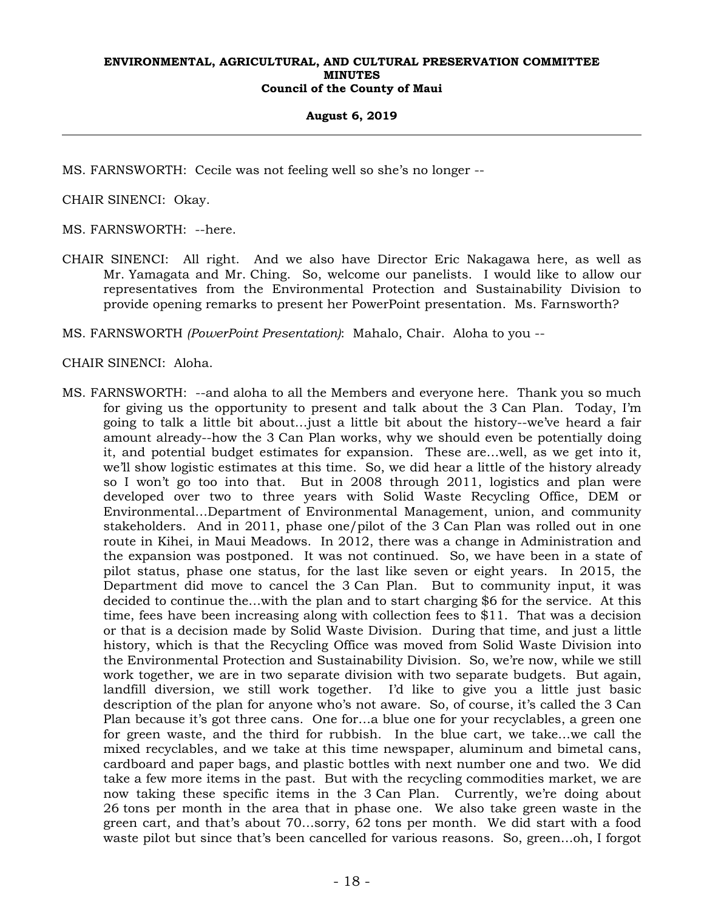#### **August 6, 2019**

MS. FARNSWORTH: Cecile was not feeling well so she's no longer --

CHAIR SINENCI: Okay.

MS. FARNSWORTH: --here.

CHAIR SINENCI: All right. And we also have Director Eric Nakagawa here, as well as Mr. Yamagata and Mr. Ching. So, welcome our panelists. I would like to allow our representatives from the Environmental Protection and Sustainability Division to provide opening remarks to present her PowerPoint presentation. Ms. Farnsworth?

MS. FARNSWORTH *(PowerPoint Presentation)*: Mahalo, Chair. Aloha to you --

CHAIR SINENCI: Aloha.

MS. FARNSWORTH: --and aloha to all the Members and everyone here. Thank you so much for giving us the opportunity to present and talk about the 3 Can Plan. Today, I'm going to talk a little bit about…just a little bit about the history--we've heard a fair amount already--how the 3 Can Plan works, why we should even be potentially doing it, and potential budget estimates for expansion. These are…well, as we get into it, we'll show logistic estimates at this time. So, we did hear a little of the history already so I won't go too into that. But in 2008 through 2011, logistics and plan were developed over two to three years with Solid Waste Recycling Office, DEM or Environmental…Department of Environmental Management, union, and community stakeholders. And in 2011, phase one/pilot of the 3 Can Plan was rolled out in one route in Kihei, in Maui Meadows. In 2012, there was a change in Administration and the expansion was postponed. It was not continued. So, we have been in a state of pilot status, phase one status, for the last like seven or eight years. In 2015, the Department did move to cancel the 3 Can Plan. But to community input, it was decided to continue the…with the plan and to start charging \$6 for the service. At this time, fees have been increasing along with collection fees to \$11. That was a decision or that is a decision made by Solid Waste Division. During that time, and just a little history, which is that the Recycling Office was moved from Solid Waste Division into the Environmental Protection and Sustainability Division. So, we're now, while we still work together, we are in two separate division with two separate budgets. But again, landfill diversion, we still work together. I'd like to give you a little just basic description of the plan for anyone who's not aware. So, of course, it's called the 3 Can Plan because it's got three cans. One for…a blue one for your recyclables, a green one for green waste, and the third for rubbish. In the blue cart, we take…we call the mixed recyclables, and we take at this time newspaper, aluminum and bimetal cans, cardboard and paper bags, and plastic bottles with next number one and two. We did take a few more items in the past. But with the recycling commodities market, we are now taking these specific items in the 3 Can Plan. Currently, we're doing about 26 tons per month in the area that in phase one. We also take green waste in the green cart, and that's about 70…sorry, 62 tons per month. We did start with a food waste pilot but since that's been cancelled for various reasons. So, green…oh, I forgot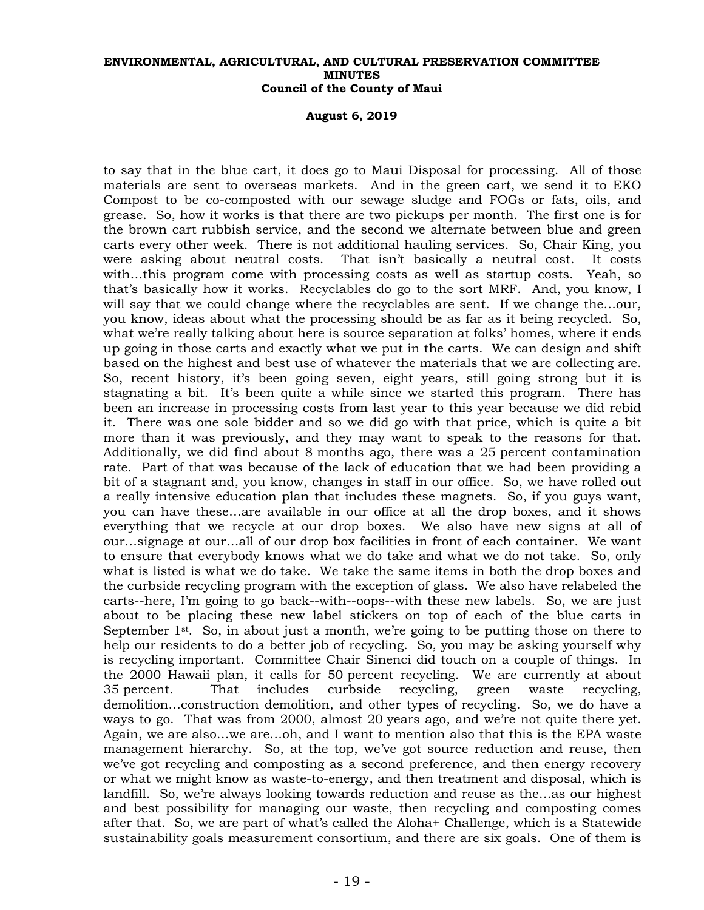**August 6, 2019** 

to say that in the blue cart, it does go to Maui Disposal for processing. All of those materials are sent to overseas markets. And in the green cart, we send it to EKO Compost to be co-composted with our sewage sludge and FOGs or fats, oils, and grease. So, how it works is that there are two pickups per month. The first one is for the brown cart rubbish service, and the second we alternate between blue and green carts every other week. There is not additional hauling services. So, Chair King, you were asking about neutral costs. That isn't basically a neutral cost. It costs with…this program come with processing costs as well as startup costs. Yeah, so that's basically how it works. Recyclables do go to the sort MRF. And, you know, I will say that we could change where the recyclables are sent. If we change the…our, you know, ideas about what the processing should be as far as it being recycled. So, what we're really talking about here is source separation at folks' homes, where it ends up going in those carts and exactly what we put in the carts. We can design and shift based on the highest and best use of whatever the materials that we are collecting are. So, recent history, it's been going seven, eight years, still going strong but it is stagnating a bit. It's been quite a while since we started this program. There has been an increase in processing costs from last year to this year because we did rebid it. There was one sole bidder and so we did go with that price, which is quite a bit more than it was previously, and they may want to speak to the reasons for that. Additionally, we did find about 8 months ago, there was a 25 percent contamination rate. Part of that was because of the lack of education that we had been providing a bit of a stagnant and, you know, changes in staff in our office. So, we have rolled out a really intensive education plan that includes these magnets. So, if you guys want, you can have these…are available in our office at all the drop boxes, and it shows everything that we recycle at our drop boxes. We also have new signs at all of our…signage at our…all of our drop box facilities in front of each container. We want to ensure that everybody knows what we do take and what we do not take. So, only what is listed is what we do take. We take the same items in both the drop boxes and the curbside recycling program with the exception of glass. We also have relabeled the carts--here, I'm going to go back--with--oops--with these new labels. So, we are just about to be placing these new label stickers on top of each of the blue carts in September  $1^{st}$ . So, in about just a month, we're going to be putting those on there to help our residents to do a better job of recycling. So, you may be asking yourself why is recycling important. Committee Chair Sinenci did touch on a couple of things. In the 2000 Hawaii plan, it calls for 50 percent recycling. We are currently at about 35 percent. That includes curbside recycling, green waste recycling, demolition…construction demolition, and other types of recycling. So, we do have a ways to go. That was from 2000, almost 20 years ago, and we're not quite there yet. Again, we are also…we are…oh, and I want to mention also that this is the EPA waste management hierarchy. So, at the top, we've got source reduction and reuse, then we've got recycling and composting as a second preference, and then energy recovery or what we might know as waste-to-energy, and then treatment and disposal, which is landfill. So, we're always looking towards reduction and reuse as the…as our highest and best possibility for managing our waste, then recycling and composting comes after that. So, we are part of what's called the Aloha+ Challenge, which is a Statewide sustainability goals measurement consortium, and there are six goals. One of them is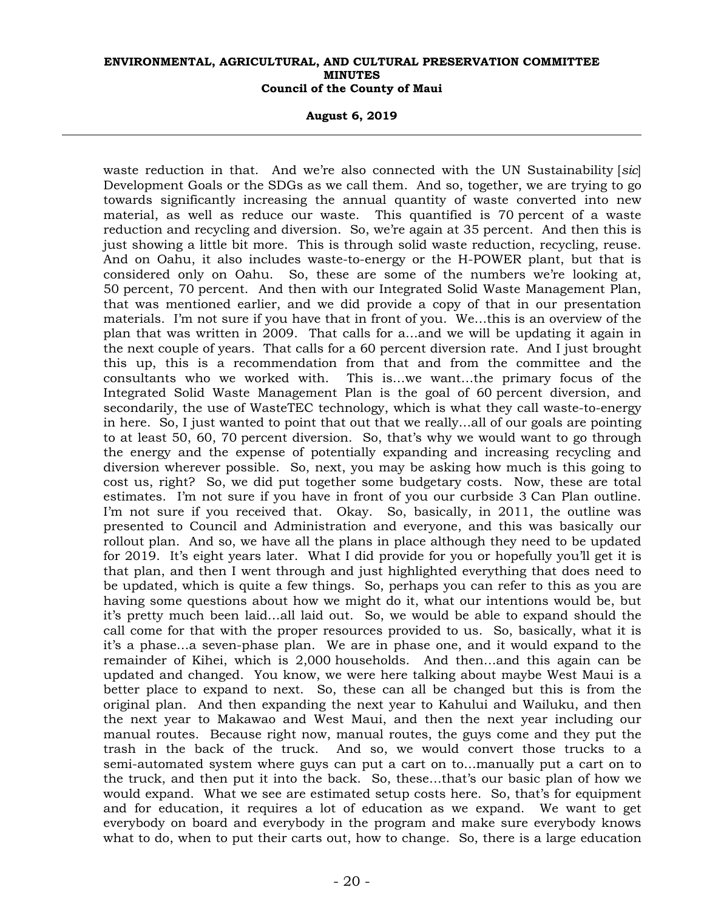**August 6, 2019** 

waste reduction in that. And we're also connected with the UN Sustainability [*sic*] Development Goals or the SDGs as we call them. And so, together, we are trying to go towards significantly increasing the annual quantity of waste converted into new material, as well as reduce our waste. This quantified is 70 percent of a waste reduction and recycling and diversion. So, we're again at 35 percent. And then this is just showing a little bit more. This is through solid waste reduction, recycling, reuse. And on Oahu, it also includes waste-to-energy or the H-POWER plant, but that is considered only on Oahu. So, these are some of the numbers we're looking at, 50 percent, 70 percent. And then with our Integrated Solid Waste Management Plan, that was mentioned earlier, and we did provide a copy of that in our presentation materials. I'm not sure if you have that in front of you. We…this is an overview of the plan that was written in 2009. That calls for a…and we will be updating it again in the next couple of years. That calls for a 60 percent diversion rate. And I just brought this up, this is a recommendation from that and from the committee and the consultants who we worked with. This is…we want…the primary focus of the Integrated Solid Waste Management Plan is the goal of 60 percent diversion, and secondarily, the use of WasteTEC technology, which is what they call waste-to-energy in here. So, I just wanted to point that out that we really…all of our goals are pointing to at least 50, 60, 70 percent diversion. So, that's why we would want to go through the energy and the expense of potentially expanding and increasing recycling and diversion wherever possible. So, next, you may be asking how much is this going to cost us, right? So, we did put together some budgetary costs. Now, these are total estimates. I'm not sure if you have in front of you our curbside 3 Can Plan outline. I'm not sure if you received that. Okay. So, basically, in 2011, the outline was presented to Council and Administration and everyone, and this was basically our rollout plan. And so, we have all the plans in place although they need to be updated for 2019. It's eight years later. What I did provide for you or hopefully you'll get it is that plan, and then I went through and just highlighted everything that does need to be updated, which is quite a few things. So, perhaps you can refer to this as you are having some questions about how we might do it, what our intentions would be, but it's pretty much been laid…all laid out. So, we would be able to expand should the call come for that with the proper resources provided to us. So, basically, what it is it's a phase…a seven-phase plan. We are in phase one, and it would expand to the remainder of Kihei, which is 2,000 households. And then…and this again can be updated and changed. You know, we were here talking about maybe West Maui is a better place to expand to next. So, these can all be changed but this is from the original plan. And then expanding the next year to Kahului and Wailuku, and then the next year to Makawao and West Maui, and then the next year including our manual routes. Because right now, manual routes, the guys come and they put the trash in the back of the truck. And so, we would convert those trucks to a semi-automated system where guys can put a cart on to…manually put a cart on to the truck, and then put it into the back. So, these…that's our basic plan of how we would expand. What we see are estimated setup costs here. So, that's for equipment and for education, it requires a lot of education as we expand. We want to get everybody on board and everybody in the program and make sure everybody knows what to do, when to put their carts out, how to change. So, there is a large education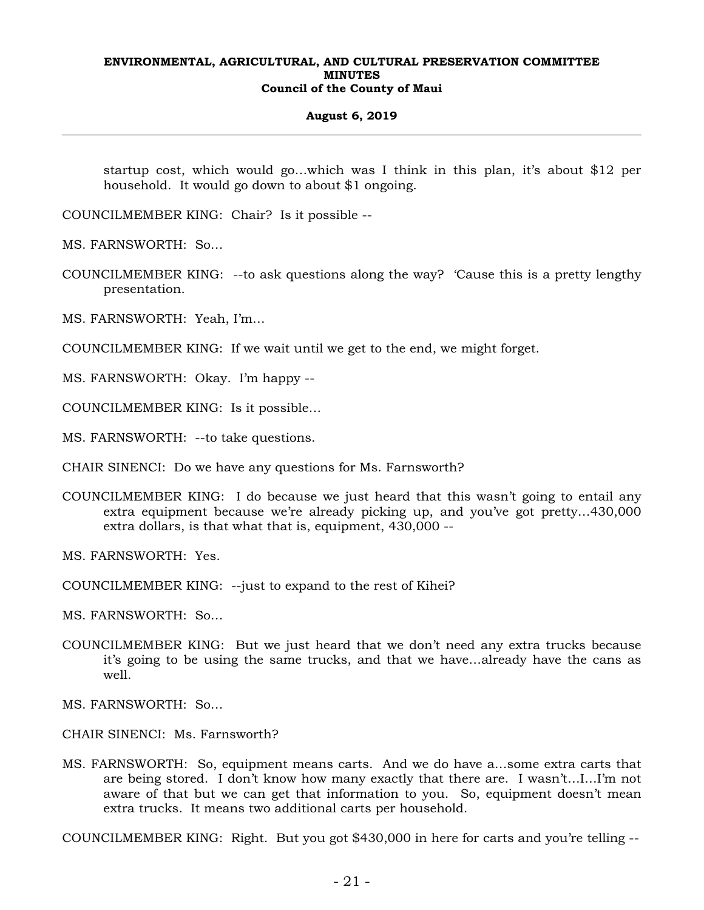#### **August 6, 2019**

startup cost, which would go…which was I think in this plan, it's about \$12 per household. It would go down to about \$1 ongoing.

COUNCILMEMBER KING: Chair? Is it possible --

MS. FARNSWORTH: So…

- COUNCILMEMBER KING: --to ask questions along the way? 'Cause this is a pretty lengthy presentation.
- MS. FARNSWORTH: Yeah, I'm…

COUNCILMEMBER KING: If we wait until we get to the end, we might forget.

MS. FARNSWORTH: Okay. I'm happy --

COUNCILMEMBER KING: Is it possible…

MS. FARNSWORTH: --to take questions.

CHAIR SINENCI: Do we have any questions for Ms. Farnsworth?

COUNCILMEMBER KING: I do because we just heard that this wasn't going to entail any extra equipment because we're already picking up, and you've got pretty…430,000 extra dollars, is that what that is, equipment, 430,000 --

MS. FARNSWORTH: Yes.

COUNCILMEMBER KING: --just to expand to the rest of Kihei?

MS. FARNSWORTH: So…

COUNCILMEMBER KING: But we just heard that we don't need any extra trucks because it's going to be using the same trucks, and that we have…already have the cans as well.

MS. FARNSWORTH: So…

CHAIR SINENCI: Ms. Farnsworth?

MS. FARNSWORTH: So, equipment means carts. And we do have a…some extra carts that are being stored. I don't know how many exactly that there are. I wasn't…I…I'm not aware of that but we can get that information to you. So, equipment doesn't mean extra trucks. It means two additional carts per household.

COUNCILMEMBER KING: Right. But you got \$430,000 in here for carts and you're telling --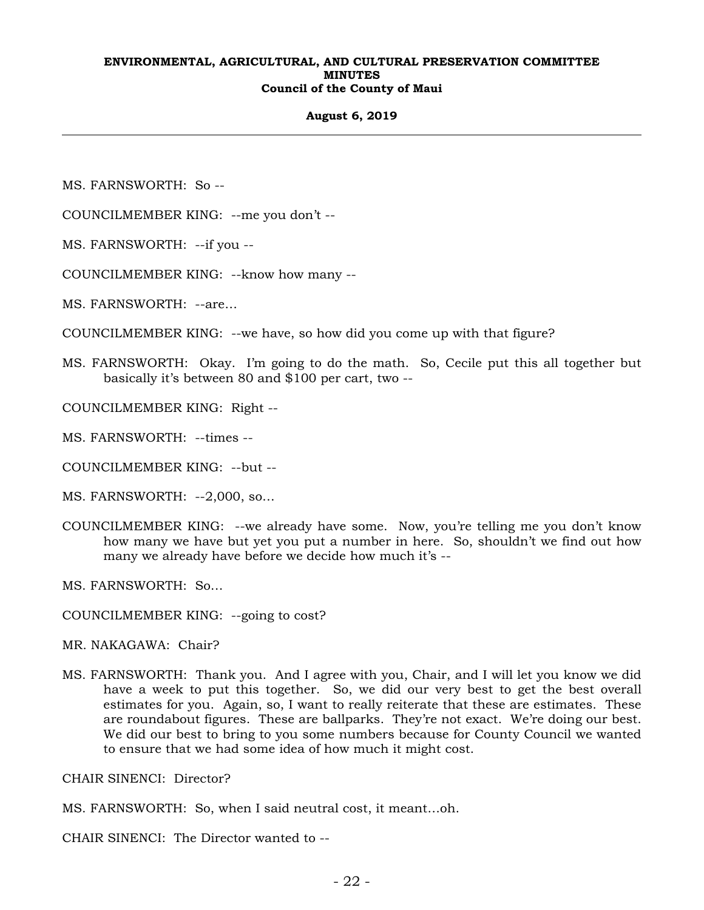#### **August 6, 2019**

MS. FARNSWORTH: So --

COUNCILMEMBER KING: --me you don't --

MS. FARNSWORTH: --if you --

COUNCILMEMBER KING: --know how many --

MS. FARNSWORTH: --are…

COUNCILMEMBER KING: --we have, so how did you come up with that figure?

MS. FARNSWORTH: Okay. I'm going to do the math. So, Cecile put this all together but basically it's between 80 and \$100 per cart, two --

COUNCILMEMBER KING: Right --

MS. FARNSWORTH: --times --

COUNCILMEMBER KING: --but --

MS. FARNSWORTH: --2,000, so…

COUNCILMEMBER KING: --we already have some. Now, you're telling me you don't know how many we have but yet you put a number in here. So, shouldn't we find out how many we already have before we decide how much it's --

MS. FARNSWORTH: So…

COUNCILMEMBER KING: --going to cost?

MR. NAKAGAWA: Chair?

MS. FARNSWORTH: Thank you. And I agree with you, Chair, and I will let you know we did have a week to put this together. So, we did our very best to get the best overall estimates for you. Again, so, I want to really reiterate that these are estimates. These are roundabout figures. These are ballparks. They're not exact. We're doing our best. We did our best to bring to you some numbers because for County Council we wanted to ensure that we had some idea of how much it might cost.

CHAIR SINENCI: Director?

MS. FARNSWORTH: So, when I said neutral cost, it meant…oh.

CHAIR SINENCI: The Director wanted to --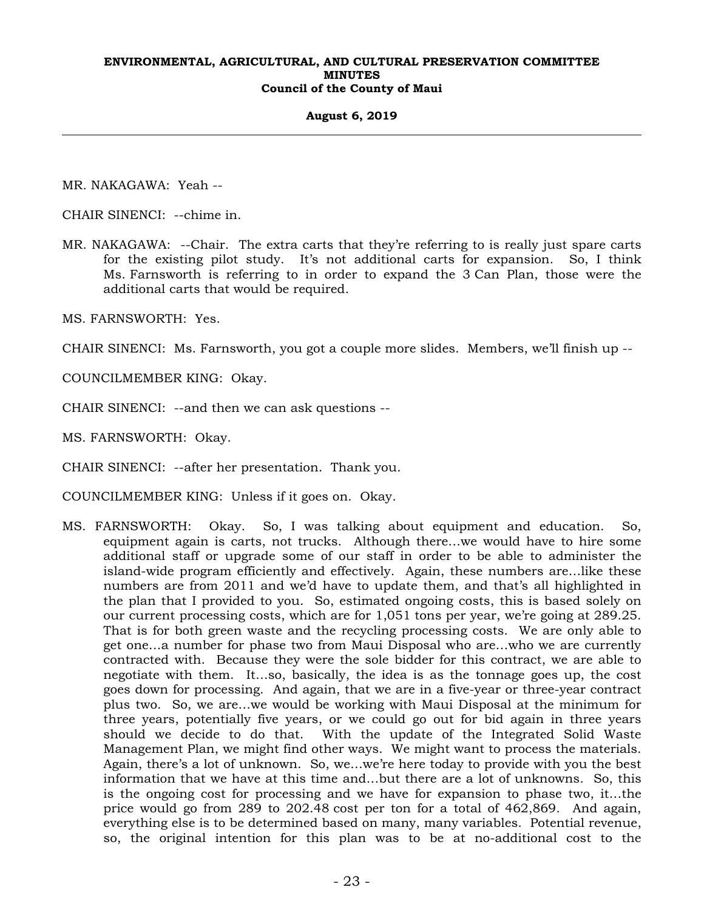#### **August 6, 2019**

MR. NAKAGAWA: Yeah --

CHAIR SINENCI: --chime in.

MR. NAKAGAWA: --Chair. The extra carts that they're referring to is really just spare carts for the existing pilot study. It's not additional carts for expansion. So, I think Ms. Farnsworth is referring to in order to expand the 3 Can Plan, those were the additional carts that would be required.

MS. FARNSWORTH: Yes.

CHAIR SINENCI: Ms. Farnsworth, you got a couple more slides. Members, we'll finish up --

COUNCILMEMBER KING: Okay.

CHAIR SINENCI: --and then we can ask questions --

MS. FARNSWORTH: Okay.

CHAIR SINENCI: --after her presentation. Thank you.

COUNCILMEMBER KING: Unless if it goes on. Okay.

MS. FARNSWORTH: Okay. So, I was talking about equipment and education. So, equipment again is carts, not trucks. Although there…we would have to hire some additional staff or upgrade some of our staff in order to be able to administer the island-wide program efficiently and effectively. Again, these numbers are…like these numbers are from 2011 and we'd have to update them, and that's all highlighted in the plan that I provided to you. So, estimated ongoing costs, this is based solely on our current processing costs, which are for 1,051 tons per year, we're going at 289.25. That is for both green waste and the recycling processing costs. We are only able to get one…a number for phase two from Maui Disposal who are…who we are currently contracted with. Because they were the sole bidder for this contract, we are able to negotiate with them. It…so, basically, the idea is as the tonnage goes up, the cost goes down for processing. And again, that we are in a five-year or three-year contract plus two. So, we are…we would be working with Maui Disposal at the minimum for three years, potentially five years, or we could go out for bid again in three years should we decide to do that. With the update of the Integrated Solid Waste Management Plan, we might find other ways. We might want to process the materials. Again, there's a lot of unknown. So, we…we're here today to provide with you the best information that we have at this time and…but there are a lot of unknowns. So, this is the ongoing cost for processing and we have for expansion to phase two, it…the price would go from 289 to 202.48 cost per ton for a total of 462,869. And again, everything else is to be determined based on many, many variables. Potential revenue, so, the original intention for this plan was to be at no-additional cost to the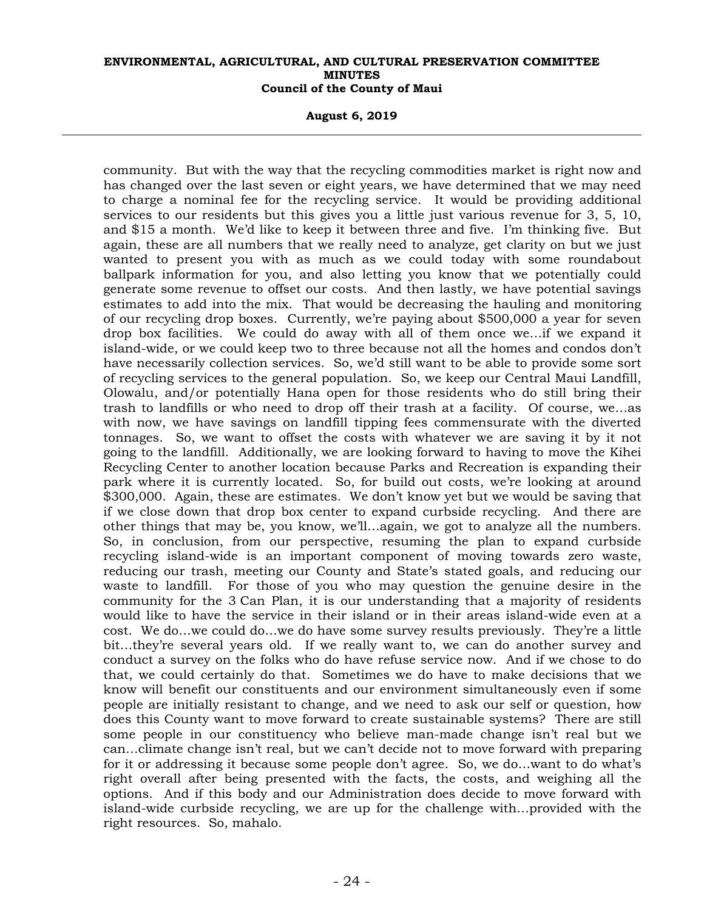**August 6, 2019** 

community. But with the way that the recycling commodities market is right now and has changed over the last seven or eight years, we have determined that we may need to charge a nominal fee for the recycling service. It would be providing additional services to our residents but this gives you a little just various revenue for 3, 5, 10, and \$15 a month. We'd like to keep it between three and five. I'm thinking five. But again, these are all numbers that we really need to analyze, get clarity on but we just wanted to present you with as much as we could today with some roundabout ballpark information for you, and also letting you know that we potentially could generate some revenue to offset our costs. And then lastly, we have potential savings estimates to add into the mix. That would be decreasing the hauling and monitoring of our recycling drop boxes. Currently, we're paying about \$500,000 a year for seven drop box facilities. We could do away with all of them once we…if we expand it island-wide, or we could keep two to three because not all the homes and condos don't have necessarily collection services. So, we'd still want to be able to provide some sort of recycling services to the general population. So, we keep our Central Maui Landfill, Olowalu, and/or potentially Hana open for those residents who do still bring their trash to landfills or who need to drop off their trash at a facility. Of course, we…as with now, we have savings on landfill tipping fees commensurate with the diverted tonnages. So, we want to offset the costs with whatever we are saving it by it not going to the landfill. Additionally, we are looking forward to having to move the Kihei Recycling Center to another location because Parks and Recreation is expanding their park where it is currently located. So, for build out costs, we're looking at around \$300,000. Again, these are estimates. We don't know yet but we would be saving that if we close down that drop box center to expand curbside recycling. And there are other things that may be, you know, we'll…again, we got to analyze all the numbers. So, in conclusion, from our perspective, resuming the plan to expand curbside recycling island-wide is an important component of moving towards zero waste, reducing our trash, meeting our County and State's stated goals, and reducing our waste to landfill. For those of you who may question the genuine desire in the community for the 3 Can Plan, it is our understanding that a majority of residents would like to have the service in their island or in their areas island-wide even at a cost. We do…we could do…we do have some survey results previously. They're a little bit…they're several years old. If we really want to, we can do another survey and conduct a survey on the folks who do have refuse service now. And if we chose to do that, we could certainly do that. Sometimes we do have to make decisions that we know will benefit our constituents and our environment simultaneously even if some people are initially resistant to change, and we need to ask our self or question, how does this County want to move forward to create sustainable systems? There are still some people in our constituency who believe man-made change isn't real but we can…climate change isn't real, but we can't decide not to move forward with preparing for it or addressing it because some people don't agree. So, we do…want to do what's right overall after being presented with the facts, the costs, and weighing all the options. And if this body and our Administration does decide to move forward with island-wide curbside recycling, we are up for the challenge with…provided with the right resources. So, mahalo.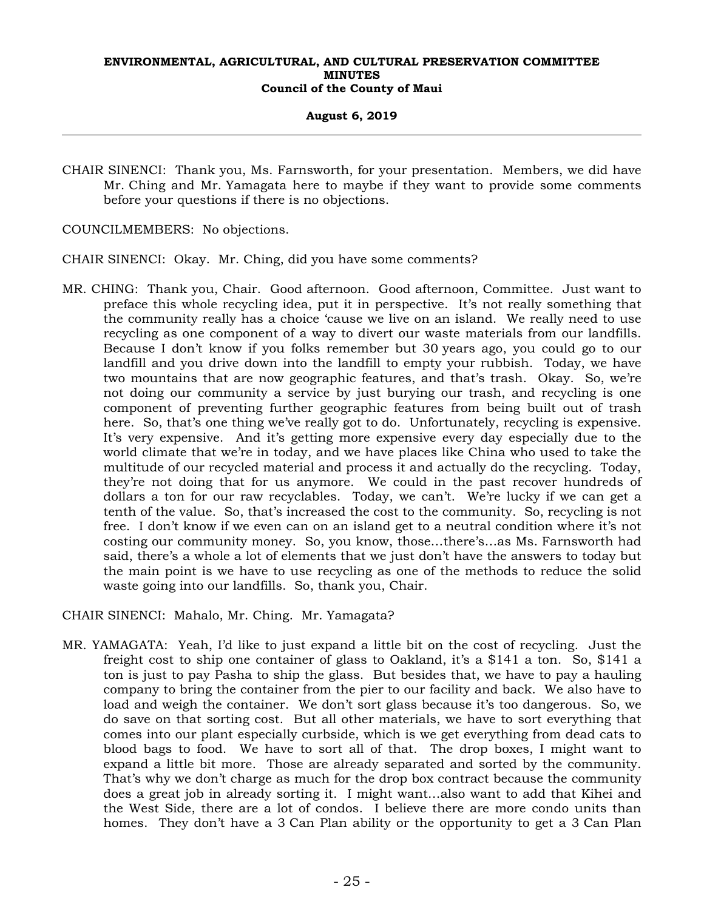#### **August 6, 2019**

CHAIR SINENCI: Thank you, Ms. Farnsworth, for your presentation. Members, we did have Mr. Ching and Mr. Yamagata here to maybe if they want to provide some comments before your questions if there is no objections.

COUNCILMEMBERS: No objections.

CHAIR SINENCI: Okay. Mr. Ching, did you have some comments?

MR. CHING: Thank you, Chair. Good afternoon. Good afternoon, Committee. Just want to preface this whole recycling idea, put it in perspective. It's not really something that the community really has a choice 'cause we live on an island. We really need to use recycling as one component of a way to divert our waste materials from our landfills. Because I don't know if you folks remember but 30 years ago, you could go to our landfill and you drive down into the landfill to empty your rubbish. Today, we have two mountains that are now geographic features, and that's trash. Okay. So, we're not doing our community a service by just burying our trash, and recycling is one component of preventing further geographic features from being built out of trash here. So, that's one thing we've really got to do. Unfortunately, recycling is expensive. It's very expensive. And it's getting more expensive every day especially due to the world climate that we're in today, and we have places like China who used to take the multitude of our recycled material and process it and actually do the recycling. Today, they're not doing that for us anymore. We could in the past recover hundreds of dollars a ton for our raw recyclables. Today, we can't. We're lucky if we can get a tenth of the value. So, that's increased the cost to the community. So, recycling is not free. I don't know if we even can on an island get to a neutral condition where it's not costing our community money. So, you know, those…there's…as Ms. Farnsworth had said, there's a whole a lot of elements that we just don't have the answers to today but the main point is we have to use recycling as one of the methods to reduce the solid waste going into our landfills. So, thank you, Chair.

CHAIR SINENCI: Mahalo, Mr. Ching. Mr. Yamagata?

MR. YAMAGATA: Yeah, I'd like to just expand a little bit on the cost of recycling. Just the freight cost to ship one container of glass to Oakland, it's a \$141 a ton. So, \$141 a ton is just to pay Pasha to ship the glass. But besides that, we have to pay a hauling company to bring the container from the pier to our facility and back. We also have to load and weigh the container. We don't sort glass because it's too dangerous. So, we do save on that sorting cost. But all other materials, we have to sort everything that comes into our plant especially curbside, which is we get everything from dead cats to blood bags to food. We have to sort all of that. The drop boxes, I might want to expand a little bit more. Those are already separated and sorted by the community. That's why we don't charge as much for the drop box contract because the community does a great job in already sorting it. I might want…also want to add that Kihei and the West Side, there are a lot of condos. I believe there are more condo units than homes. They don't have a 3 Can Plan ability or the opportunity to get a 3 Can Plan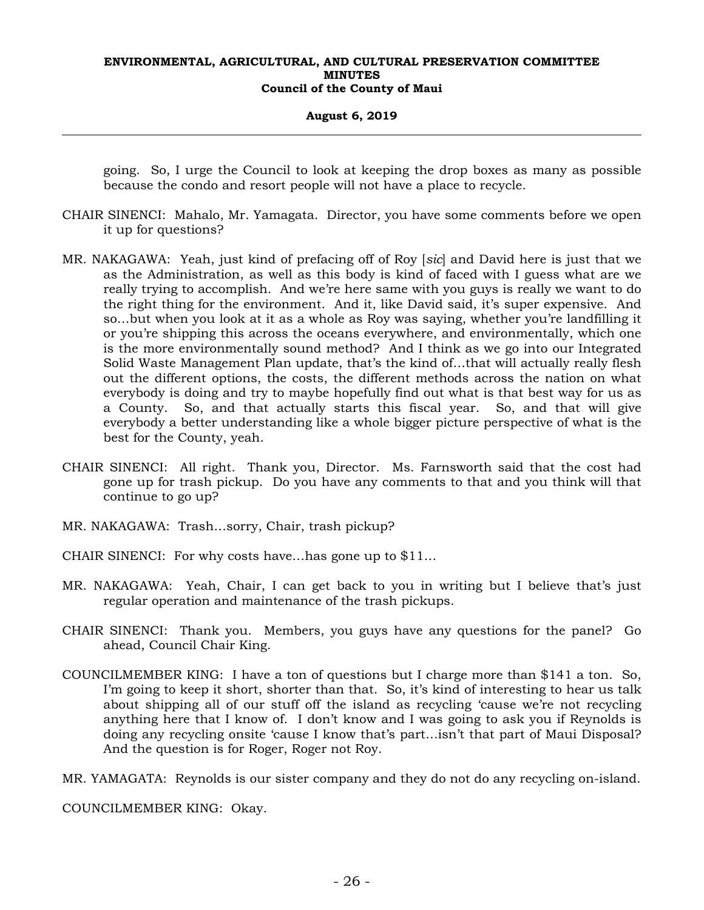#### **August 6, 2019**

going. So, I urge the Council to look at keeping the drop boxes as many as possible because the condo and resort people will not have a place to recycle.

- CHAIR SINENCI: Mahalo, Mr. Yamagata. Director, you have some comments before we open it up for questions?
- MR. NAKAGAWA: Yeah, just kind of prefacing off of Roy [*sic*] and David here is just that we as the Administration, as well as this body is kind of faced with I guess what are we really trying to accomplish. And we're here same with you guys is really we want to do the right thing for the environment. And it, like David said, it's super expensive. And so…but when you look at it as a whole as Roy was saying, whether you're landfilling it or you're shipping this across the oceans everywhere, and environmentally, which one is the more environmentally sound method? And I think as we go into our Integrated Solid Waste Management Plan update, that's the kind of…that will actually really flesh out the different options, the costs, the different methods across the nation on what everybody is doing and try to maybe hopefully find out what is that best way for us as a County. So, and that actually starts this fiscal year. So, and that will give everybody a better understanding like a whole bigger picture perspective of what is the best for the County, yeah.
- CHAIR SINENCI: All right. Thank you, Director. Ms. Farnsworth said that the cost had gone up for trash pickup. Do you have any comments to that and you think will that continue to go up?
- MR. NAKAGAWA: Trash…sorry, Chair, trash pickup?
- CHAIR SINENCI: For why costs have…has gone up to \$11…
- MR. NAKAGAWA: Yeah, Chair, I can get back to you in writing but I believe that's just regular operation and maintenance of the trash pickups.
- CHAIR SINENCI: Thank you. Members, you guys have any questions for the panel? Go ahead, Council Chair King.
- COUNCILMEMBER KING: I have a ton of questions but I charge more than \$141 a ton. So, I'm going to keep it short, shorter than that. So, it's kind of interesting to hear us talk about shipping all of our stuff off the island as recycling 'cause we're not recycling anything here that I know of. I don't know and I was going to ask you if Reynolds is doing any recycling onsite 'cause I know that's part…isn't that part of Maui Disposal? And the question is for Roger, Roger not Roy.

MR. YAMAGATA: Reynolds is our sister company and they do not do any recycling on-island.

COUNCILMEMBER KING: Okay.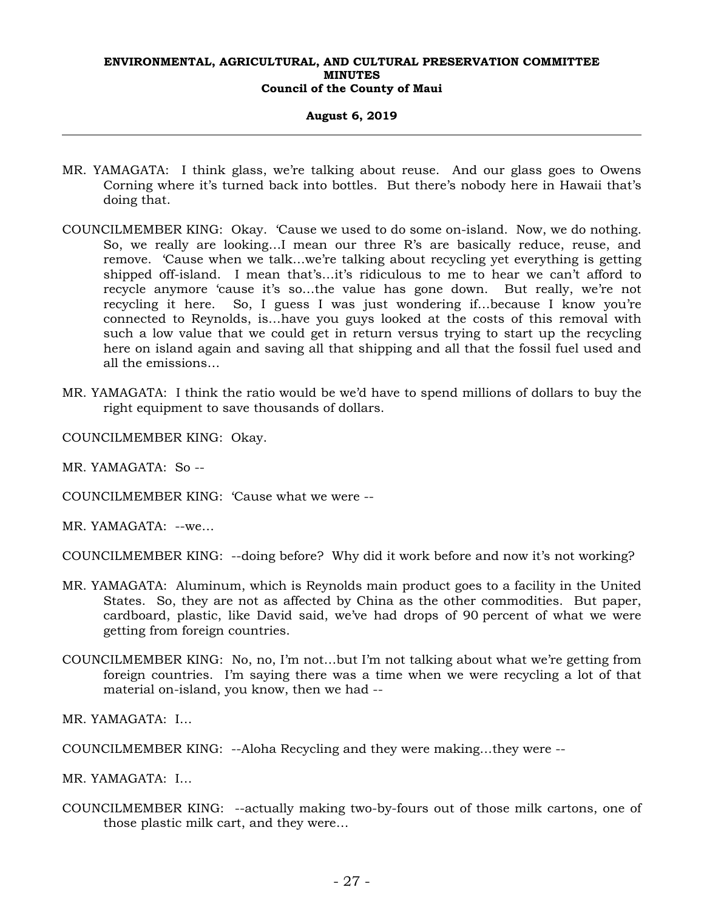#### **August 6, 2019**

- MR. YAMAGATA: I think glass, we're talking about reuse. And our glass goes to Owens Corning where it's turned back into bottles. But there's nobody here in Hawaii that's doing that.
- COUNCILMEMBER KING: Okay. 'Cause we used to do some on-island. Now, we do nothing. So, we really are looking…I mean our three R's are basically reduce, reuse, and remove. 'Cause when we talk…we're talking about recycling yet everything is getting shipped off-island. I mean that's…it's ridiculous to me to hear we can't afford to recycle anymore 'cause it's so…the value has gone down. But really, we're not recycling it here. So, I guess I was just wondering if…because I know you're connected to Reynolds, is…have you guys looked at the costs of this removal with such a low value that we could get in return versus trying to start up the recycling here on island again and saving all that shipping and all that the fossil fuel used and all the emissions…
- MR. YAMAGATA: I think the ratio would be we'd have to spend millions of dollars to buy the right equipment to save thousands of dollars.

COUNCILMEMBER KING: Okay.

MR. YAMAGATA: So --

COUNCILMEMBER KING: 'Cause what we were --

MR. YAMAGATA: --we…

COUNCILMEMBER KING: --doing before? Why did it work before and now it's not working?

- MR. YAMAGATA: Aluminum, which is Reynolds main product goes to a facility in the United States. So, they are not as affected by China as the other commodities. But paper, cardboard, plastic, like David said, we've had drops of 90 percent of what we were getting from foreign countries.
- COUNCILMEMBER KING: No, no, I'm not…but I'm not talking about what we're getting from foreign countries. I'm saying there was a time when we were recycling a lot of that material on-island, you know, then we had --

MR. YAMAGATA: I…

COUNCILMEMBER KING: --Aloha Recycling and they were making…they were --

MR. YAMAGATA: I…

COUNCILMEMBER KING: --actually making two-by-fours out of those milk cartons, one of those plastic milk cart, and they were…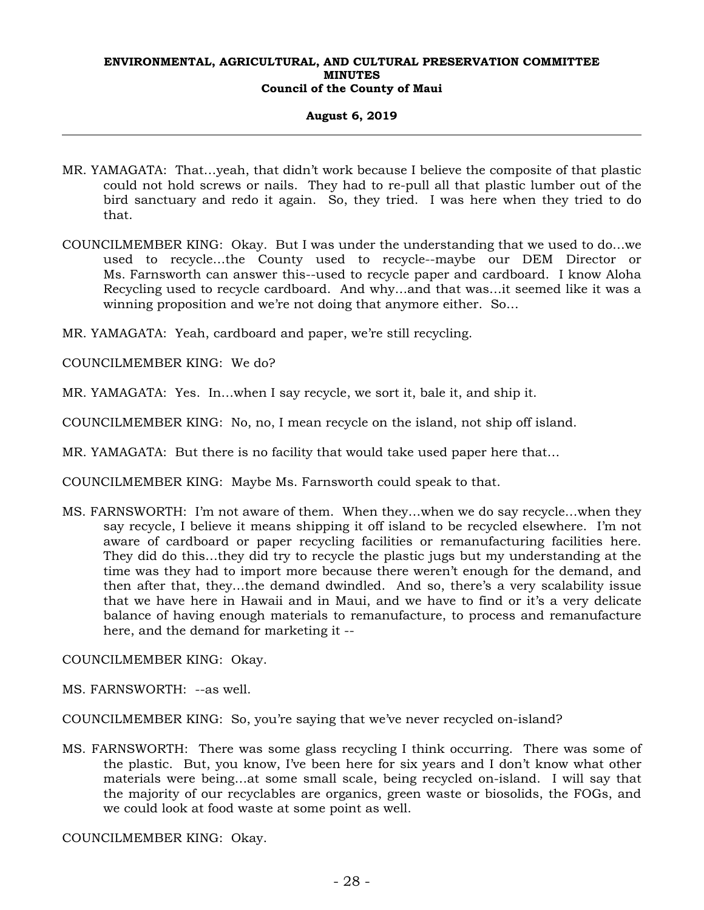#### **August 6, 2019**

- MR. YAMAGATA: That…yeah, that didn't work because I believe the composite of that plastic could not hold screws or nails. They had to re-pull all that plastic lumber out of the bird sanctuary and redo it again. So, they tried. I was here when they tried to do that.
- COUNCILMEMBER KING: Okay. But I was under the understanding that we used to do…we used to recycle…the County used to recycle--maybe our DEM Director or Ms. Farnsworth can answer this--used to recycle paper and cardboard. I know Aloha Recycling used to recycle cardboard. And why…and that was…it seemed like it was a winning proposition and we're not doing that anymore either. So…
- MR. YAMAGATA: Yeah, cardboard and paper, we're still recycling.

COUNCILMEMBER KING: We do?

MR. YAMAGATA: Yes. In…when I say recycle, we sort it, bale it, and ship it.

COUNCILMEMBER KING: No, no, I mean recycle on the island, not ship off island.

MR. YAMAGATA: But there is no facility that would take used paper here that…

COUNCILMEMBER KING: Maybe Ms. Farnsworth could speak to that.

MS. FARNSWORTH: I'm not aware of them. When they…when we do say recycle…when they say recycle, I believe it means shipping it off island to be recycled elsewhere. I'm not aware of cardboard or paper recycling facilities or remanufacturing facilities here. They did do this…they did try to recycle the plastic jugs but my understanding at the time was they had to import more because there weren't enough for the demand, and then after that, they…the demand dwindled. And so, there's a very scalability issue that we have here in Hawaii and in Maui, and we have to find or it's a very delicate balance of having enough materials to remanufacture, to process and remanufacture here, and the demand for marketing it --

COUNCILMEMBER KING: Okay.

MS. FARNSWORTH: --as well.

COUNCILMEMBER KING: So, you're saying that we've never recycled on-island?

MS. FARNSWORTH: There was some glass recycling I think occurring. There was some of the plastic. But, you know, I've been here for six years and I don't know what other materials were being…at some small scale, being recycled on-island. I will say that the majority of our recyclables are organics, green waste or biosolids, the FOGs, and we could look at food waste at some point as well.

COUNCILMEMBER KING: Okay.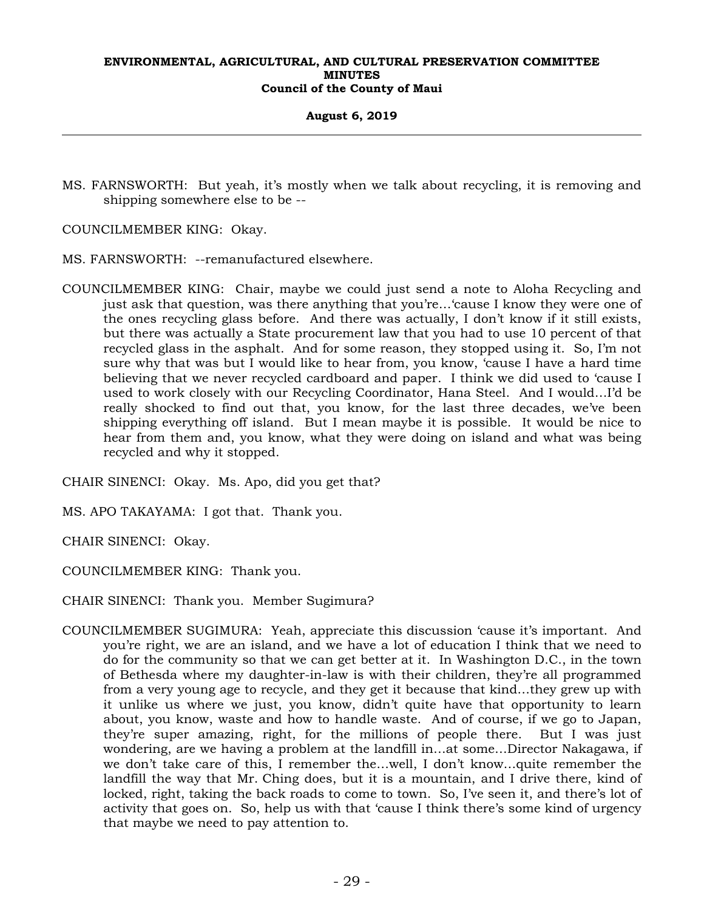**August 6, 2019** 

- MS. FARNSWORTH: But yeah, it's mostly when we talk about recycling, it is removing and shipping somewhere else to be --
- COUNCILMEMBER KING: Okay.
- MS. FARNSWORTH: --remanufactured elsewhere.
- COUNCILMEMBER KING: Chair, maybe we could just send a note to Aloha Recycling and just ask that question, was there anything that you're…'cause I know they were one of the ones recycling glass before. And there was actually, I don't know if it still exists, but there was actually a State procurement law that you had to use 10 percent of that recycled glass in the asphalt. And for some reason, they stopped using it. So, I'm not sure why that was but I would like to hear from, you know, 'cause I have a hard time believing that we never recycled cardboard and paper. I think we did used to 'cause I used to work closely with our Recycling Coordinator, Hana Steel. And I would…I'd be really shocked to find out that, you know, for the last three decades, we've been shipping everything off island. But I mean maybe it is possible. It would be nice to hear from them and, you know, what they were doing on island and what was being recycled and why it stopped.
- CHAIR SINENCI: Okay. Ms. Apo, did you get that?
- MS. APO TAKAYAMA: I got that. Thank you.
- CHAIR SINENCI: Okay.
- COUNCILMEMBER KING: Thank you.
- CHAIR SINENCI: Thank you. Member Sugimura?
- COUNCILMEMBER SUGIMURA: Yeah, appreciate this discussion 'cause it's important. And you're right, we are an island, and we have a lot of education I think that we need to do for the community so that we can get better at it. In Washington D.C., in the town of Bethesda where my daughter-in-law is with their children, they're all programmed from a very young age to recycle, and they get it because that kind…they grew up with it unlike us where we just, you know, didn't quite have that opportunity to learn about, you know, waste and how to handle waste. And of course, if we go to Japan, they're super amazing, right, for the millions of people there. But I was just wondering, are we having a problem at the landfill in…at some…Director Nakagawa, if we don't take care of this, I remember the…well, I don't know…quite remember the landfill the way that Mr. Ching does, but it is a mountain, and I drive there, kind of locked, right, taking the back roads to come to town. So, I've seen it, and there's lot of activity that goes on. So, help us with that 'cause I think there's some kind of urgency that maybe we need to pay attention to.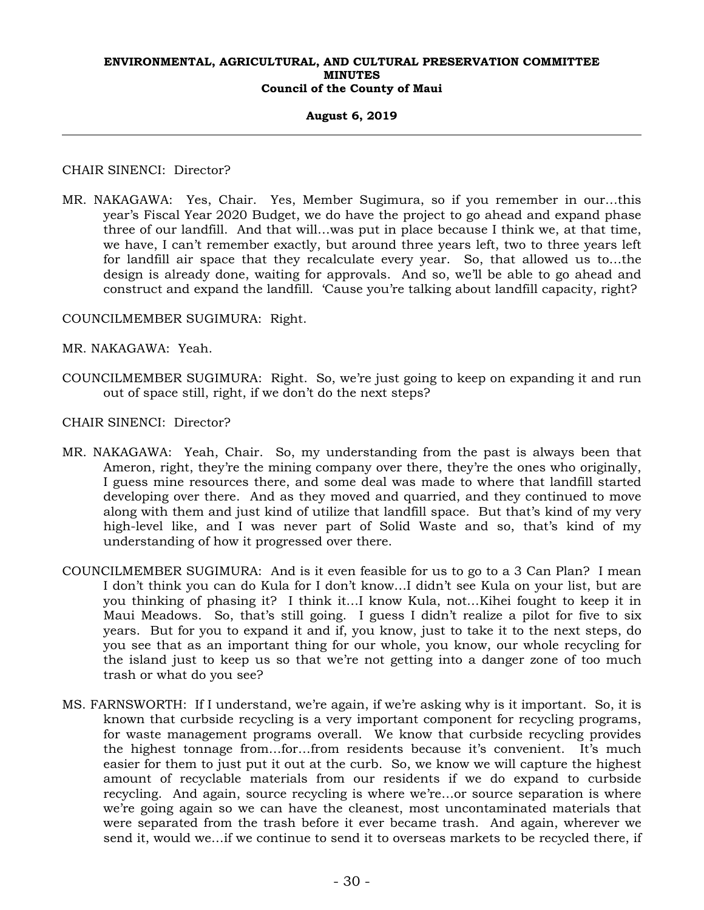#### **August 6, 2019**

CHAIR SINENCI: Director?

MR. NAKAGAWA: Yes, Chair. Yes, Member Sugimura, so if you remember in our…this year's Fiscal Year 2020 Budget, we do have the project to go ahead and expand phase three of our landfill. And that will…was put in place because I think we, at that time, we have, I can't remember exactly, but around three years left, two to three years left for landfill air space that they recalculate every year. So, that allowed us to…the design is already done, waiting for approvals. And so, we'll be able to go ahead and construct and expand the landfill. 'Cause you're talking about landfill capacity, right?

COUNCILMEMBER SUGIMURA: Right.

MR. NAKAGAWA: Yeah.

COUNCILMEMBER SUGIMURA: Right. So, we're just going to keep on expanding it and run out of space still, right, if we don't do the next steps?

CHAIR SINENCI: Director?

- MR. NAKAGAWA: Yeah, Chair. So, my understanding from the past is always been that Ameron, right, they're the mining company over there, they're the ones who originally, I guess mine resources there, and some deal was made to where that landfill started developing over there. And as they moved and quarried, and they continued to move along with them and just kind of utilize that landfill space. But that's kind of my very high-level like, and I was never part of Solid Waste and so, that's kind of my understanding of how it progressed over there.
- COUNCILMEMBER SUGIMURA: And is it even feasible for us to go to a 3 Can Plan? I mean I don't think you can do Kula for I don't know…I didn't see Kula on your list, but are you thinking of phasing it? I think it…I know Kula, not…Kihei fought to keep it in Maui Meadows. So, that's still going. I guess I didn't realize a pilot for five to six years. But for you to expand it and if, you know, just to take it to the next steps, do you see that as an important thing for our whole, you know, our whole recycling for the island just to keep us so that we're not getting into a danger zone of too much trash or what do you see?
- MS. FARNSWORTH: If I understand, we're again, if we're asking why is it important. So, it is known that curbside recycling is a very important component for recycling programs, for waste management programs overall. We know that curbside recycling provides the highest tonnage from…for…from residents because it's convenient. It's much easier for them to just put it out at the curb. So, we know we will capture the highest amount of recyclable materials from our residents if we do expand to curbside recycling. And again, source recycling is where we're…or source separation is where we're going again so we can have the cleanest, most uncontaminated materials that were separated from the trash before it ever became trash. And again, wherever we send it, would we…if we continue to send it to overseas markets to be recycled there, if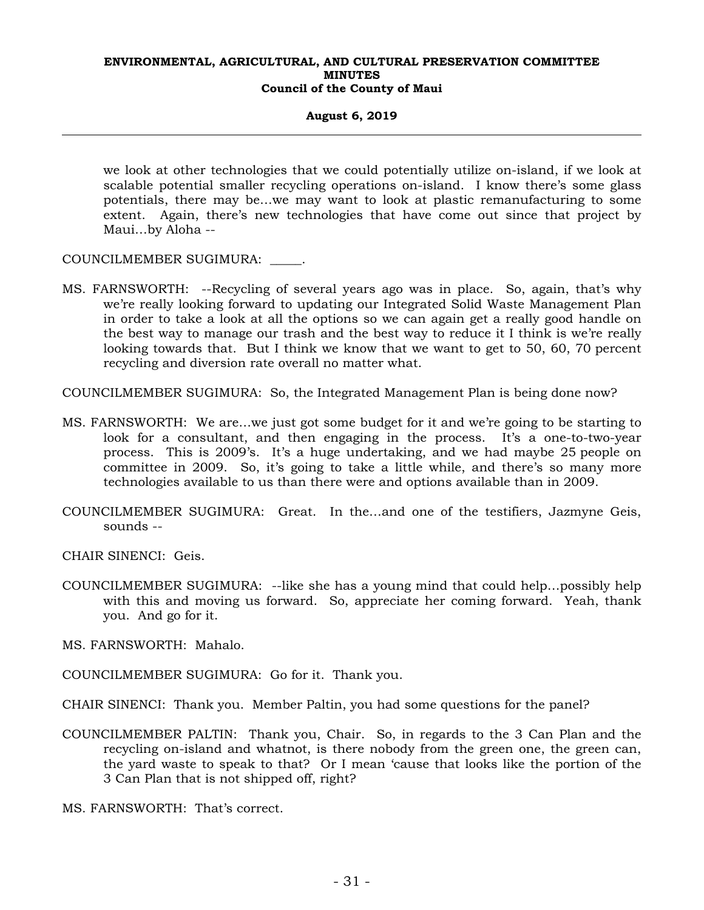#### **August 6, 2019**

we look at other technologies that we could potentially utilize on-island, if we look at scalable potential smaller recycling operations on-island. I know there's some glass potentials, there may be…we may want to look at plastic remanufacturing to some extent. Again, there's new technologies that have come out since that project by Maui…by Aloha --

COUNCILMEMBER SUGIMURA: \_\_\_\_\_.

MS. FARNSWORTH: --Recycling of several years ago was in place. So, again, that's why we're really looking forward to updating our Integrated Solid Waste Management Plan in order to take a look at all the options so we can again get a really good handle on the best way to manage our trash and the best way to reduce it I think is we're really looking towards that. But I think we know that we want to get to 50, 60, 70 percent recycling and diversion rate overall no matter what.

COUNCILMEMBER SUGIMURA: So, the Integrated Management Plan is being done now?

- MS. FARNSWORTH: We are…we just got some budget for it and we're going to be starting to look for a consultant, and then engaging in the process. It's a one-to-two-year process. This is 2009's. It's a huge undertaking, and we had maybe 25 people on committee in 2009. So, it's going to take a little while, and there's so many more technologies available to us than there were and options available than in 2009.
- COUNCILMEMBER SUGIMURA: Great. In the…and one of the testifiers, Jazmyne Geis, sounds --

CHAIR SINENCI: Geis.

COUNCILMEMBER SUGIMURA: --like she has a young mind that could help…possibly help with this and moving us forward. So, appreciate her coming forward. Yeah, thank you. And go for it.

MS. FARNSWORTH: Mahalo.

COUNCILMEMBER SUGIMURA: Go for it. Thank you.

CHAIR SINENCI: Thank you. Member Paltin, you had some questions for the panel?

COUNCILMEMBER PALTIN: Thank you, Chair. So, in regards to the 3 Can Plan and the recycling on-island and whatnot, is there nobody from the green one, the green can, the yard waste to speak to that? Or I mean 'cause that looks like the portion of the 3 Can Plan that is not shipped off, right?

MS. FARNSWORTH: That's correct.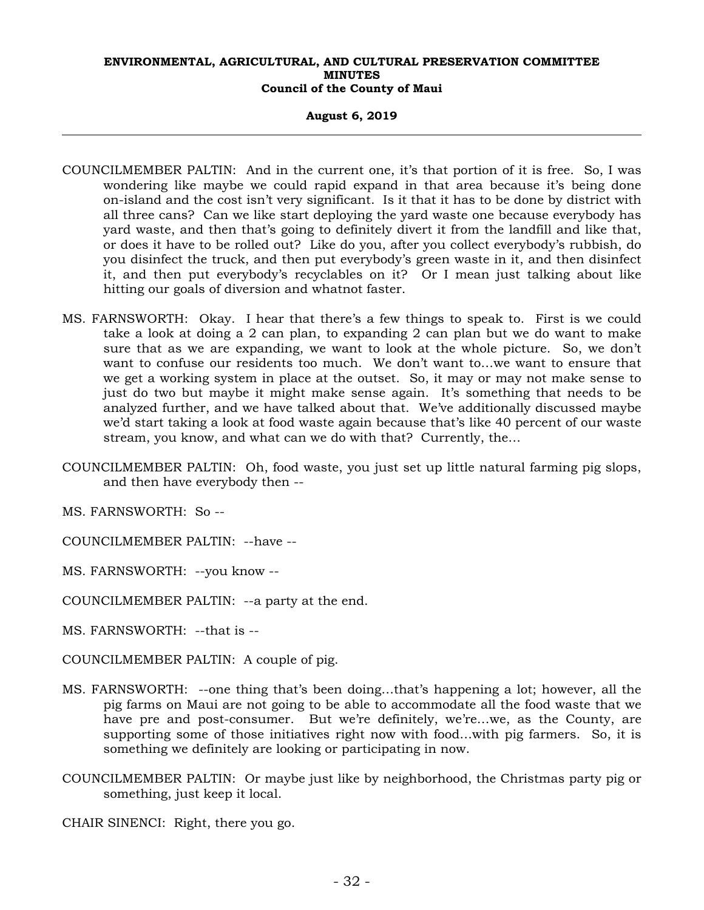#### **August 6, 2019**

- COUNCILMEMBER PALTIN: And in the current one, it's that portion of it is free. So, I was wondering like maybe we could rapid expand in that area because it's being done on-island and the cost isn't very significant. Is it that it has to be done by district with all three cans? Can we like start deploying the yard waste one because everybody has yard waste, and then that's going to definitely divert it from the landfill and like that, or does it have to be rolled out? Like do you, after you collect everybody's rubbish, do you disinfect the truck, and then put everybody's green waste in it, and then disinfect it, and then put everybody's recyclables on it? Or I mean just talking about like hitting our goals of diversion and whatnot faster.
- MS. FARNSWORTH: Okay. I hear that there's a few things to speak to. First is we could take a look at doing a 2 can plan, to expanding 2 can plan but we do want to make sure that as we are expanding, we want to look at the whole picture. So, we don't want to confuse our residents too much. We don't want to…we want to ensure that we get a working system in place at the outset. So, it may or may not make sense to just do two but maybe it might make sense again. It's something that needs to be analyzed further, and we have talked about that. We've additionally discussed maybe we'd start taking a look at food waste again because that's like 40 percent of our waste stream, you know, and what can we do with that? Currently, the…
- COUNCILMEMBER PALTIN: Oh, food waste, you just set up little natural farming pig slops, and then have everybody then --
- MS. FARNSWORTH: So --
- COUNCILMEMBER PALTIN: --have --
- MS. FARNSWORTH: --you know --
- COUNCILMEMBER PALTIN: --a party at the end.
- MS. FARNSWORTH: --that is --
- COUNCILMEMBER PALTIN: A couple of pig.
- MS. FARNSWORTH: --one thing that's been doing…that's happening a lot; however, all the pig farms on Maui are not going to be able to accommodate all the food waste that we have pre and post-consumer. But we're definitely, we're…we, as the County, are supporting some of those initiatives right now with food…with pig farmers. So, it is something we definitely are looking or participating in now.
- COUNCILMEMBER PALTIN: Or maybe just like by neighborhood, the Christmas party pig or something, just keep it local.
- CHAIR SINENCI: Right, there you go.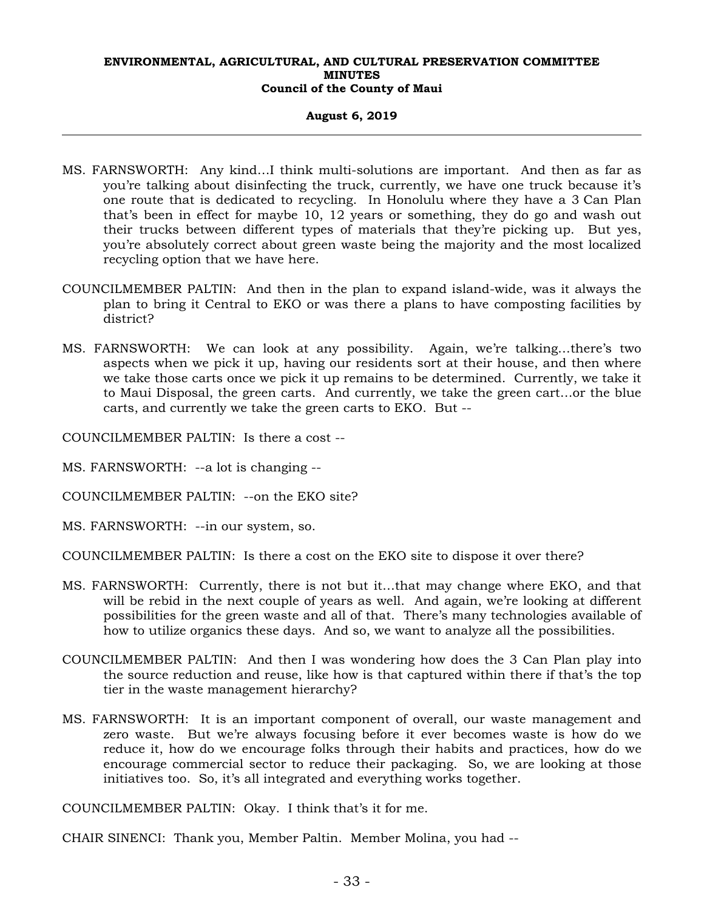#### **August 6, 2019**

- MS. FARNSWORTH: Any kind…I think multi-solutions are important. And then as far as you're talking about disinfecting the truck, currently, we have one truck because it's one route that is dedicated to recycling. In Honolulu where they have a 3 Can Plan that's been in effect for maybe 10, 12 years or something, they do go and wash out their trucks between different types of materials that they're picking up. But yes, you're absolutely correct about green waste being the majority and the most localized recycling option that we have here.
- COUNCILMEMBER PALTIN: And then in the plan to expand island-wide, was it always the plan to bring it Central to EKO or was there a plans to have composting facilities by district?
- MS. FARNSWORTH: We can look at any possibility. Again, we're talking…there's two aspects when we pick it up, having our residents sort at their house, and then where we take those carts once we pick it up remains to be determined. Currently, we take it to Maui Disposal, the green carts. And currently, we take the green cart…or the blue carts, and currently we take the green carts to EKO. But --

COUNCILMEMBER PALTIN: Is there a cost --

- MS. FARNSWORTH: --a lot is changing --
- COUNCILMEMBER PALTIN: --on the EKO site?
- MS. FARNSWORTH: --in our system, so.

COUNCILMEMBER PALTIN: Is there a cost on the EKO site to dispose it over there?

- MS. FARNSWORTH: Currently, there is not but it…that may change where EKO, and that will be rebid in the next couple of years as well. And again, we're looking at different possibilities for the green waste and all of that. There's many technologies available of how to utilize organics these days. And so, we want to analyze all the possibilities.
- COUNCILMEMBER PALTIN: And then I was wondering how does the 3 Can Plan play into the source reduction and reuse, like how is that captured within there if that's the top tier in the waste management hierarchy?
- MS. FARNSWORTH: It is an important component of overall, our waste management and zero waste. But we're always focusing before it ever becomes waste is how do we reduce it, how do we encourage folks through their habits and practices, how do we encourage commercial sector to reduce their packaging. So, we are looking at those initiatives too. So, it's all integrated and everything works together.

COUNCILMEMBER PALTIN: Okay. I think that's it for me.

CHAIR SINENCI: Thank you, Member Paltin. Member Molina, you had --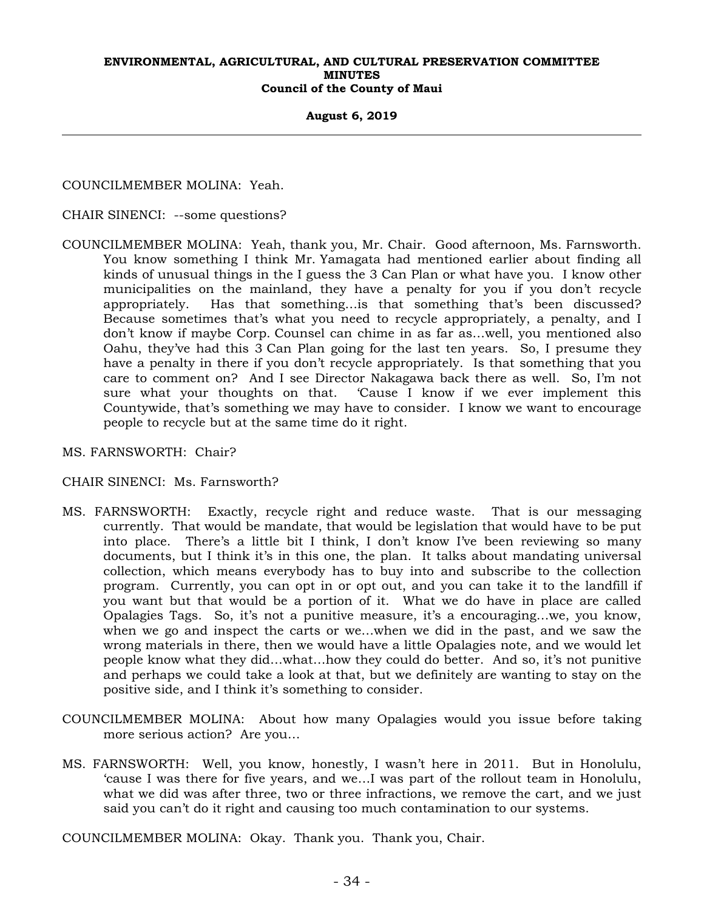#### **August 6, 2019**

COUNCILMEMBER MOLINA: Yeah.

CHAIR SINENCI: --some questions?

- COUNCILMEMBER MOLINA: Yeah, thank you, Mr. Chair. Good afternoon, Ms. Farnsworth. You know something I think Mr. Yamagata had mentioned earlier about finding all kinds of unusual things in the I guess the 3 Can Plan or what have you. I know other municipalities on the mainland, they have a penalty for you if you don't recycle appropriately. Has that something…is that something that's been discussed? Because sometimes that's what you need to recycle appropriately, a penalty, and I don't know if maybe Corp. Counsel can chime in as far as…well, you mentioned also Oahu, they've had this 3 Can Plan going for the last ten years. So, I presume they have a penalty in there if you don't recycle appropriately. Is that something that you care to comment on? And I see Director Nakagawa back there as well. So, I'm not sure what your thoughts on that. 'Cause I know if we ever implement this Countywide, that's something we may have to consider. I know we want to encourage people to recycle but at the same time do it right.
- MS. FARNSWORTH: Chair?

#### CHAIR SINENCI: Ms. Farnsworth?

- MS. FARNSWORTH: Exactly, recycle right and reduce waste. That is our messaging currently. That would be mandate, that would be legislation that would have to be put into place. There's a little bit I think, I don't know I've been reviewing so many documents, but I think it's in this one, the plan. It talks about mandating universal collection, which means everybody has to buy into and subscribe to the collection program. Currently, you can opt in or opt out, and you can take it to the landfill if you want but that would be a portion of it. What we do have in place are called Opalagies Tags. So, it's not a punitive measure, it's a encouraging…we, you know, when we go and inspect the carts or we…when we did in the past, and we saw the wrong materials in there, then we would have a little Opalagies note, and we would let people know what they did…what…how they could do better. And so, it's not punitive and perhaps we could take a look at that, but we definitely are wanting to stay on the positive side, and I think it's something to consider.
- COUNCILMEMBER MOLINA: About how many Opalagies would you issue before taking more serious action? Are you…
- MS. FARNSWORTH: Well, you know, honestly, I wasn't here in 2011. But in Honolulu, 'cause I was there for five years, and we…I was part of the rollout team in Honolulu, what we did was after three, two or three infractions, we remove the cart, and we just said you can't do it right and causing too much contamination to our systems.

COUNCILMEMBER MOLINA: Okay. Thank you. Thank you, Chair.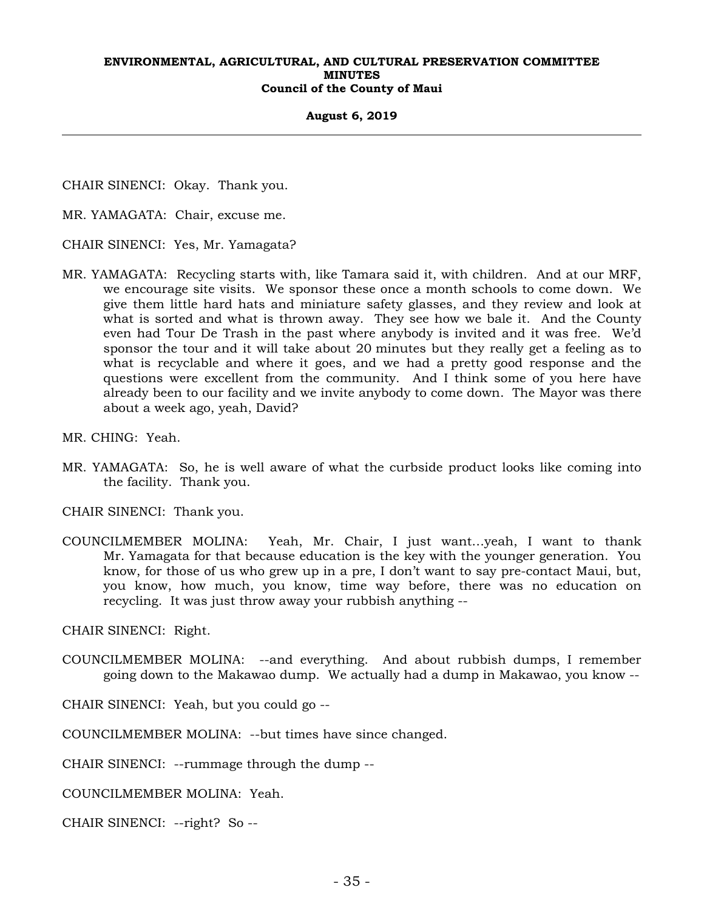#### **August 6, 2019**

CHAIR SINENCI: Okay. Thank you.

MR. YAMAGATA: Chair, excuse me.

- CHAIR SINENCI: Yes, Mr. Yamagata?
- MR. YAMAGATA: Recycling starts with, like Tamara said it, with children. And at our MRF, we encourage site visits. We sponsor these once a month schools to come down. We give them little hard hats and miniature safety glasses, and they review and look at what is sorted and what is thrown away. They see how we bale it. And the County even had Tour De Trash in the past where anybody is invited and it was free. We'd sponsor the tour and it will take about 20 minutes but they really get a feeling as to what is recyclable and where it goes, and we had a pretty good response and the questions were excellent from the community. And I think some of you here have already been to our facility and we invite anybody to come down. The Mayor was there about a week ago, yeah, David?
- MR. CHING: Yeah.
- MR. YAMAGATA: So, he is well aware of what the curbside product looks like coming into the facility. Thank you.

CHAIR SINENCI: Thank you.

COUNCILMEMBER MOLINA: Yeah, Mr. Chair, I just want…yeah, I want to thank Mr. Yamagata for that because education is the key with the younger generation. You know, for those of us who grew up in a pre, I don't want to say pre-contact Maui, but, you know, how much, you know, time way before, there was no education on recycling. It was just throw away your rubbish anything --

CHAIR SINENCI: Right.

COUNCILMEMBER MOLINA: --and everything. And about rubbish dumps, I remember going down to the Makawao dump. We actually had a dump in Makawao, you know --

CHAIR SINENCI: Yeah, but you could go --

COUNCILMEMBER MOLINA: --but times have since changed.

CHAIR SINENCI: --rummage through the dump --

COUNCILMEMBER MOLINA: Yeah.

CHAIR SINENCI: --right? So --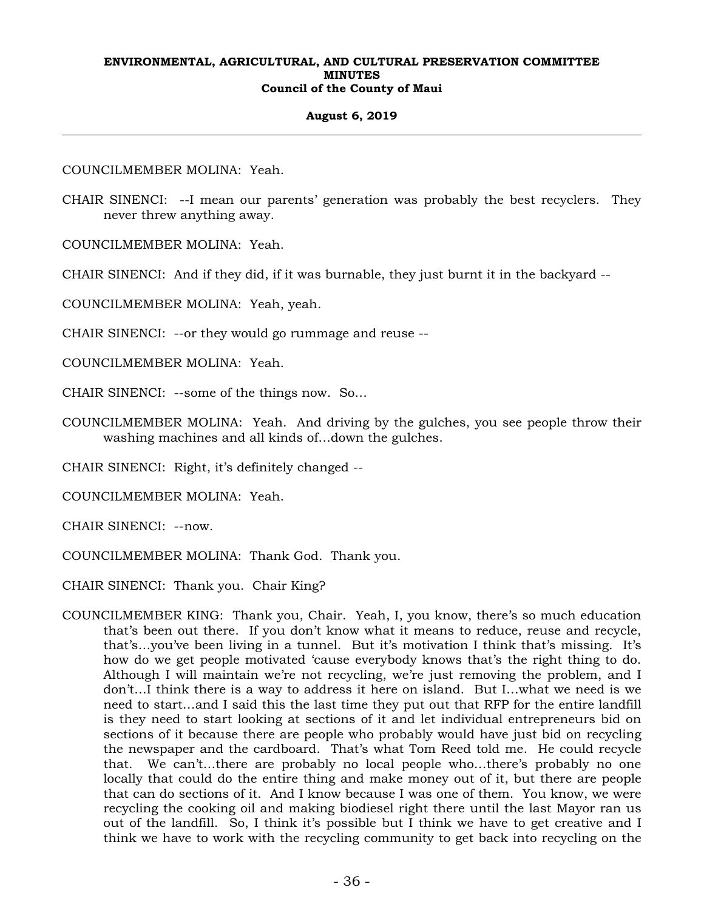#### **August 6, 2019**

COUNCILMEMBER MOLINA: Yeah.

CHAIR SINENCI: --I mean our parents' generation was probably the best recyclers. They never threw anything away.

COUNCILMEMBER MOLINA: Yeah.

CHAIR SINENCI: And if they did, if it was burnable, they just burnt it in the backyard --

COUNCILMEMBER MOLINA: Yeah, yeah.

CHAIR SINENCI: --or they would go rummage and reuse --

COUNCILMEMBER MOLINA: Yeah.

CHAIR SINENCI: --some of the things now. So…

COUNCILMEMBER MOLINA: Yeah. And driving by the gulches, you see people throw their washing machines and all kinds of…down the gulches.

CHAIR SINENCI: Right, it's definitely changed --

COUNCILMEMBER MOLINA: Yeah.

CHAIR SINENCI: --now.

COUNCILMEMBER MOLINA: Thank God. Thank you.

CHAIR SINENCI: Thank you. Chair King?

COUNCILMEMBER KING: Thank you, Chair. Yeah, I, you know, there's so much education that's been out there. If you don't know what it means to reduce, reuse and recycle, that's…you've been living in a tunnel. But it's motivation I think that's missing. It's how do we get people motivated 'cause everybody knows that's the right thing to do. Although I will maintain we're not recycling, we're just removing the problem, and I don't…I think there is a way to address it here on island. But I…what we need is we need to start…and I said this the last time they put out that RFP for the entire landfill is they need to start looking at sections of it and let individual entrepreneurs bid on sections of it because there are people who probably would have just bid on recycling the newspaper and the cardboard. That's what Tom Reed told me. He could recycle that. We can't…there are probably no local people who…there's probably no one locally that could do the entire thing and make money out of it, but there are people that can do sections of it. And I know because I was one of them. You know, we were recycling the cooking oil and making biodiesel right there until the last Mayor ran us out of the landfill. So, I think it's possible but I think we have to get creative and I think we have to work with the recycling community to get back into recycling on the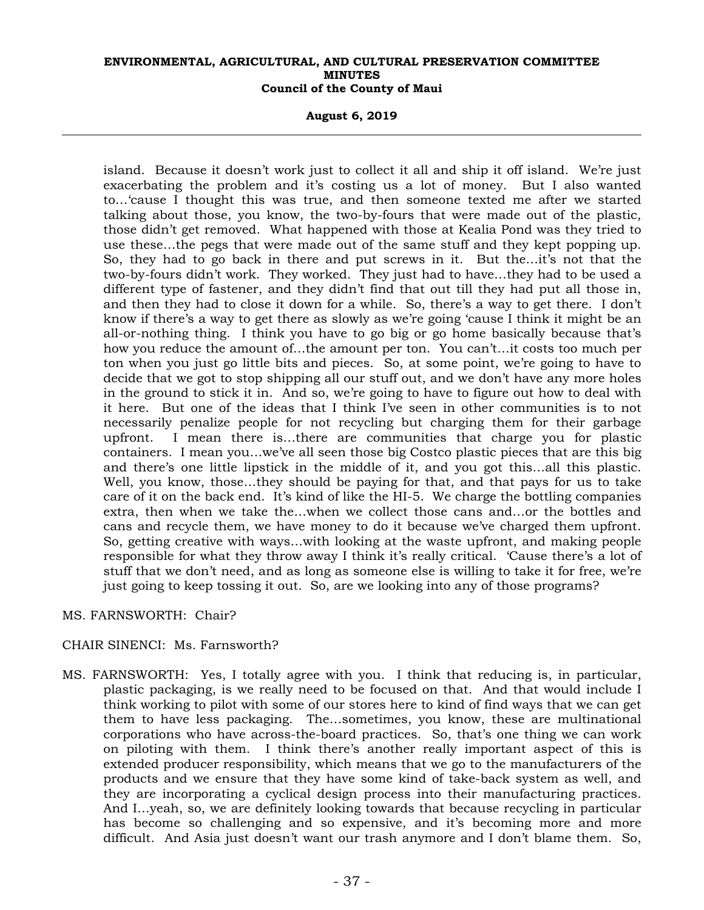**August 6, 2019** 

island. Because it doesn't work just to collect it all and ship it off island. We're just exacerbating the problem and it's costing us a lot of money. But I also wanted to…'cause I thought this was true, and then someone texted me after we started talking about those, you know, the two-by-fours that were made out of the plastic, those didn't get removed. What happened with those at Kealia Pond was they tried to use these…the pegs that were made out of the same stuff and they kept popping up. So, they had to go back in there and put screws in it. But the…it's not that the two-by-fours didn't work. They worked. They just had to have…they had to be used a different type of fastener, and they didn't find that out till they had put all those in, and then they had to close it down for a while. So, there's a way to get there. I don't know if there's a way to get there as slowly as we're going 'cause I think it might be an all-or-nothing thing. I think you have to go big or go home basically because that's how you reduce the amount of…the amount per ton. You can't…it costs too much per ton when you just go little bits and pieces. So, at some point, we're going to have to decide that we got to stop shipping all our stuff out, and we don't have any more holes in the ground to stick it in. And so, we're going to have to figure out how to deal with it here. But one of the ideas that I think I've seen in other communities is to not necessarily penalize people for not recycling but charging them for their garbage upfront. I mean there is…there are communities that charge you for plastic containers. I mean you…we've all seen those big Costco plastic pieces that are this big and there's one little lipstick in the middle of it, and you got this…all this plastic. Well, you know, those…they should be paying for that, and that pays for us to take care of it on the back end. It's kind of like the HI-5. We charge the bottling companies extra, then when we take the…when we collect those cans and…or the bottles and cans and recycle them, we have money to do it because we've charged them upfront. So, getting creative with ways…with looking at the waste upfront, and making people responsible for what they throw away I think it's really critical. 'Cause there's a lot of stuff that we don't need, and as long as someone else is willing to take it for free, we're just going to keep tossing it out. So, are we looking into any of those programs?

# MS. FARNSWORTH: Chair?

# CHAIR SINENCI: Ms. Farnsworth?

MS. FARNSWORTH: Yes, I totally agree with you. I think that reducing is, in particular, plastic packaging, is we really need to be focused on that. And that would include I think working to pilot with some of our stores here to kind of find ways that we can get them to have less packaging. The…sometimes, you know, these are multinational corporations who have across-the-board practices. So, that's one thing we can work on piloting with them. I think there's another really important aspect of this is extended producer responsibility, which means that we go to the manufacturers of the products and we ensure that they have some kind of take-back system as well, and they are incorporating a cyclical design process into their manufacturing practices. And I…yeah, so, we are definitely looking towards that because recycling in particular has become so challenging and so expensive, and it's becoming more and more difficult. And Asia just doesn't want our trash anymore and I don't blame them. So,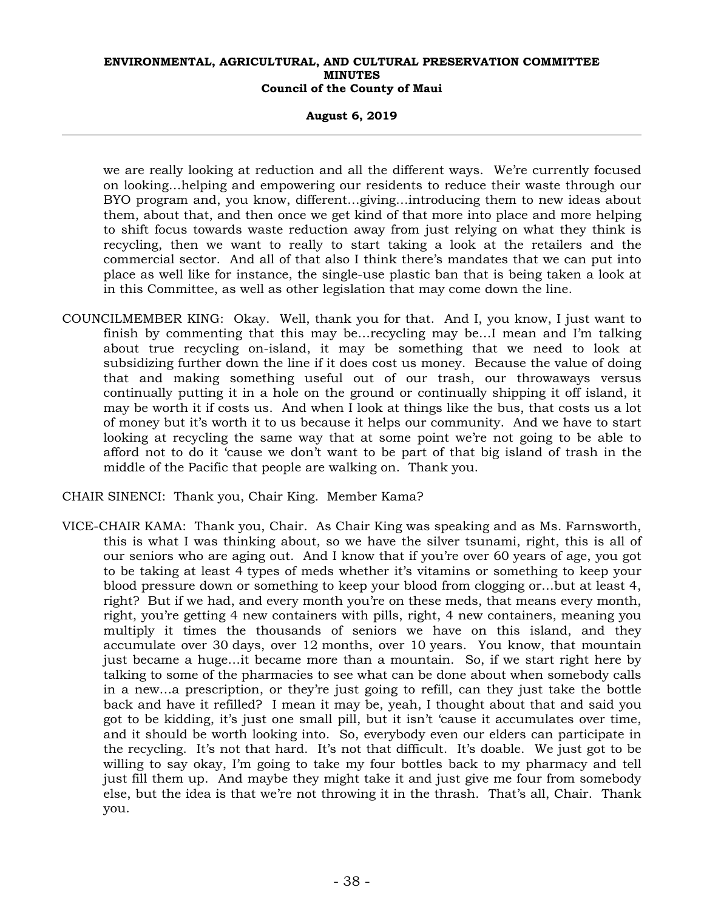#### **August 6, 2019**

we are really looking at reduction and all the different ways. We're currently focused on looking…helping and empowering our residents to reduce their waste through our BYO program and, you know, different…giving…introducing them to new ideas about them, about that, and then once we get kind of that more into place and more helping to shift focus towards waste reduction away from just relying on what they think is recycling, then we want to really to start taking a look at the retailers and the commercial sector. And all of that also I think there's mandates that we can put into place as well like for instance, the single-use plastic ban that is being taken a look at in this Committee, as well as other legislation that may come down the line.

- COUNCILMEMBER KING: Okay. Well, thank you for that. And I, you know, I just want to finish by commenting that this may be…recycling may be…I mean and I'm talking about true recycling on-island, it may be something that we need to look at subsidizing further down the line if it does cost us money. Because the value of doing that and making something useful out of our trash, our throwaways versus continually putting it in a hole on the ground or continually shipping it off island, it may be worth it if costs us. And when I look at things like the bus, that costs us a lot of money but it's worth it to us because it helps our community. And we have to start looking at recycling the same way that at some point we're not going to be able to afford not to do it 'cause we don't want to be part of that big island of trash in the middle of the Pacific that people are walking on. Thank you.
- CHAIR SINENCI: Thank you, Chair King. Member Kama?
- VICE-CHAIR KAMA: Thank you, Chair. As Chair King was speaking and as Ms. Farnsworth, this is what I was thinking about, so we have the silver tsunami, right, this is all of our seniors who are aging out. And I know that if you're over 60 years of age, you got to be taking at least 4 types of meds whether it's vitamins or something to keep your blood pressure down or something to keep your blood from clogging or…but at least 4, right? But if we had, and every month you're on these meds, that means every month, right, you're getting 4 new containers with pills, right, 4 new containers, meaning you multiply it times the thousands of seniors we have on this island, and they accumulate over 30 days, over 12 months, over 10 years. You know, that mountain just became a huge…it became more than a mountain. So, if we start right here by talking to some of the pharmacies to see what can be done about when somebody calls in a new…a prescription, or they're just going to refill, can they just take the bottle back and have it refilled? I mean it may be, yeah, I thought about that and said you got to be kidding, it's just one small pill, but it isn't 'cause it accumulates over time, and it should be worth looking into. So, everybody even our elders can participate in the recycling. It's not that hard. It's not that difficult. It's doable. We just got to be willing to say okay, I'm going to take my four bottles back to my pharmacy and tell just fill them up. And maybe they might take it and just give me four from somebody else, but the idea is that we're not throwing it in the thrash. That's all, Chair. Thank you.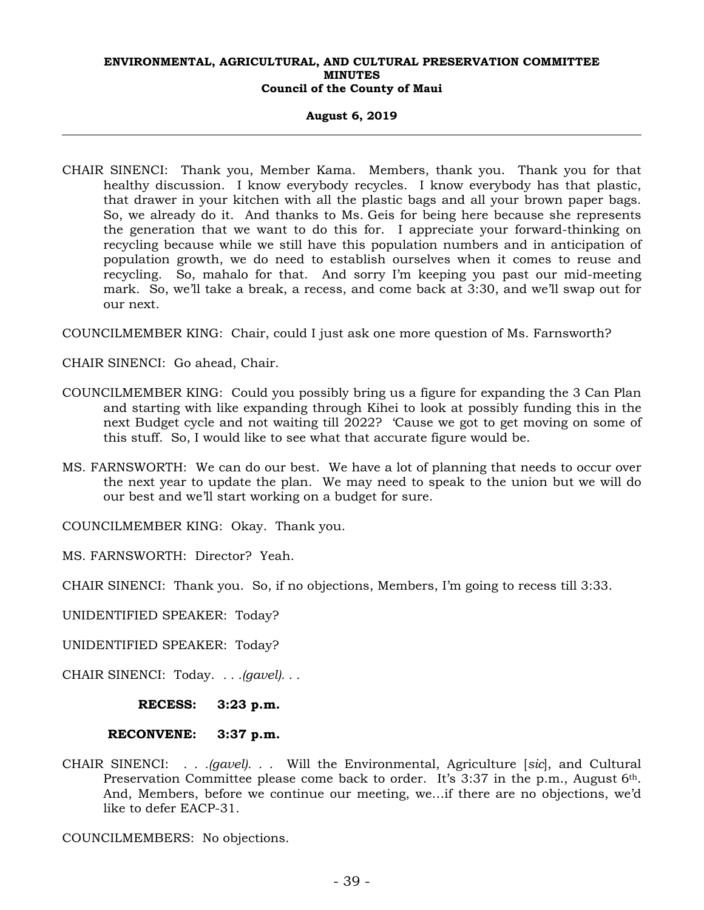#### **August 6, 2019**

CHAIR SINENCI: Thank you, Member Kama. Members, thank you. Thank you for that healthy discussion. I know everybody recycles. I know everybody has that plastic, that drawer in your kitchen with all the plastic bags and all your brown paper bags. So, we already do it. And thanks to Ms. Geis for being here because she represents the generation that we want to do this for. I appreciate your forward-thinking on recycling because while we still have this population numbers and in anticipation of population growth, we do need to establish ourselves when it comes to reuse and recycling. So, mahalo for that. And sorry I'm keeping you past our mid-meeting mark. So, we'll take a break, a recess, and come back at 3:30, and we'll swap out for our next.

COUNCILMEMBER KING: Chair, could I just ask one more question of Ms. Farnsworth?

CHAIR SINENCI: Go ahead, Chair.

- COUNCILMEMBER KING: Could you possibly bring us a figure for expanding the 3 Can Plan and starting with like expanding through Kihei to look at possibly funding this in the next Budget cycle and not waiting till 2022? 'Cause we got to get moving on some of this stuff. So, I would like to see what that accurate figure would be.
- MS. FARNSWORTH: We can do our best. We have a lot of planning that needs to occur over the next year to update the plan. We may need to speak to the union but we will do our best and we'll start working on a budget for sure.

COUNCILMEMBER KING: Okay. Thank you.

MS. FARNSWORTH: Director? Yeah.

CHAIR SINENCI: Thank you. So, if no objections, Members, I'm going to recess till 3:33.

UNIDENTIFIED SPEAKER: Today?

UNIDENTIFIED SPEAKER: Today?

CHAIR SINENCI: Today. *. . .(gavel). . .*

 **RECESS: 3:23 p.m.** 

#### **RECONVENE: 3:37 p.m.**

CHAIR SINENCI: *. . .(gavel). . .* Will the Environmental, Agriculture [*sic*], and Cultural Preservation Committee please come back to order. It's 3:37 in the p.m., August 6<sup>th</sup>. And, Members, before we continue our meeting, we…if there are no objections, we'd like to defer EACP-31.

COUNCILMEMBERS: No objections.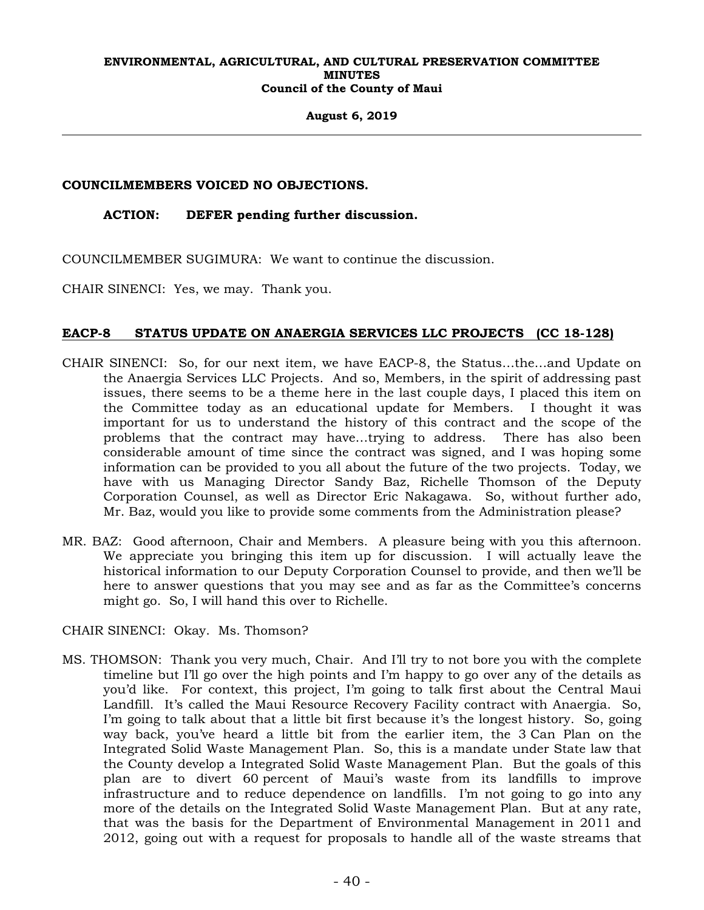**August 6, 2019** 

### **COUNCILMEMBERS VOICED NO OBJECTIONS.**

# **ACTION: DEFER pending further discussion.**

COUNCILMEMBER SUGIMURA: We want to continue the discussion.

CHAIR SINENCI: Yes, we may. Thank you.

### **EACP-8 STATUS UPDATE ON ANAERGIA SERVICES LLC PROJECTS (CC 18-128)**

- CHAIR SINENCI: So, for our next item, we have EACP-8, the Status…the…and Update on the Anaergia Services LLC Projects. And so, Members, in the spirit of addressing past issues, there seems to be a theme here in the last couple days, I placed this item on the Committee today as an educational update for Members. I thought it was important for us to understand the history of this contract and the scope of the problems that the contract may have…trying to address. There has also been considerable amount of time since the contract was signed, and I was hoping some information can be provided to you all about the future of the two projects. Today, we have with us Managing Director Sandy Baz, Richelle Thomson of the Deputy Corporation Counsel, as well as Director Eric Nakagawa. So, without further ado, Mr. Baz, would you like to provide some comments from the Administration please?
- MR. BAZ: Good afternoon, Chair and Members. A pleasure being with you this afternoon. We appreciate you bringing this item up for discussion. I will actually leave the historical information to our Deputy Corporation Counsel to provide, and then we'll be here to answer questions that you may see and as far as the Committee's concerns might go. So, I will hand this over to Richelle.

CHAIR SINENCI: Okay. Ms. Thomson?

MS. THOMSON: Thank you very much, Chair. And I'll try to not bore you with the complete timeline but I'll go over the high points and I'm happy to go over any of the details as you'd like. For context, this project, I'm going to talk first about the Central Maui Landfill. It's called the Maui Resource Recovery Facility contract with Anaergia. So, I'm going to talk about that a little bit first because it's the longest history. So, going way back, you've heard a little bit from the earlier item, the 3 Can Plan on the Integrated Solid Waste Management Plan. So, this is a mandate under State law that the County develop a Integrated Solid Waste Management Plan. But the goals of this plan are to divert 60 percent of Maui's waste from its landfills to improve infrastructure and to reduce dependence on landfills. I'm not going to go into any more of the details on the Integrated Solid Waste Management Plan. But at any rate, that was the basis for the Department of Environmental Management in 2011 and 2012, going out with a request for proposals to handle all of the waste streams that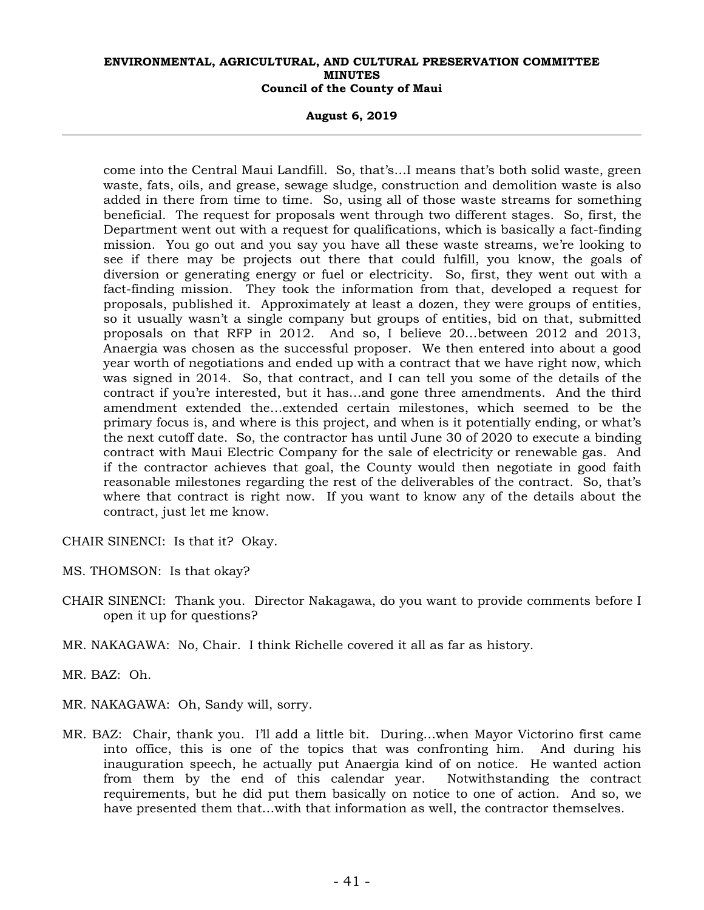**August 6, 2019** 

come into the Central Maui Landfill. So, that's…I means that's both solid waste, green waste, fats, oils, and grease, sewage sludge, construction and demolition waste is also added in there from time to time. So, using all of those waste streams for something beneficial. The request for proposals went through two different stages. So, first, the Department went out with a request for qualifications, which is basically a fact-finding mission. You go out and you say you have all these waste streams, we're looking to see if there may be projects out there that could fulfill, you know, the goals of diversion or generating energy or fuel or electricity. So, first, they went out with a fact-finding mission. They took the information from that, developed a request for proposals, published it. Approximately at least a dozen, they were groups of entities, so it usually wasn't a single company but groups of entities, bid on that, submitted proposals on that RFP in 2012. And so, I believe 20…between 2012 and 2013, Anaergia was chosen as the successful proposer. We then entered into about a good year worth of negotiations and ended up with a contract that we have right now, which was signed in 2014. So, that contract, and I can tell you some of the details of the contract if you're interested, but it has…and gone three amendments. And the third amendment extended the…extended certain milestones, which seemed to be the primary focus is, and where is this project, and when is it potentially ending, or what's the next cutoff date. So, the contractor has until June 30 of 2020 to execute a binding contract with Maui Electric Company for the sale of electricity or renewable gas. And if the contractor achieves that goal, the County would then negotiate in good faith reasonable milestones regarding the rest of the deliverables of the contract. So, that's where that contract is right now. If you want to know any of the details about the contract, just let me know.

CHAIR SINENCI: Is that it? Okay.

- MS. THOMSON: Is that okay?
- CHAIR SINENCI: Thank you. Director Nakagawa, do you want to provide comments before I open it up for questions?
- MR. NAKAGAWA: No, Chair. I think Richelle covered it all as far as history.

MR. BAZ: Oh.

- MR. NAKAGAWA: Oh, Sandy will, sorry.
- MR. BAZ: Chair, thank you. I'll add a little bit. During…when Mayor Victorino first came into office, this is one of the topics that was confronting him. And during his inauguration speech, he actually put Anaergia kind of on notice. He wanted action from them by the end of this calendar year. Notwithstanding the contract requirements, but he did put them basically on notice to one of action. And so, we have presented them that…with that information as well, the contractor themselves.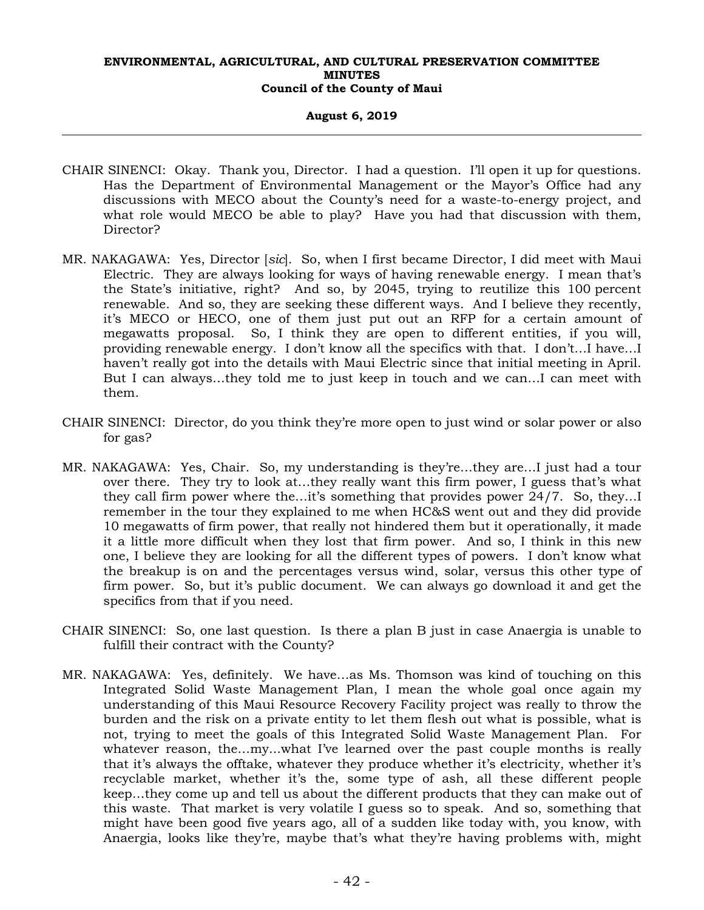#### **August 6, 2019**

- CHAIR SINENCI: Okay. Thank you, Director. I had a question. I'll open it up for questions. Has the Department of Environmental Management or the Mayor's Office had any discussions with MECO about the County's need for a waste-to-energy project, and what role would MECO be able to play? Have you had that discussion with them, Director?
- MR. NAKAGAWA: Yes, Director [*sic*]. So, when I first became Director, I did meet with Maui Electric. They are always looking for ways of having renewable energy. I mean that's the State's initiative, right? And so, by 2045, trying to reutilize this 100 percent renewable. And so, they are seeking these different ways. And I believe they recently, it's MECO or HECO, one of them just put out an RFP for a certain amount of megawatts proposal. So, I think they are open to different entities, if you will, providing renewable energy. I don't know all the specifics with that. I don't…I have…I haven't really got into the details with Maui Electric since that initial meeting in April. But I can always…they told me to just keep in touch and we can…I can meet with them.
- CHAIR SINENCI: Director, do you think they're more open to just wind or solar power or also for gas?
- MR. NAKAGAWA: Yes, Chair. So, my understanding is they're…they are…I just had a tour over there. They try to look at…they really want this firm power, I guess that's what they call firm power where the…it's something that provides power 24/7. So, they…I remember in the tour they explained to me when HC&S went out and they did provide 10 megawatts of firm power, that really not hindered them but it operationally, it made it a little more difficult when they lost that firm power. And so, I think in this new one, I believe they are looking for all the different types of powers. I don't know what the breakup is on and the percentages versus wind, solar, versus this other type of firm power. So, but it's public document. We can always go download it and get the specifics from that if you need.
- CHAIR SINENCI: So, one last question. Is there a plan B just in case Anaergia is unable to fulfill their contract with the County?
- MR. NAKAGAWA: Yes, definitely. We have…as Ms. Thomson was kind of touching on this Integrated Solid Waste Management Plan, I mean the whole goal once again my understanding of this Maui Resource Recovery Facility project was really to throw the burden and the risk on a private entity to let them flesh out what is possible, what is not, trying to meet the goals of this Integrated Solid Waste Management Plan. For whatever reason, the…my...what I've learned over the past couple months is really that it's always the offtake, whatever they produce whether it's electricity, whether it's recyclable market, whether it's the, some type of ash, all these different people keep…they come up and tell us about the different products that they can make out of this waste. That market is very volatile I guess so to speak. And so, something that might have been good five years ago, all of a sudden like today with, you know, with Anaergia, looks like they're, maybe that's what they're having problems with, might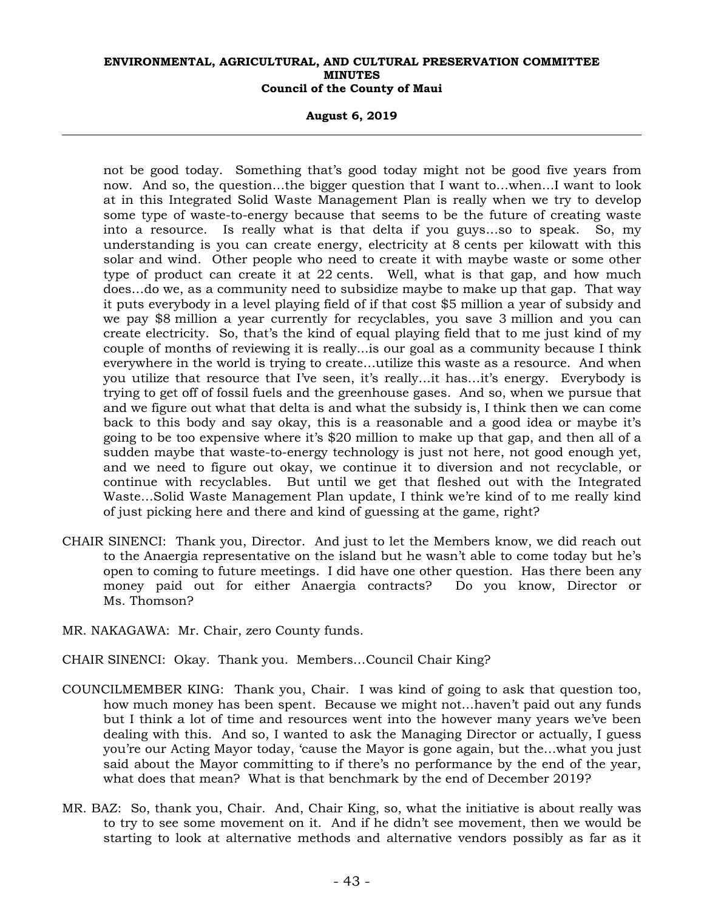**August 6, 2019** 

not be good today. Something that's good today might not be good five years from now. And so, the question…the bigger question that I want to…when…I want to look at in this Integrated Solid Waste Management Plan is really when we try to develop some type of waste-to-energy because that seems to be the future of creating waste into a resource. Is really what is that delta if you guys…so to speak. So, my understanding is you can create energy, electricity at 8 cents per kilowatt with this solar and wind. Other people who need to create it with maybe waste or some other type of product can create it at 22 cents. Well, what is that gap, and how much does…do we, as a community need to subsidize maybe to make up that gap. That way it puts everybody in a level playing field of if that cost \$5 million a year of subsidy and we pay \$8 million a year currently for recyclables, you save 3 million and you can create electricity. So, that's the kind of equal playing field that to me just kind of my couple of months of reviewing it is really...is our goal as a community because I think everywhere in the world is trying to create…utilize this waste as a resource. And when you utilize that resource that I've seen, it's really…it has…it's energy. Everybody is trying to get off of fossil fuels and the greenhouse gases. And so, when we pursue that and we figure out what that delta is and what the subsidy is, I think then we can come back to this body and say okay, this is a reasonable and a good idea or maybe it's going to be too expensive where it's \$20 million to make up that gap, and then all of a sudden maybe that waste-to-energy technology is just not here, not good enough yet, and we need to figure out okay, we continue it to diversion and not recyclable, or continue with recyclables. But until we get that fleshed out with the Integrated Waste…Solid Waste Management Plan update, I think we're kind of to me really kind of just picking here and there and kind of guessing at the game, right?

- CHAIR SINENCI: Thank you, Director. And just to let the Members know, we did reach out to the Anaergia representative on the island but he wasn't able to come today but he's open to coming to future meetings. I did have one other question. Has there been any money paid out for either Anaergia contracts? Do you know, Director or Ms. Thomson?
- MR. NAKAGAWA: Mr. Chair, zero County funds.
- CHAIR SINENCI: Okay. Thank you. Members…Council Chair King?
- COUNCILMEMBER KING: Thank you, Chair. I was kind of going to ask that question too, how much money has been spent. Because we might not…haven't paid out any funds but I think a lot of time and resources went into the however many years we've been dealing with this. And so, I wanted to ask the Managing Director or actually, I guess you're our Acting Mayor today, 'cause the Mayor is gone again, but the…what you just said about the Mayor committing to if there's no performance by the end of the year, what does that mean? What is that benchmark by the end of December 2019?
- MR. BAZ: So, thank you, Chair. And, Chair King, so, what the initiative is about really was to try to see some movement on it. And if he didn't see movement, then we would be starting to look at alternative methods and alternative vendors possibly as far as it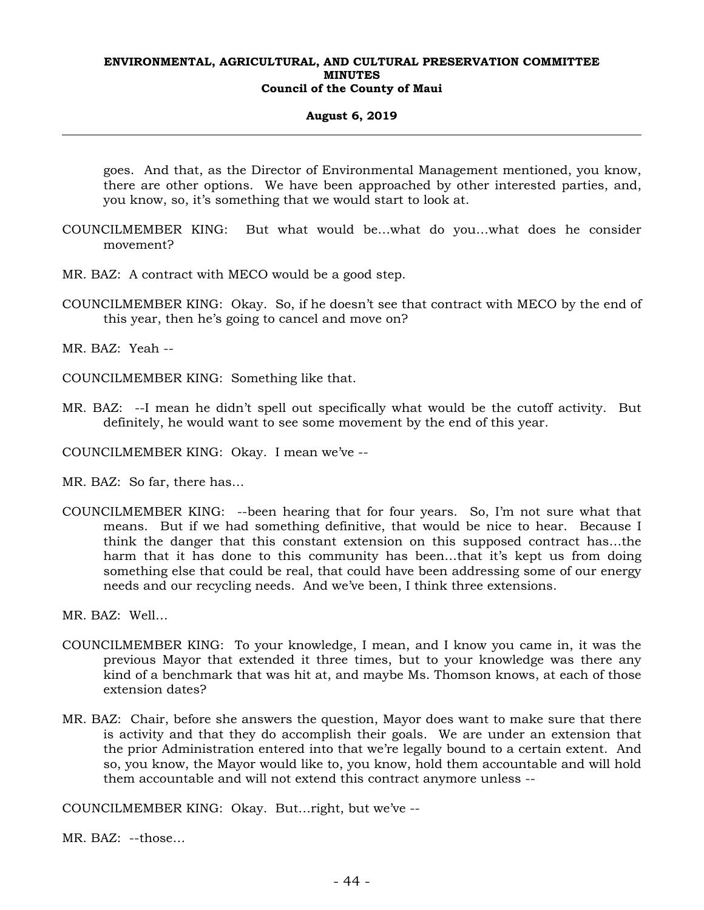#### **August 6, 2019**

goes. And that, as the Director of Environmental Management mentioned, you know, there are other options. We have been approached by other interested parties, and, you know, so, it's something that we would start to look at.

- COUNCILMEMBER KING: But what would be…what do you…what does he consider movement?
- MR. BAZ: A contract with MECO would be a good step.
- COUNCILMEMBER KING: Okay. So, if he doesn't see that contract with MECO by the end of this year, then he's going to cancel and move on?

MR. BAZ: Yeah --

COUNCILMEMBER KING: Something like that.

MR. BAZ: --I mean he didn't spell out specifically what would be the cutoff activity. But definitely, he would want to see some movement by the end of this year.

COUNCILMEMBER KING: Okay. I mean we've --

MR. BAZ: So far, there has…

COUNCILMEMBER KING: --been hearing that for four years. So, I'm not sure what that means. But if we had something definitive, that would be nice to hear. Because I think the danger that this constant extension on this supposed contract has…the harm that it has done to this community has been…that it's kept us from doing something else that could be real, that could have been addressing some of our energy needs and our recycling needs. And we've been, I think three extensions.

MR. BAZ: Well…

- COUNCILMEMBER KING: To your knowledge, I mean, and I know you came in, it was the previous Mayor that extended it three times, but to your knowledge was there any kind of a benchmark that was hit at, and maybe Ms. Thomson knows, at each of those extension dates?
- MR. BAZ: Chair, before she answers the question, Mayor does want to make sure that there is activity and that they do accomplish their goals. We are under an extension that the prior Administration entered into that we're legally bound to a certain extent. And so, you know, the Mayor would like to, you know, hold them accountable and will hold them accountable and will not extend this contract anymore unless --

COUNCILMEMBER KING: Okay. But…right, but we've --

MR. BAZ: --those…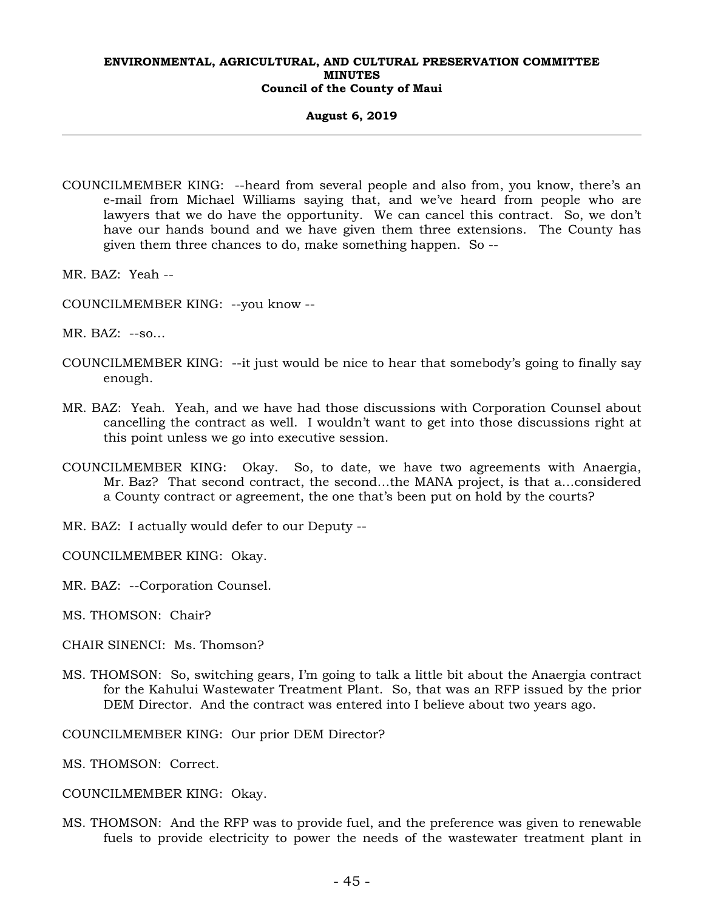#### **August 6, 2019**

- COUNCILMEMBER KING: --heard from several people and also from, you know, there's an e-mail from Michael Williams saying that, and we've heard from people who are lawyers that we do have the opportunity. We can cancel this contract. So, we don't have our hands bound and we have given them three extensions. The County has given them three chances to do, make something happen. So --
- MR. BAZ: Yeah --
- COUNCILMEMBER KING: --you know --
- MR. BAZ: --so…
- COUNCILMEMBER KING: --it just would be nice to hear that somebody's going to finally say enough.
- MR. BAZ: Yeah. Yeah, and we have had those discussions with Corporation Counsel about cancelling the contract as well. I wouldn't want to get into those discussions right at this point unless we go into executive session.
- COUNCILMEMBER KING: Okay. So, to date, we have two agreements with Anaergia, Mr. Baz? That second contract, the second…the MANA project, is that a…considered a County contract or agreement, the one that's been put on hold by the courts?
- MR. BAZ: I actually would defer to our Deputy --
- COUNCILMEMBER KING: Okay.
- MR. BAZ: --Corporation Counsel.
- MS. THOMSON: Chair?
- CHAIR SINENCI: Ms. Thomson?
- MS. THOMSON: So, switching gears, I'm going to talk a little bit about the Anaergia contract for the Kahului Wastewater Treatment Plant. So, that was an RFP issued by the prior DEM Director. And the contract was entered into I believe about two years ago.

COUNCILMEMBER KING: Our prior DEM Director?

MS. THOMSON: Correct.

- COUNCILMEMBER KING: Okay.
- MS. THOMSON: And the RFP was to provide fuel, and the preference was given to renewable fuels to provide electricity to power the needs of the wastewater treatment plant in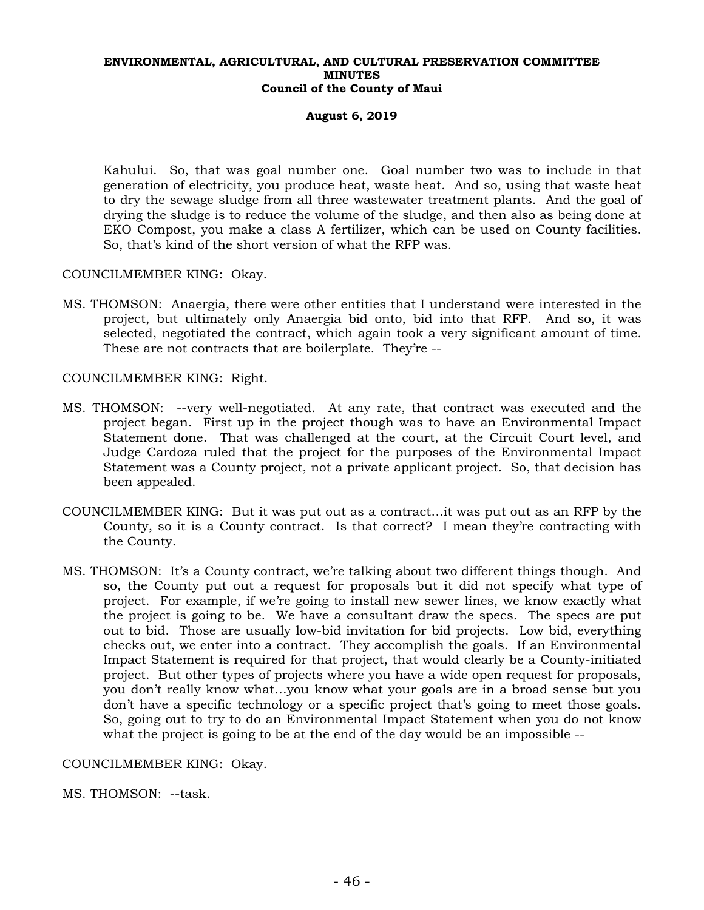#### **August 6, 2019**

Kahului. So, that was goal number one. Goal number two was to include in that generation of electricity, you produce heat, waste heat. And so, using that waste heat to dry the sewage sludge from all three wastewater treatment plants. And the goal of drying the sludge is to reduce the volume of the sludge, and then also as being done at EKO Compost, you make a class A fertilizer, which can be used on County facilities. So, that's kind of the short version of what the RFP was.

COUNCILMEMBER KING: Okay.

MS. THOMSON: Anaergia, there were other entities that I understand were interested in the project, but ultimately only Anaergia bid onto, bid into that RFP. And so, it was selected, negotiated the contract, which again took a very significant amount of time. These are not contracts that are boilerplate. They're --

COUNCILMEMBER KING: Right.

- MS. THOMSON: --very well-negotiated. At any rate, that contract was executed and the project began. First up in the project though was to have an Environmental Impact Statement done. That was challenged at the court, at the Circuit Court level, and Judge Cardoza ruled that the project for the purposes of the Environmental Impact Statement was a County project, not a private applicant project. So, that decision has been appealed.
- COUNCILMEMBER KING: But it was put out as a contract…it was put out as an RFP by the County, so it is a County contract. Is that correct? I mean they're contracting with the County.
- MS. THOMSON: It's a County contract, we're talking about two different things though. And so, the County put out a request for proposals but it did not specify what type of project. For example, if we're going to install new sewer lines, we know exactly what the project is going to be. We have a consultant draw the specs. The specs are put out to bid. Those are usually low-bid invitation for bid projects. Low bid, everything checks out, we enter into a contract. They accomplish the goals. If an Environmental Impact Statement is required for that project, that would clearly be a County-initiated project. But other types of projects where you have a wide open request for proposals, you don't really know what…you know what your goals are in a broad sense but you don't have a specific technology or a specific project that's going to meet those goals. So, going out to try to do an Environmental Impact Statement when you do not know what the project is going to be at the end of the day would be an impossible --

COUNCILMEMBER KING: Okay.

MS. THOMSON: --task.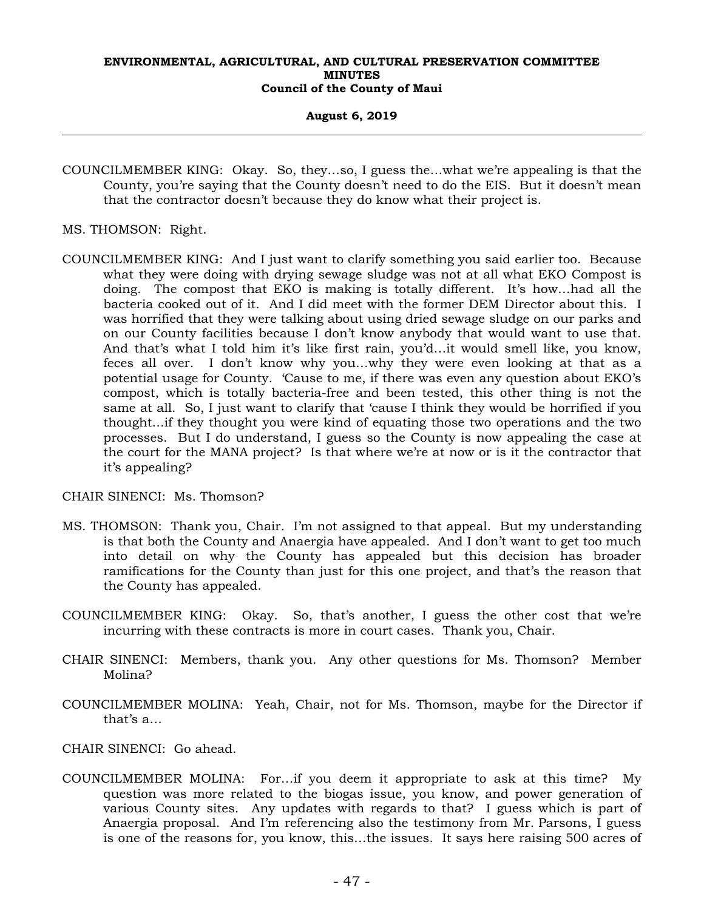#### **August 6, 2019**

COUNCILMEMBER KING: Okay. So, they…so, I guess the…what we're appealing is that the County, you're saying that the County doesn't need to do the EIS. But it doesn't mean that the contractor doesn't because they do know what their project is.

- MS. THOMSON: Right.
- COUNCILMEMBER KING: And I just want to clarify something you said earlier too. Because what they were doing with drying sewage sludge was not at all what EKO Compost is doing. The compost that EKO is making is totally different. It's how…had all the bacteria cooked out of it. And I did meet with the former DEM Director about this. I was horrified that they were talking about using dried sewage sludge on our parks and on our County facilities because I don't know anybody that would want to use that. And that's what I told him it's like first rain, you'd…it would smell like, you know, feces all over. I don't know why you…why they were even looking at that as a potential usage for County. 'Cause to me, if there was even any question about EKO's compost, which is totally bacteria-free and been tested, this other thing is not the same at all. So, I just want to clarify that 'cause I think they would be horrified if you thought...if they thought you were kind of equating those two operations and the two processes. But I do understand, I guess so the County is now appealing the case at the court for the MANA project? Is that where we're at now or is it the contractor that it's appealing?

CHAIR SINENCI: Ms. Thomson?

- MS. THOMSON: Thank you, Chair. I'm not assigned to that appeal. But my understanding is that both the County and Anaergia have appealed. And I don't want to get too much into detail on why the County has appealed but this decision has broader ramifications for the County than just for this one project, and that's the reason that the County has appealed.
- COUNCILMEMBER KING: Okay. So, that's another, I guess the other cost that we're incurring with these contracts is more in court cases. Thank you, Chair.
- CHAIR SINENCI: Members, thank you. Any other questions for Ms. Thomson? Member Molina?
- COUNCILMEMBER MOLINA: Yeah, Chair, not for Ms. Thomson, maybe for the Director if that's a…
- CHAIR SINENCI: Go ahead.
- COUNCILMEMBER MOLINA: For…if you deem it appropriate to ask at this time? My question was more related to the biogas issue, you know, and power generation of various County sites. Any updates with regards to that? I guess which is part of Anaergia proposal. And I'm referencing also the testimony from Mr. Parsons, I guess is one of the reasons for, you know, this…the issues. It says here raising 500 acres of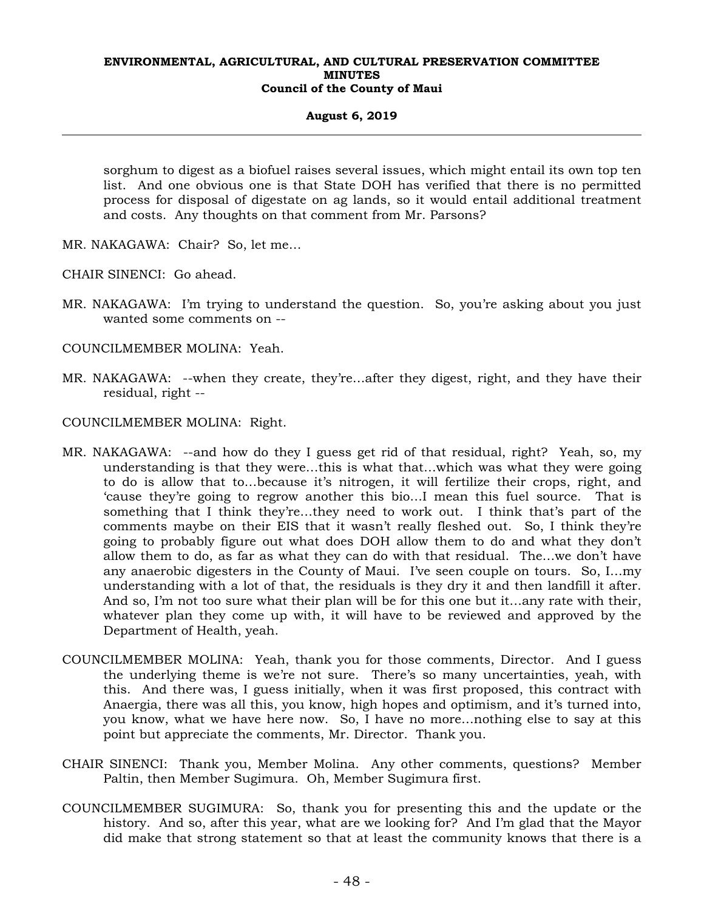#### **August 6, 2019**

sorghum to digest as a biofuel raises several issues, which might entail its own top ten list. And one obvious one is that State DOH has verified that there is no permitted process for disposal of digestate on ag lands, so it would entail additional treatment and costs. Any thoughts on that comment from Mr. Parsons?

- MR. NAKAGAWA: Chair? So, let me…
- CHAIR SINENCI: Go ahead.
- MR. NAKAGAWA: I'm trying to understand the question. So, you're asking about you just wanted some comments on --
- COUNCILMEMBER MOLINA: Yeah.
- MR. NAKAGAWA: --when they create, they're…after they digest, right, and they have their residual, right --

COUNCILMEMBER MOLINA: Right.

- MR. NAKAGAWA: --and how do they I guess get rid of that residual, right? Yeah, so, my understanding is that they were…this is what that…which was what they were going to do is allow that to…because it's nitrogen, it will fertilize their crops, right, and 'cause they're going to regrow another this bio…I mean this fuel source. That is something that I think they're…they need to work out. I think that's part of the comments maybe on their EIS that it wasn't really fleshed out. So, I think they're going to probably figure out what does DOH allow them to do and what they don't allow them to do, as far as what they can do with that residual. The…we don't have any anaerobic digesters in the County of Maui. I've seen couple on tours. So, I…my understanding with a lot of that, the residuals is they dry it and then landfill it after. And so, I'm not too sure what their plan will be for this one but it…any rate with their, whatever plan they come up with, it will have to be reviewed and approved by the Department of Health, yeah.
- COUNCILMEMBER MOLINA: Yeah, thank you for those comments, Director. And I guess the underlying theme is we're not sure. There's so many uncertainties, yeah, with this. And there was, I guess initially, when it was first proposed, this contract with Anaergia, there was all this, you know, high hopes and optimism, and it's turned into, you know, what we have here now. So, I have no more…nothing else to say at this point but appreciate the comments, Mr. Director. Thank you.
- CHAIR SINENCI: Thank you, Member Molina. Any other comments, questions? Member Paltin, then Member Sugimura. Oh, Member Sugimura first.
- COUNCILMEMBER SUGIMURA: So, thank you for presenting this and the update or the history. And so, after this year, what are we looking for? And I'm glad that the Mayor did make that strong statement so that at least the community knows that there is a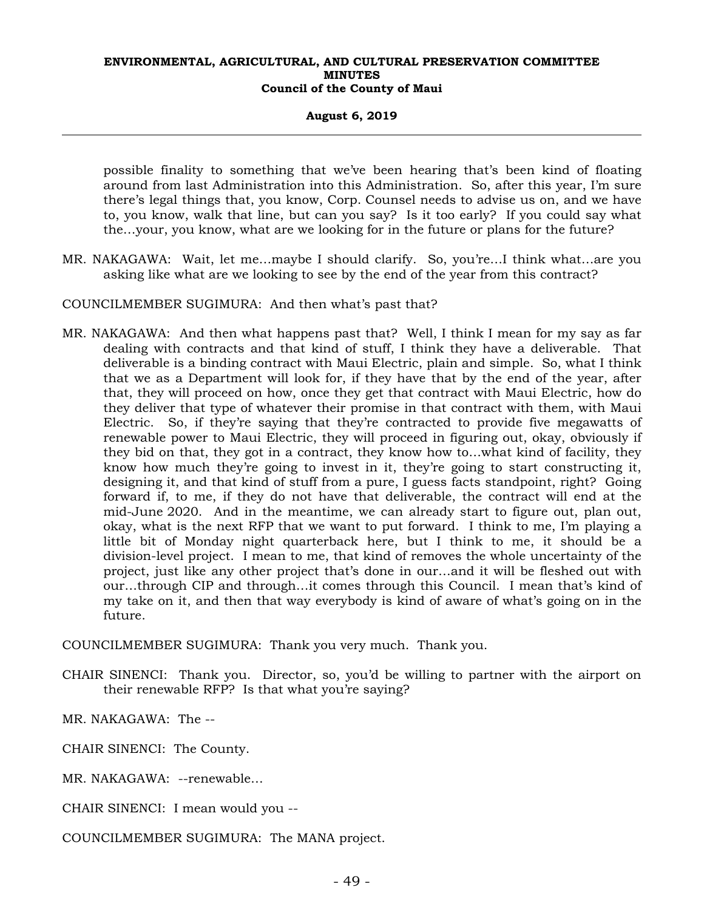#### **August 6, 2019**

possible finality to something that we've been hearing that's been kind of floating around from last Administration into this Administration. So, after this year, I'm sure there's legal things that, you know, Corp. Counsel needs to advise us on, and we have to, you know, walk that line, but can you say? Is it too early? If you could say what the…your, you know, what are we looking for in the future or plans for the future?

MR. NAKAGAWA: Wait, let me...maybe I should clarify. So, you're...I think what...are you asking like what are we looking to see by the end of the year from this contract?

COUNCILMEMBER SUGIMURA: And then what's past that?

MR. NAKAGAWA: And then what happens past that? Well, I think I mean for my say as far dealing with contracts and that kind of stuff, I think they have a deliverable. That deliverable is a binding contract with Maui Electric, plain and simple. So, what I think that we as a Department will look for, if they have that by the end of the year, after that, they will proceed on how, once they get that contract with Maui Electric, how do they deliver that type of whatever their promise in that contract with them, with Maui Electric. So, if they're saying that they're contracted to provide five megawatts of renewable power to Maui Electric, they will proceed in figuring out, okay, obviously if they bid on that, they got in a contract, they know how to…what kind of facility, they know how much they're going to invest in it, they're going to start constructing it, designing it, and that kind of stuff from a pure, I guess facts standpoint, right? Going forward if, to me, if they do not have that deliverable, the contract will end at the mid-June 2020. And in the meantime, we can already start to figure out, plan out, okay, what is the next RFP that we want to put forward. I think to me, I'm playing a little bit of Monday night quarterback here, but I think to me, it should be a division-level project. I mean to me, that kind of removes the whole uncertainty of the project, just like any other project that's done in our…and it will be fleshed out with our…through CIP and through…it comes through this Council. I mean that's kind of my take on it, and then that way everybody is kind of aware of what's going on in the future.

COUNCILMEMBER SUGIMURA: Thank you very much. Thank you.

CHAIR SINENCI: Thank you. Director, so, you'd be willing to partner with the airport on their renewable RFP? Is that what you're saying?

MR. NAKAGAWA: The --

CHAIR SINENCI: The County.

- MR. NAKAGAWA: --renewable…
- CHAIR SINENCI: I mean would you --

COUNCILMEMBER SUGIMURA: The MANA project.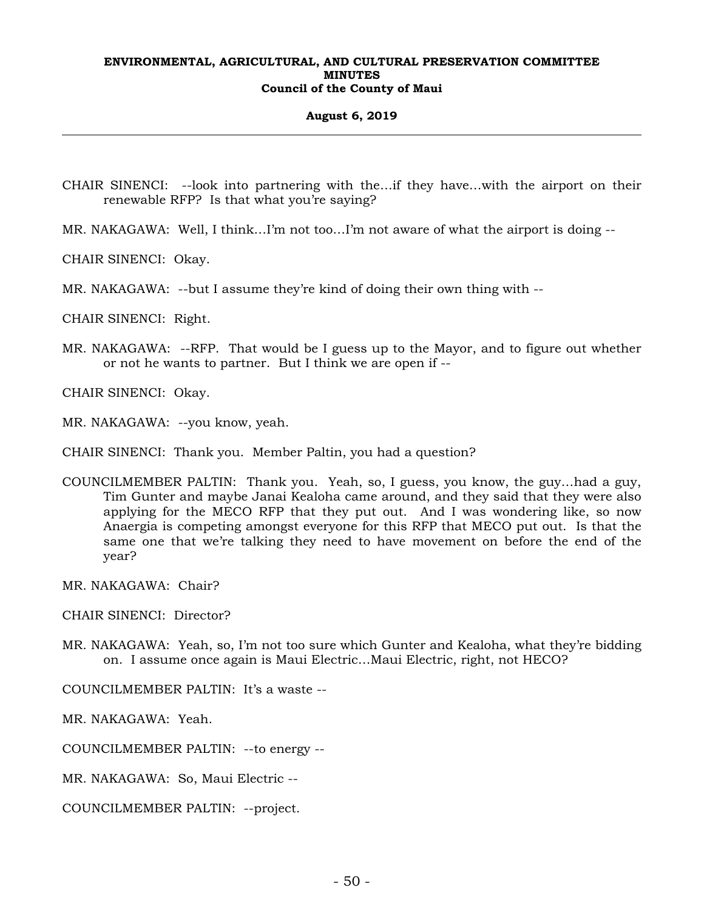#### **August 6, 2019**

CHAIR SINENCI: --look into partnering with the…if they have…with the airport on their renewable RFP? Is that what you're saying?

MR. NAKAGAWA: Well, I think…I'm not too…I'm not aware of what the airport is doing --

CHAIR SINENCI: Okay.

MR. NAKAGAWA: --but I assume they're kind of doing their own thing with --

CHAIR SINENCI: Right.

MR. NAKAGAWA: --RFP. That would be I guess up to the Mayor, and to figure out whether or not he wants to partner. But I think we are open if --

CHAIR SINENCI: Okay.

MR. NAKAGAWA: --you know, yeah.

CHAIR SINENCI: Thank you. Member Paltin, you had a question?

COUNCILMEMBER PALTIN: Thank you. Yeah, so, I guess, you know, the guy…had a guy, Tim Gunter and maybe Janai Kealoha came around, and they said that they were also applying for the MECO RFP that they put out. And I was wondering like, so now Anaergia is competing amongst everyone for this RFP that MECO put out. Is that the same one that we're talking they need to have movement on before the end of the year?

MR. NAKAGAWA: Chair?

CHAIR SINENCI: Director?

MR. NAKAGAWA: Yeah, so, I'm not too sure which Gunter and Kealoha, what they're bidding on. I assume once again is Maui Electric…Maui Electric, right, not HECO?

COUNCILMEMBER PALTIN: It's a waste --

MR. NAKAGAWA: Yeah.

COUNCILMEMBER PALTIN: --to energy --

MR. NAKAGAWA: So, Maui Electric --

COUNCILMEMBER PALTIN: --project.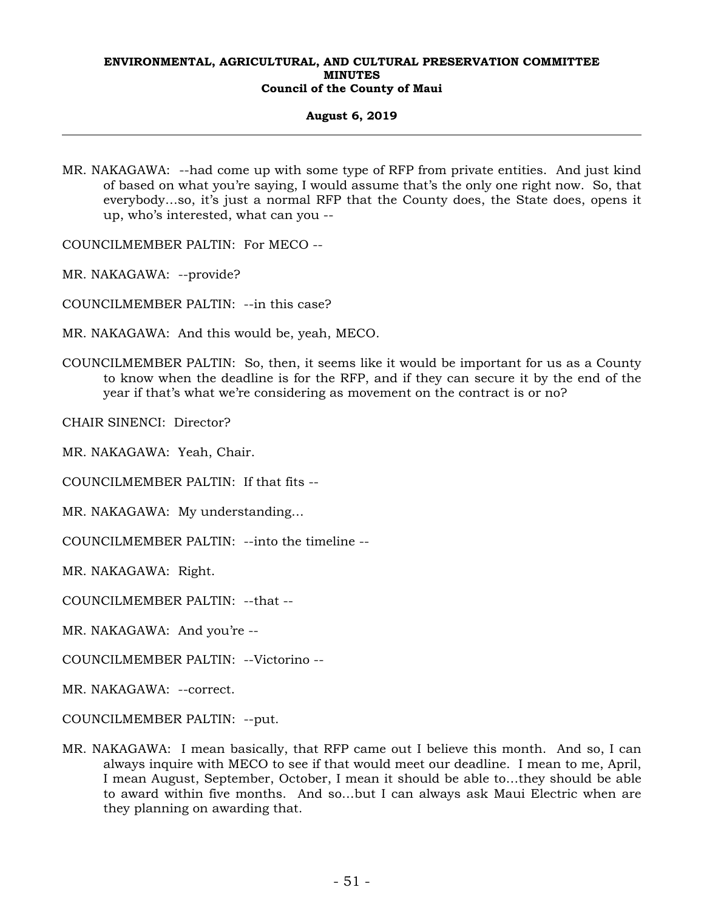#### **August 6, 2019**

MR. NAKAGAWA: --had come up with some type of RFP from private entities. And just kind of based on what you're saying, I would assume that's the only one right now. So, that everybody…so, it's just a normal RFP that the County does, the State does, opens it up, who's interested, what can you --

COUNCILMEMBER PALTIN: For MECO --

MR. NAKAGAWA: --provide?

COUNCILMEMBER PALTIN: --in this case?

- MR. NAKAGAWA: And this would be, yeah, MECO.
- COUNCILMEMBER PALTIN: So, then, it seems like it would be important for us as a County to know when the deadline is for the RFP, and if they can secure it by the end of the year if that's what we're considering as movement on the contract is or no?

CHAIR SINENCI: Director?

MR. NAKAGAWA: Yeah, Chair.

COUNCILMEMBER PALTIN: If that fits --

MR. NAKAGAWA: My understanding…

COUNCILMEMBER PALTIN: --into the timeline --

MR. NAKAGAWA: Right.

COUNCILMEMBER PALTIN: --that --

MR. NAKAGAWA: And you're --

COUNCILMEMBER PALTIN: --Victorino --

MR. NAKAGAWA: --correct.

COUNCILMEMBER PALTIN: --put.

MR. NAKAGAWA: I mean basically, that RFP came out I believe this month. And so, I can always inquire with MECO to see if that would meet our deadline. I mean to me, April, I mean August, September, October, I mean it should be able to…they should be able to award within five months. And so…but I can always ask Maui Electric when are they planning on awarding that.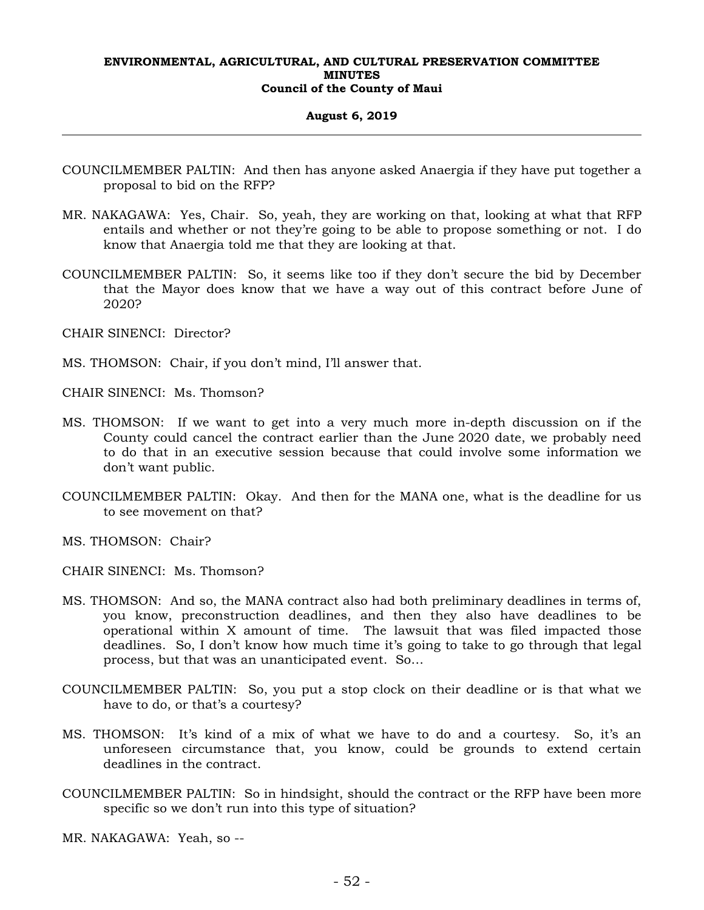#### **August 6, 2019**

- COUNCILMEMBER PALTIN: And then has anyone asked Anaergia if they have put together a proposal to bid on the RFP?
- MR. NAKAGAWA: Yes, Chair. So, yeah, they are working on that, looking at what that RFP entails and whether or not they're going to be able to propose something or not. I do know that Anaergia told me that they are looking at that.
- COUNCILMEMBER PALTIN: So, it seems like too if they don't secure the bid by December that the Mayor does know that we have a way out of this contract before June of 2020?
- CHAIR SINENCI: Director?
- MS. THOMSON: Chair, if you don't mind, I'll answer that.
- CHAIR SINENCI: Ms. Thomson?
- MS. THOMSON: If we want to get into a very much more in-depth discussion on if the County could cancel the contract earlier than the June 2020 date, we probably need to do that in an executive session because that could involve some information we don't want public.
- COUNCILMEMBER PALTIN: Okay. And then for the MANA one, what is the deadline for us to see movement on that?
- MS. THOMSON: Chair?
- CHAIR SINENCI: Ms. Thomson?
- MS. THOMSON: And so, the MANA contract also had both preliminary deadlines in terms of, you know, preconstruction deadlines, and then they also have deadlines to be operational within X amount of time. The lawsuit that was filed impacted those deadlines. So, I don't know how much time it's going to take to go through that legal process, but that was an unanticipated event. So…
- COUNCILMEMBER PALTIN: So, you put a stop clock on their deadline or is that what we have to do, or that's a courtesy?
- MS. THOMSON: It's kind of a mix of what we have to do and a courtesy. So, it's an unforeseen circumstance that, you know, could be grounds to extend certain deadlines in the contract.
- COUNCILMEMBER PALTIN: So in hindsight, should the contract or the RFP have been more specific so we don't run into this type of situation?

MR. NAKAGAWA: Yeah, so --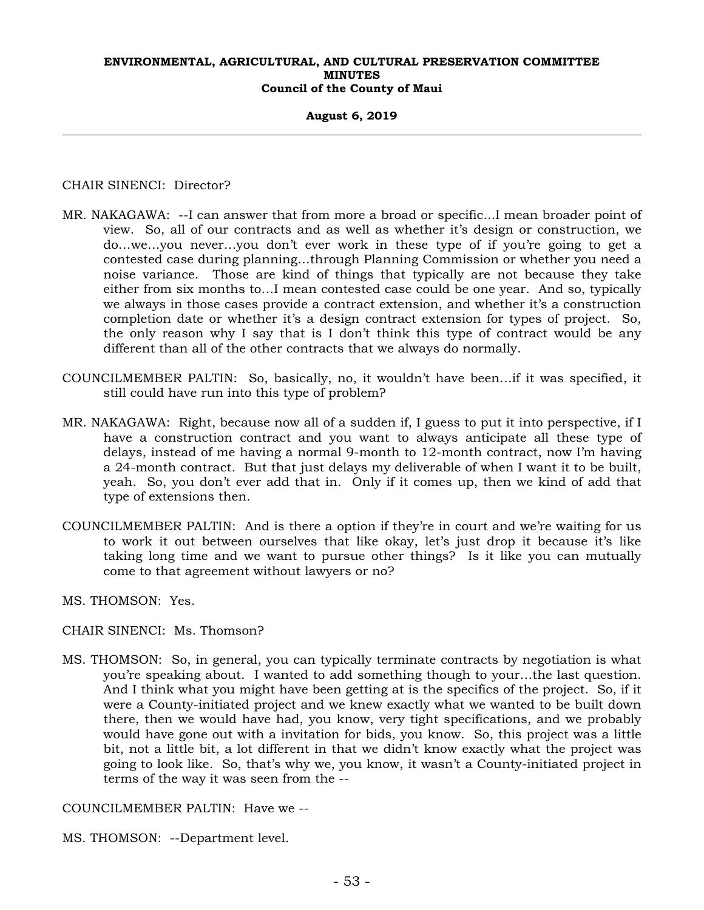### **August 6, 2019**

CHAIR SINENCI: Director?

- MR. NAKAGAWA: --I can answer that from more a broad or specific...I mean broader point of view. So, all of our contracts and as well as whether it's design or construction, we do…we…you never…you don't ever work in these type of if you're going to get a contested case during planning…through Planning Commission or whether you need a noise variance. Those are kind of things that typically are not because they take either from six months to…I mean contested case could be one year. And so, typically we always in those cases provide a contract extension, and whether it's a construction completion date or whether it's a design contract extension for types of project. So, the only reason why I say that is I don't think this type of contract would be any different than all of the other contracts that we always do normally.
- COUNCILMEMBER PALTIN: So, basically, no, it wouldn't have been…if it was specified, it still could have run into this type of problem?
- MR. NAKAGAWA: Right, because now all of a sudden if, I guess to put it into perspective, if I have a construction contract and you want to always anticipate all these type of delays, instead of me having a normal 9-month to 12-month contract, now I'm having a 24-month contract. But that just delays my deliverable of when I want it to be built, yeah. So, you don't ever add that in. Only if it comes up, then we kind of add that type of extensions then.
- COUNCILMEMBER PALTIN: And is there a option if they're in court and we're waiting for us to work it out between ourselves that like okay, let's just drop it because it's like taking long time and we want to pursue other things? Is it like you can mutually come to that agreement without lawyers or no?

MS. THOMSON: Yes.

CHAIR SINENCI: Ms. Thomson?

MS. THOMSON: So, in general, you can typically terminate contracts by negotiation is what you're speaking about. I wanted to add something though to your…the last question. And I think what you might have been getting at is the specifics of the project. So, if it were a County-initiated project and we knew exactly what we wanted to be built down there, then we would have had, you know, very tight specifications, and we probably would have gone out with a invitation for bids, you know. So, this project was a little bit, not a little bit, a lot different in that we didn't know exactly what the project was going to look like. So, that's why we, you know, it wasn't a County-initiated project in terms of the way it was seen from the --

COUNCILMEMBER PALTIN: Have we --

MS. THOMSON: --Department level.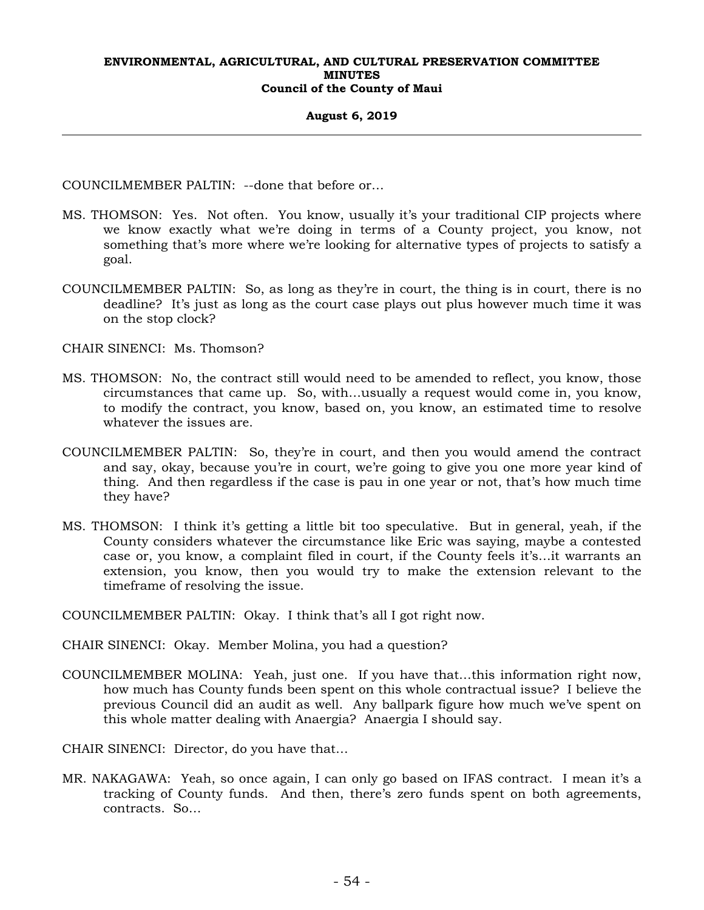#### **August 6, 2019**

COUNCILMEMBER PALTIN: --done that before or…

- MS. THOMSON: Yes. Not often. You know, usually it's your traditional CIP projects where we know exactly what we're doing in terms of a County project, you know, not something that's more where we're looking for alternative types of projects to satisfy a goal.
- COUNCILMEMBER PALTIN: So, as long as they're in court, the thing is in court, there is no deadline? It's just as long as the court case plays out plus however much time it was on the stop clock?

CHAIR SINENCI: Ms. Thomson?

- MS. THOMSON: No, the contract still would need to be amended to reflect, you know, those circumstances that came up. So, with…usually a request would come in, you know, to modify the contract, you know, based on, you know, an estimated time to resolve whatever the issues are.
- COUNCILMEMBER PALTIN: So, they're in court, and then you would amend the contract and say, okay, because you're in court, we're going to give you one more year kind of thing. And then regardless if the case is pau in one year or not, that's how much time they have?
- MS. THOMSON: I think it's getting a little bit too speculative. But in general, yeah, if the County considers whatever the circumstance like Eric was saying, maybe a contested case or, you know, a complaint filed in court, if the County feels it's…it warrants an extension, you know, then you would try to make the extension relevant to the timeframe of resolving the issue.

COUNCILMEMBER PALTIN: Okay. I think that's all I got right now.

CHAIR SINENCI: Okay. Member Molina, you had a question?

COUNCILMEMBER MOLINA: Yeah, just one. If you have that…this information right now, how much has County funds been spent on this whole contractual issue? I believe the previous Council did an audit as well. Any ballpark figure how much we've spent on this whole matter dealing with Anaergia? Anaergia I should say.

CHAIR SINENCI: Director, do you have that…

MR. NAKAGAWA: Yeah, so once again, I can only go based on IFAS contract. I mean it's a tracking of County funds. And then, there's zero funds spent on both agreements, contracts. So…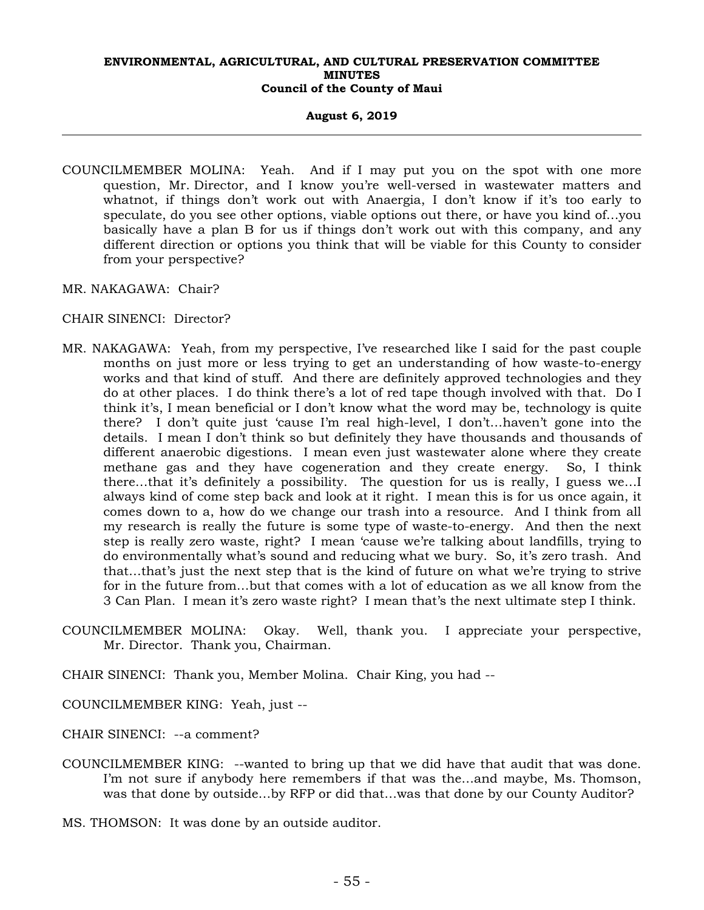#### **August 6, 2019**

- COUNCILMEMBER MOLINA: Yeah. And if I may put you on the spot with one more question, Mr. Director, and I know you're well-versed in wastewater matters and whatnot, if things don't work out with Anaergia, I don't know if it's too early to speculate, do you see other options, viable options out there, or have you kind of…you basically have a plan B for us if things don't work out with this company, and any different direction or options you think that will be viable for this County to consider from your perspective?
- MR. NAKAGAWA: Chair?

# CHAIR SINENCI: Director?

- MR. NAKAGAWA: Yeah, from my perspective, I've researched like I said for the past couple months on just more or less trying to get an understanding of how waste-to-energy works and that kind of stuff. And there are definitely approved technologies and they do at other places. I do think there's a lot of red tape though involved with that. Do I think it's, I mean beneficial or I don't know what the word may be, technology is quite there? I don't quite just 'cause I'm real high-level, I don't…haven't gone into the details. I mean I don't think so but definitely they have thousands and thousands of different anaerobic digestions. I mean even just wastewater alone where they create methane gas and they have cogeneration and they create energy. So, I think there…that it's definitely a possibility. The question for us is really, I guess we…I always kind of come step back and look at it right. I mean this is for us once again, it comes down to a, how do we change our trash into a resource. And I think from all my research is really the future is some type of waste-to-energy. And then the next step is really zero waste, right? I mean 'cause we're talking about landfills, trying to do environmentally what's sound and reducing what we bury. So, it's zero trash. And that…that's just the next step that is the kind of future on what we're trying to strive for in the future from…but that comes with a lot of education as we all know from the 3 Can Plan. I mean it's zero waste right? I mean that's the next ultimate step I think.
- COUNCILMEMBER MOLINA: Okay. Well, thank you. I appreciate your perspective, Mr. Director. Thank you, Chairman.
- CHAIR SINENCI: Thank you, Member Molina. Chair King, you had --
- COUNCILMEMBER KING: Yeah, just --
- CHAIR SINENCI: --a comment?
- COUNCILMEMBER KING: --wanted to bring up that we did have that audit that was done. I'm not sure if anybody here remembers if that was the…and maybe, Ms. Thomson, was that done by outside…by RFP or did that…was that done by our County Auditor?

MS. THOMSON: It was done by an outside auditor.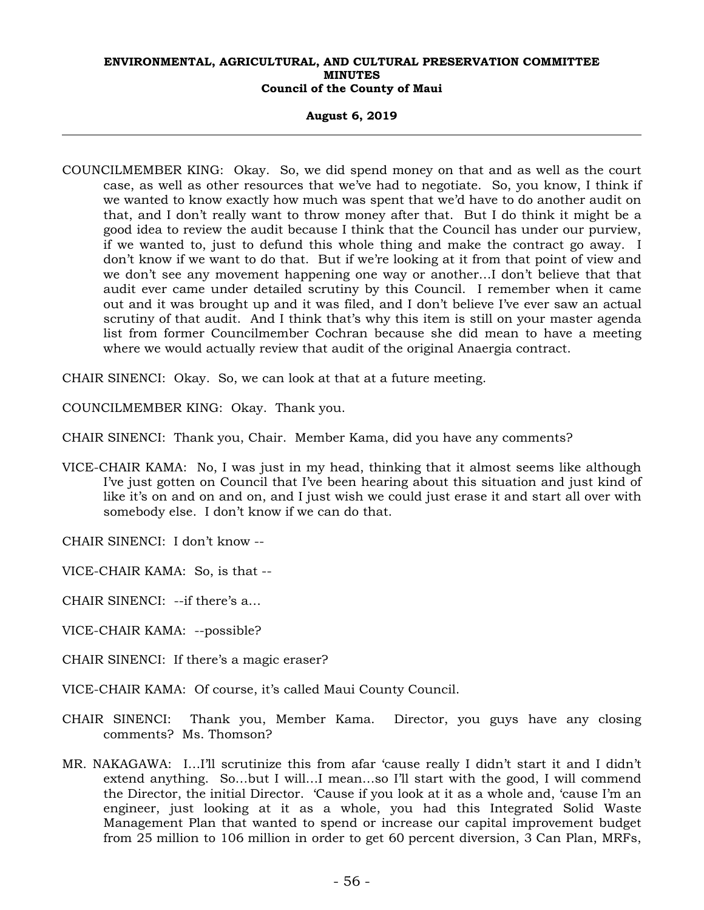#### **August 6, 2019**

COUNCILMEMBER KING: Okay. So, we did spend money on that and as well as the court case, as well as other resources that we've had to negotiate. So, you know, I think if we wanted to know exactly how much was spent that we'd have to do another audit on that, and I don't really want to throw money after that. But I do think it might be a good idea to review the audit because I think that the Council has under our purview, if we wanted to, just to defund this whole thing and make the contract go away. I don't know if we want to do that. But if we're looking at it from that point of view and we don't see any movement happening one way or another…I don't believe that that audit ever came under detailed scrutiny by this Council. I remember when it came out and it was brought up and it was filed, and I don't believe I've ever saw an actual scrutiny of that audit. And I think that's why this item is still on your master agenda list from former Councilmember Cochran because she did mean to have a meeting where we would actually review that audit of the original Anaergia contract.

CHAIR SINENCI: Okay. So, we can look at that at a future meeting.

COUNCILMEMBER KING: Okay. Thank you.

CHAIR SINENCI: Thank you, Chair. Member Kama, did you have any comments?

VICE-CHAIR KAMA: No, I was just in my head, thinking that it almost seems like although I've just gotten on Council that I've been hearing about this situation and just kind of like it's on and on and on, and I just wish we could just erase it and start all over with somebody else. I don't know if we can do that.

CHAIR SINENCI: I don't know --

VICE-CHAIR KAMA: So, is that --

CHAIR SINENCI: --if there's a…

VICE-CHAIR KAMA: --possible?

CHAIR SINENCI: If there's a magic eraser?

- VICE-CHAIR KAMA: Of course, it's called Maui County Council.
- CHAIR SINENCI: Thank you, Member Kama. Director, you guys have any closing comments? Ms. Thomson?
- MR. NAKAGAWA: I…I'll scrutinize this from afar 'cause really I didn't start it and I didn't extend anything. So...but I will...I mean...so I'll start with the good, I will commend the Director, the initial Director. 'Cause if you look at it as a whole and, 'cause I'm an engineer, just looking at it as a whole, you had this Integrated Solid Waste Management Plan that wanted to spend or increase our capital improvement budget from 25 million to 106 million in order to get 60 percent diversion, 3 Can Plan, MRFs,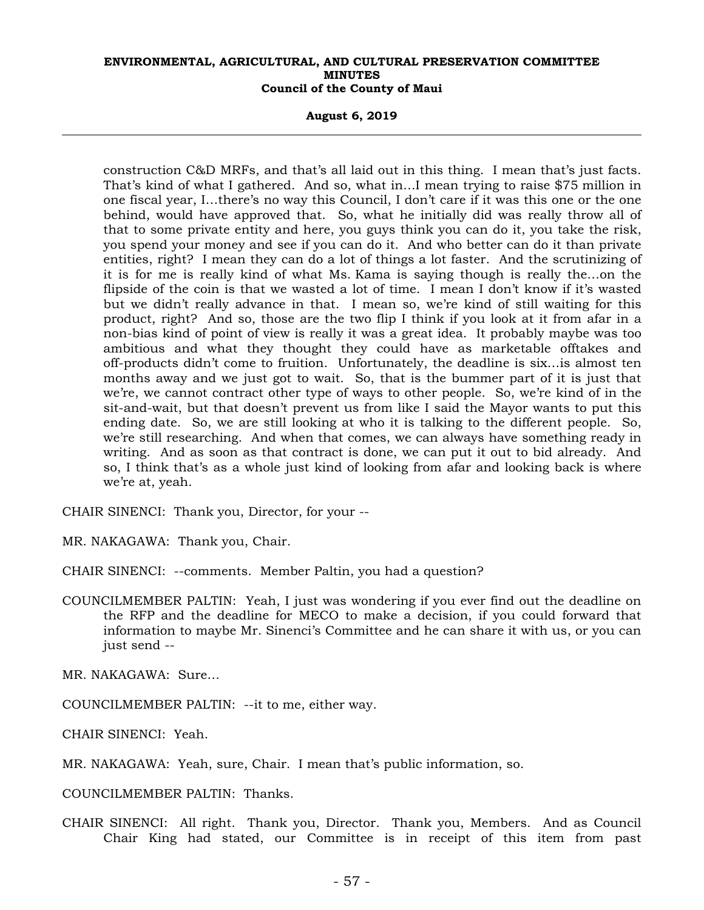**August 6, 2019** 

construction C&D MRFs, and that's all laid out in this thing. I mean that's just facts. That's kind of what I gathered. And so, what in…I mean trying to raise \$75 million in one fiscal year, I…there's no way this Council, I don't care if it was this one or the one behind, would have approved that. So, what he initially did was really throw all of that to some private entity and here, you guys think you can do it, you take the risk, you spend your money and see if you can do it. And who better can do it than private entities, right? I mean they can do a lot of things a lot faster. And the scrutinizing of it is for me is really kind of what Ms. Kama is saying though is really the…on the flipside of the coin is that we wasted a lot of time. I mean I don't know if it's wasted but we didn't really advance in that. I mean so, we're kind of still waiting for this product, right? And so, those are the two flip I think if you look at it from afar in a non-bias kind of point of view is really it was a great idea. It probably maybe was too ambitious and what they thought they could have as marketable offtakes and off-products didn't come to fruition. Unfortunately, the deadline is six…is almost ten months away and we just got to wait. So, that is the bummer part of it is just that we're, we cannot contract other type of ways to other people. So, we're kind of in the sit-and-wait, but that doesn't prevent us from like I said the Mayor wants to put this ending date. So, we are still looking at who it is talking to the different people. So, we're still researching. And when that comes, we can always have something ready in writing. And as soon as that contract is done, we can put it out to bid already. And so, I think that's as a whole just kind of looking from afar and looking back is where we're at, yeah.

CHAIR SINENCI: Thank you, Director, for your --

MR. NAKAGAWA: Thank you, Chair.

- CHAIR SINENCI: --comments. Member Paltin, you had a question?
- COUNCILMEMBER PALTIN: Yeah, I just was wondering if you ever find out the deadline on the RFP and the deadline for MECO to make a decision, if you could forward that information to maybe Mr. Sinenci's Committee and he can share it with us, or you can just send --

MR. NAKAGAWA: Sure…

COUNCILMEMBER PALTIN: --it to me, either way.

CHAIR SINENCI: Yeah.

MR. NAKAGAWA: Yeah, sure, Chair. I mean that's public information, so.

COUNCILMEMBER PALTIN: Thanks.

CHAIR SINENCI: All right. Thank you, Director. Thank you, Members. And as Council Chair King had stated, our Committee is in receipt of this item from past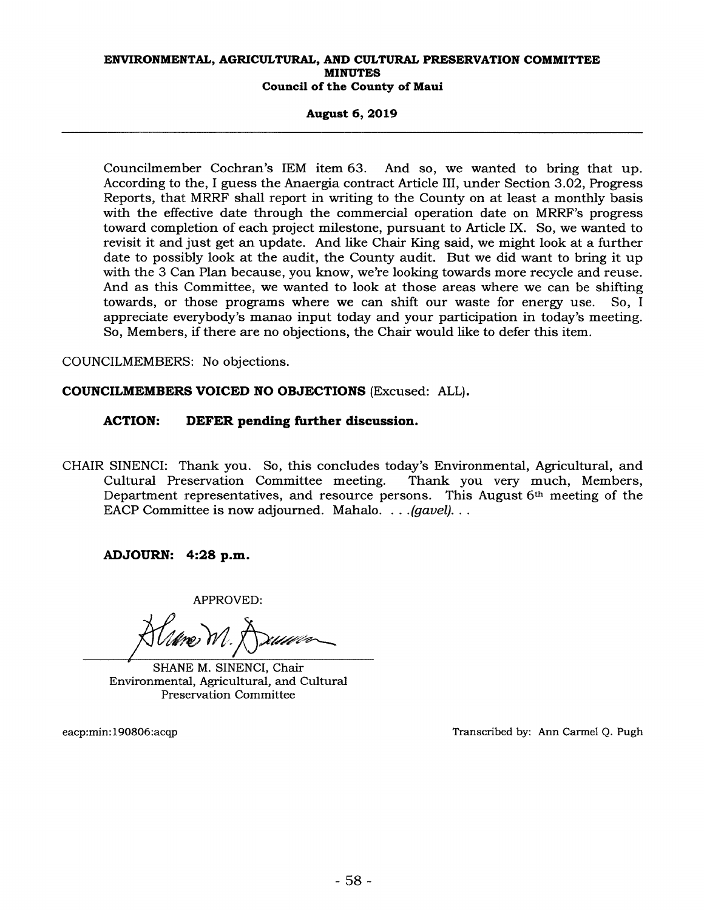August 6, 2019

Councilmember Cochran's JEM item 63. And so, we wanted to bring that up. According to the, <sup>I</sup> guess the Anaergia contract Article III, under Section 3.02, Progress Reports, that MRRF shall report in writing to the County on at least a monthly basis with the effective date through the commercial operation date on MRRF's progress toward completion of each project milestone, pursuant to Article IX. So, we wanted to revisit it and just get an update. And like Chair King said, we might look at a further date to possibly look at the audit, the County audit. But we did want to bring it up with the 3 Can Plan because, you know, we're looking towards more recycle and reuse. And as this Committee, we wanted to look at those areas where we can be shifting towards, or those programs where we can shift our waste for energy use. So, <sup>I</sup> appreciate everybody's manao input today and your participation in today's meeting. So, Members, if there are no objections, the Chair would like to defer this item.

COUNCILMEMBERS: No objections.

COUNCILMEMBERS VOICED NO OBJECTIONS (Excused: ALL).

#### ACTION: DEFER pending further discussion.

CHAIR SINENCI: Thank you. So, this concludes today's Environmental, Agricultural, and Cultural Preservation Committee meeting. Department representatives, and resource persons. This August  $6<sup>th</sup>$  meeting of the EACP Committee is now adjourned. Mahalo. . . . *(gavel).* . .

ADJOURN: 4:28 p.m.

APPROVED:

SHANE M. SINENCI, Chair Environmental, Agricultural, and Cultural Preservation Committee

eacp:min:190806:acqp Transcribed by: Ann Carmel Q. Pugh